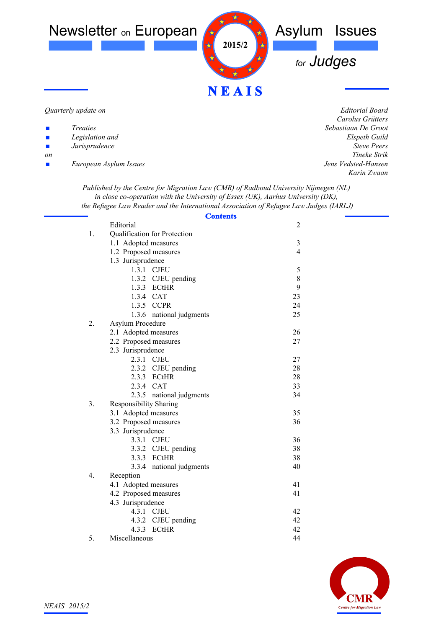

#### *Quarterly update on*

| Treaties |
|----------|
|----------|

- *Legislation and*
- ! *Jurisprudence*
- *on*
- ! *European Asylum Issues*

*Editorial Board Carolus Grütters Sebastiaan De Groot Elspeth Guild Steve Peers Tineke Strik Jens Vedsted-Hansen Karin Zwaan*

*Published by the Centre for Migration Law (CMR) of Radboud University Nijmegen (NL) in close co-operation with the University of Essex (UK), Aarhus University (DK), the Refugee Law Reader and the International Association of Refugee Law Judges (IARLJ)*

| <b>Contents</b>                     |                |  |
|-------------------------------------|----------------|--|
| Editorial                           | $\overline{c}$ |  |
| 1.<br>Qualification for Protection  |                |  |
| 1.1 Adopted measures                | $\mathfrak{Z}$ |  |
| 1.2 Proposed measures               | $\overline{4}$ |  |
| 1.3 Jurisprudence                   |                |  |
| 1.3.1 CJEU                          | 5              |  |
| 1.3.2 CJEU pending                  | 8              |  |
| 1.3.3 ECtHR                         | 9              |  |
| 1.3.4 CAT                           | 23             |  |
| 1.3.5 CCPR                          | 24             |  |
| 1.3.6 national judgments            | 25             |  |
| 2.<br>Asylum Procedure              |                |  |
| 2.1 Adopted measures                | 26             |  |
| 2.2 Proposed measures               | 27             |  |
| 2.3 Jurisprudence                   |                |  |
| 2.3.1 CJEU                          | 27             |  |
| 2.3.2 CJEU pending                  | 28             |  |
| 2.3.3 ECtHR                         | 28             |  |
| 2.3.4 CAT                           | 33             |  |
| 2.3.5 national judgments            | 34             |  |
| 3.<br><b>Responsibility Sharing</b> |                |  |
| 3.1 Adopted measures                | 35             |  |
| 3.2 Proposed measures               | 36             |  |
| 3.3 Jurisprudence                   |                |  |
| 3.3.1 CJEU                          | 36             |  |
| 3.3.2 CJEU pending                  | 38             |  |
| 3.3.3 ECtHR                         | 38             |  |
| 3.3.4<br>national judgments         | 40             |  |
| 4.<br>Reception                     |                |  |
| 4.1 Adopted measures                | 41             |  |
| 4.2 Proposed measures               | 41             |  |
| 4.3 Jurisprudence                   |                |  |
| 4.3.1 CJEU                          | 42             |  |
| 4.3.2 CJEU pending                  | 42             |  |
| ECtHR<br>4.3.3                      | 42             |  |
| 5.<br>Miscellaneous                 | 44             |  |

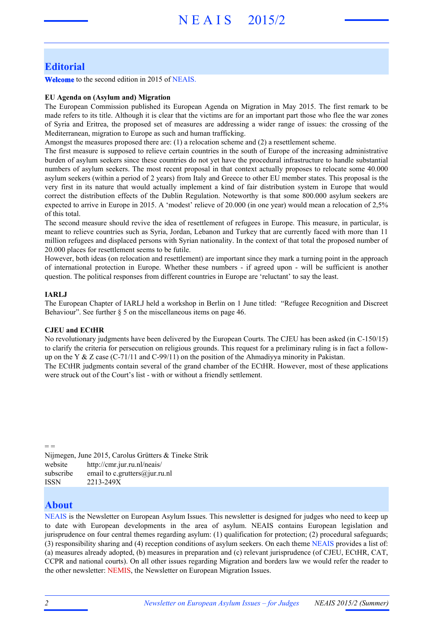# **Editorial**

**Welcome** to the second edition in 2015 of NEAIS.

### **EU Agenda on (Asylum and) Migration**

The European Commission published its European Agenda on Migration in May 2015. The first remark to be made refers to its title. Although it is clear that the victims are for an important part those who flee the war zones of Syria and Eritrea, the proposed set of measures are addressing a wider range of issues: the crossing of the Mediterranean, migration to Europe as such and human trafficking.

Amongst the measures proposed there are: (1) a relocation scheme and (2) a resettlement scheme.

The first measure is supposed to relieve certain countries in the south of Europe of the increasing administrative burden of asylum seekers since these countries do not yet have the procedural infrastructure to handle substantial numbers of asylum seekers. The most recent proposal in that context actually proposes to relocate some 40.000 asylum seekers (within a period of 2 years) from Italy and Greece to other EU member states. This proposal is the very first in its nature that would actually implement a kind of fair distribution system in Europe that would correct the distribution effects of the Dublin Regulation. Noteworthy is that some 800.000 asylum seekers are expected to arrive in Europe in 2015. A 'modest' relieve of 20.000 (in one year) would mean a relocation of 2,5% of this total.

The second measure should revive the idea of resettlement of refugees in Europe. This measure, in particular, is meant to relieve countries such as Syria, Jordan, Lebanon and Turkey that are currently faced with more than 11 million refugees and displaced persons with Syrian nationality. In the context of that total the proposed number of 20.000 places for resettlement seems to be futile.

However, both ideas (on relocation and resettlement) are important since they mark a turning point in the approach of international protection in Europe. Whether these numbers - if agreed upon - will be sufficient is another question. The political responses from different countries in Europe are 'reluctant' to say the least.

### **IARLJ**

The European Chapter of IARLJ held a workshop in Berlin on 1 June titled: "Refugee Recognition and Discreet Behaviour". See further  $\S$  5 on the miscellaneous items on page 46.

### **CJEU and ECtHR**

No revolutionary judgments have been delivered by the European Courts. The CJEU has been asked (in C-150/15) to clarify the criteria for persecution on religious grounds. This request for a preliminary ruling is in fact a followup on the Y & Z case (C-71/11 and C-99/11) on the position of the Ahmadiyya minority in Pakistan.

The ECtHR judgments contain several of the grand chamber of the ECtHR. However, most of these applications were struck out of the Court's list - with or without a friendly settlement.

Nijmegen, June 2015, Carolus Grütters & Tineke Strik website http://cmr.jur.ru.nl/neais/ subscribe email to c.grutters@jur.ru.nl ISSN 2213-249X

# **About**

 $=$   $=$ 

NEAIS is the Newsletter on European Asylum Issues. This newsletter is designed for judges who need to keep up to date with European developments in the area of asylum. NEAIS contains European legislation and jurisprudence on four central themes regarding asylum: (1) qualification for protection; (2) procedural safeguards; (3) responsibility sharing and (4) reception conditions of asylum seekers. On each theme NEAIS provides a list of: (a) measures already adopted, (b) measures in preparation and (c) relevant jurisprudence (of CJEU, ECtHR, CAT, CCPR and national courts). On all other issues regarding Migration and borders law we would refer the reader to the other newsletter: NEMIS, the Newsletter on European Migration Issues.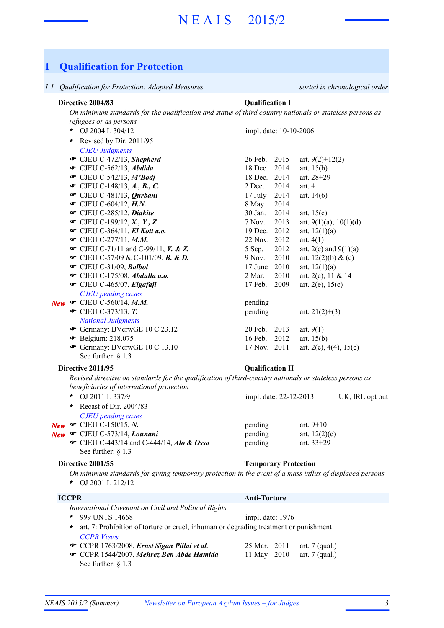# **1 Qualification for Protection**

*1.1 Qualification for Protection: Adopted Measures sorted in chronological order*

### **Directive 2004/83 Qualification I**

*On minimum standards for the qualification and status of third country nationals or stateless persons as refugees or as persons*

OJ 2004 L 304/12 **\*** *CJEU Judgments* **■** CJEU C-472/13, *Shepherd* 26 Feb. 2015 art. 9(2)+12(2) **■** CJEU C-562/13, *Abdida* 18 Dec. 2014 art. 15(b) **■** CJEU C-542/13, *M'Bodj* 18 Dec. 2014 art. 28+29  $\bullet$  CJEU C-148/13, A., B., C. 2014 art. 4 **■** CJEU C-481/13, *Qurbani* 17 July 2014 art. 14(6) **T** CJEU C-604/12, *H.N.* 8 May 2014 **■** CJEU C-285/12, *Diakite* 30 Jan. 2014 art. 15(c)  $\bullet$  CJEU C-199/12, *X.*, *Y.*, *Z* 7 Nov. 2013 art. 9(1)(a); 10(1)(d) **■** CJEU C-364/11, *El Kott a.o.* 19 Dec. 2012 art. 12(1)(a) **■** CJEU C-277/11, *M.M.* 22 Nov. 2012 art. 4(1)  $\bullet$  CJEU C-71/11 and C-99/11, *Y. & Z.* 5 Sep. 2012 art. 2(c) and 9(1)(a)  $\bullet$  CJEU C-57/09 & C-101/09, **B. & D.** 9 Nov. 2010 art. 12(2)(b) & (c) **■** CJEU C-31/09, *Bolbol* 17 June 2010 art. 12(1)(a) **■** CJEU C-175/08, *Abdulla a.o.* 2 Mar. 2010 art. 2(c), 11 & 14  **• CJEU C-465/07,** *Elgafaji* 17 Feb. 2009 art. 2(e), 15(c) *CJEU pending cases* **New**  $\bullet$  CJEU C-560/14, *M.M.* pending  $\bullet$  CJEU C-373/13, **T.** pending art. 21(2)+(3) *National Judgments* **■** Germany: BVerwGE 10 C 23.12 20 Feb. 2013 art. 9(1) **•** Belgium: 218.075 16 Feb. 2012 art. 15(b) Germany: BVerwGE 10 C 13.10 17 Nov. 2011 art.  $2(e)$ ,  $4(4)$ ,  $15(e)$ See further: § 1.3 impl. date: 10-10-2006 **\*** Revised by Dir. 2011/95

### **Directive 2011/95 Qualification II**

*Revised directive on standards for the qualification of third-country nationals or stateless persons as beneficiaries of international protection*

|  | * OJ 2011 L 337/9                                   | impl. date: 22-12-2013 | UK, IRL opt out |  |  |
|--|-----------------------------------------------------|------------------------|-----------------|--|--|
|  | * Recast of Dir. $2004/83$                          |                        |                 |  |  |
|  | <b>CJEU</b> pending cases                           |                        |                 |  |  |
|  | <b>New • CJEU C-150/15, N.</b>                      | pending                | art. $9+10$     |  |  |
|  | New $\bullet$ CJEU C-573/14, Lounani                | pending                | art. $12(2)(c)$ |  |  |
|  | • CJEU C-443/14 and C-444/14, <i>Alo &amp; Osso</i> | pending                | art. $33+29$    |  |  |
|  | See further: $\S$ 1.3                               |                        |                 |  |  |
|  |                                                     |                        |                 |  |  |

#### **Directive 2001/55 Temporary Protection**

- *On minimum standards for giving temporary protection in the event of a mass influx of displaced persons*
- OJ 2001 L 212/12 **\***

### **ICCPR Anti-Torture**

- *International Covenant on Civil and Political Rights* 999 UNTS 14668 **\*** *CCPR Views* impl. date: 1976 **\*** art. 7: Prohibition of torture or cruel, inhuman or degrading treatment or punishment
- **■** CCPR 1763/2008, *Ernst Sigan Pillai et al.* 25 Mar. 2011 art. 7 (qual.) CCPR 1544/2007, *Mehrez Ben Abde Hamida* 11 May 2010 art. 7 (qual.) F See further: § 1.3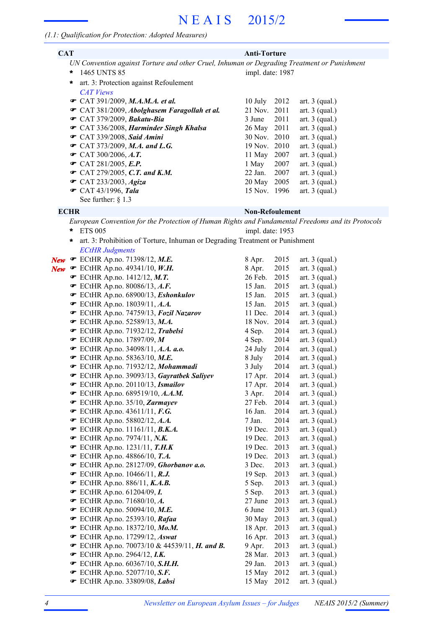### *(1.1: Qualification for Protection: Adopted Measures)*

| <b>CAT</b> |                                                                                             | <b>Anti-Torture</b> |      |                  |
|------------|---------------------------------------------------------------------------------------------|---------------------|------|------------------|
|            | UN Convention against Torture and other Cruel, Inhuman or Degrading Treatment or Punishment |                     |      |                  |
| $\star$    | 1465 UNTS 85                                                                                | impl. date: 1987    |      |                  |
| $\star$    | art. 3: Protection against Refoulement                                                      |                     |      |                  |
|            | <b>CAT Views</b>                                                                            |                     |      |                  |
|            | $\bullet$ CAT 391/2009, M.A.M.A. et al.                                                     | 10 July             | 2012 | art. $3$ (qual.) |
|            | • CAT 381/2009, Abolghasem Faragollah et al.                                                | 21 Nov. 2011        |      | art. $3$ (qual.) |
|            | $\bullet$ CAT 379/2009, Bakatu-Bia                                                          | 3 June 2011         |      | art. $3$ (qual.) |
|            | CAT 336/2008, Harminder Singh Khalsa                                                        | 26 May 2011         |      | art. $3$ (qual.) |
|            | $\bullet$ CAT 339/2008, Said Amini                                                          | 30 Nov. 2010        |      | art. $3$ (qual.) |
|            | $\bullet$ CAT 373/2009, M.A. and L.G.                                                       | 19 Nov. 2010        |      | art. $3$ (qual.) |
|            | $\bullet$ CAT 300/2006, A.T.                                                                | 11 May              | 2007 | art. $3$ (qual.) |
|            | $\bullet$ CAT 281/2005, E.P.                                                                | 1 May               | 2007 | art. $3$ (qual.) |
|            | $\bullet$ CAT 279/2005, C.T. and K.M.                                                       | 22 Jan. 2007        |      | art. $3$ (qual.) |
|            | $\bullet$ CAT 233/2003, Agiza                                                               | 20 May              | 2005 | art. $3$ (qual.) |
|            | <b>■</b> CAT 43/1996, Tala                                                                  | 15 Nov. 1996        |      | art. $3$ (qual.) |
|            | See further: $\S$ 1.3                                                                       |                     |      |                  |

### **ECHR Non-Refoulement**

- *European Convention for the Protection of Human Rights and Fundamental Freedoms and its Protocols* ETS 005 **\*** impl. date: 1953
- *ECtHR Judgments* **\*** art. 3: Prohibition of Torture, Inhuman or Degrading Treatment or Punishment
- **New F** ECtHR Ap.no. 71398/12, M.E. 8 Apr. 2015 art. 3 (qual.)
	-
	-
	-
	-
	-
	-
	-
	-
	-
	-
	-
	- ECtHR Ap.no. 71932/12, *Mohammadi* 3 July 2014 art. 3 (qual.) F
	- ECtHR Ap.no. 39093/13, *Gayratbek Saliyev* 17 Apr. 2014 art. 3 (qual.) F
	-
	-
	-
	-
	-
	-
	-
	-
	-
	-
	-
	-
	-
	-
	-
	-
	-
	- $\bullet$  ECtHR Ap.no. 70073/10 & 44539/11, *H. and B.* 9 Apr. 2013 art. 3 (qual.)
	-
	-
	- **EXTER Ap.no. 52077/10, S.F.** 15 May 2012 art. 3 (qual.)
	- **■** ECtHR Ap.no. 33809/08, Labsi

| New | <b>F</b> ECTHR Ap.no. $/1398/12$ , M.E.                            | 8 Apr.  | 2015 | art. $\beta$ (qual.) |
|-----|--------------------------------------------------------------------|---------|------|----------------------|
| New | ECtHR Ap.no. 49341/10, W.H.                                        | 8 Apr.  | 2015 | art. $3$ (qual.)     |
|     | $\bullet$ ECtHR Ap.no. 1412/12, M.T.                               | 26 Feb. | 2015 | art. $3$ (qual.)     |
|     | $\bullet$ ECtHR Ap.no. 80086/13, A.F.                              | 15 Jan. | 2015 | art. $3$ (qual.)     |
|     | ECtHR Ap.no. 68900/13, Eshonkulov                                  | 15 Jan. | 2015 | art. $3$ (qual.)     |
|     | ECtHR Ap.no. 18039/11, A.A.                                        | 15 Jan. | 2015 | art. $3$ (qual.)     |
|     | ECtHR Ap.no. 74759/13, Fozil Nazarov                               | 11 Dec. | 2014 | art. $3$ (qual.)     |
|     | ECtHR Ap.no. 52589/13, M.A.                                        | 18 Nov. | 2014 | art. $3$ (qual.)     |
|     | ECtHR Ap.no. 71932/12, Trabelsi                                    | 4 Sep.  | 2014 | art. $3$ (qual.)     |
|     | ECtHR Ap.no. 17897/09, $M$                                         | 4 Sep.  | 2014 | art. $3$ (qual.)     |
|     | ECtHR Ap.no. 34098/11, A.A. a.o.                                   | 24 July | 2014 | art. $3$ (qual.)     |
|     | $\bullet$ ECtHR Ap.no. 58363/10, M.E.                              | 8 July  | 2014 | art. $3$ (qual.)     |
|     | ECtHR Ap.no. 71932/12, Mohammadi                                   | 3 July  | 2014 | art. $3$ (qual.)     |
|     | ECtHR Ap.no. 39093/13, Gayratbek Saliyev                           | 17 Apr. | 2014 | art. $3$ (qual.)     |
|     | ECtHR Ap.no. 20110/13, Ismailov                                    | 17 Apr. | 2014 | art. $3$ (qual.)     |
|     | <b>■</b> ECtHR Ap.no. 689519/10, A.A.M.                            | 3 Apr.  | 2014 | art. 3 (qual.)       |
|     | ECtHR Ap.no. 35/10, Zarmayev                                       | 27 Feb. | 2014 | art. $3$ (qual.)     |
|     | $\bullet$ ECtHR Ap.no. 43611/11, F.G.                              | 16 Jan. | 2014 | art. $3$ (qual.)     |
|     | ECtHR Ap.no. 58802/12, A.A.                                        | 7 Jan.  | 2014 | art. $3$ (qual.)     |
|     | $\bullet$ ECtHR Ap.no. 11161/11, B.K.A.                            | 19 Dec. | 2013 | art. $3$ (qual.)     |
|     | ECtHR Ap.no. $7974/11$ , N.K.                                      | 19 Dec. | 2013 | art. $3$ (qual.)     |
|     | ECtHR Ap.no. 1231/11, $T.H.K$                                      | 19 Dec. | 2013 | art. $3$ (qual.)     |
|     | $\bullet$ ECtHR Ap.no. 48866/10, T.A.                              | 19 Dec. | 2013 | art. $3$ (qual.)     |
|     | ECtHR Ap.no. 28127/09, Ghorbanov a.o.                              | 3 Dec.  | 2013 | art. 3 (qual.)       |
|     | <b>•</b> ECtHR Ap.no. 10466/11, R.J.                               | 19 Sep. | 2013 | art. $3$ (qual.)     |
|     | $\bullet$ ECtHR Ap.no. 886/11, K.A.B.                              | 5 Sep.  | 2013 | art. $3$ (qual.)     |
|     | $\bullet$ ECtHR Ap.no. 61204/09, I.                                | 5 Sep.  | 2013 | art. $3$ (qual.)     |
|     | <b>■</b> ECtHR Ap.no. 71680/10, A.                                 | 27 June | 2013 | art. $3$ (qual.)     |
|     | $\bullet$ ECtHR Ap.no. 50094/10, M.E.                              | 6 June  | 2013 | art. $3$ (qual.)     |
|     | $\bullet$ ECtHR Ap.no. 25393/10, Rafaa                             | 30 May  | 2013 | art. $3$ (qual.)     |
|     | <b>■</b> ECtHR Ap.no. 18372/10, Mo.M.                              | 18 Apr. | 2013 | art. $3$ (qual.)     |
|     | <b>■</b> ECtHR Ap.no. 17299/12, Aswat                              | 16 Apr. | 2013 | art. $3$ (qual.)     |
|     | <b>T</b> ECtHR Ap.no. 70073/10 & 44539/11, <b>H.</b> and <b>B.</b> | 9 Apr.  | 2013 | art. $3$ (qual.)     |
|     | $\bullet$ ECtHR Ap.no. 2964/12, I.K.                               | 28 Mar. | 2013 | art. $3$ (qual.)     |
|     | • ECtHR Ap.no. 60367/10, S.H.H.                                    | 29 Jan. | 2013 | art. $3$ (qual.)     |
|     | $\bullet$ ECtHR Ap.no. 52077/10, S.F.                              | 15 May  | 2012 | art. $3$ (qual.)     |

15 May 2012 art. 3 (qual.)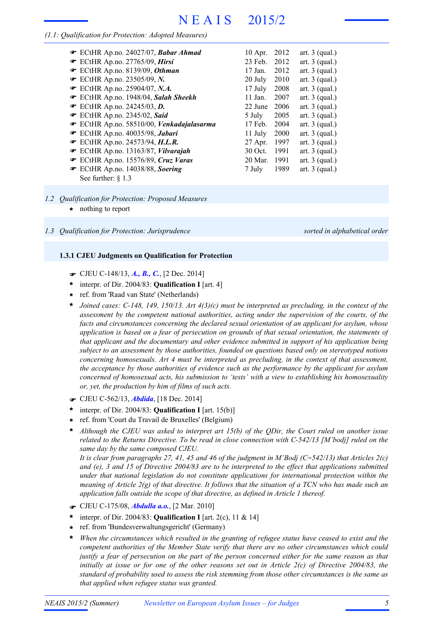# *(1.1: Qualification for Protection: Adopted Measures)*

| $\bullet$ ECtHR Ap.no. 24027/07, Babar Ahmad | $10$ Apr. | 2012 | art. $3$ (qual.) |
|----------------------------------------------|-----------|------|------------------|
| ■ ECtHR Ap.no. 27765/09, Hirsi               | 23 Feb.   | 2012 | art. $3$ (qual.) |
| ECtHR Ap.no. 8139/09, Othman                 | $17$ Jan. | 2012 | art. $3$ (qual.) |
| <b>•</b> ECtHR Ap.no. 23505/09, N.           | 20 July   | 2010 | art. $3$ (qual.) |
| ECtHR Ap.no. 25904/07, N.A.                  | 17 July   | 2008 | art. $3$ (qual.) |
| ECtHR Ap.no. 1948/04, Salah Sheekh           | $11$ Jan. | 2007 | art. $3$ (qual.) |
| $\bullet$ ECtHR Ap.no. 24245/03, D.          | 22 June   | 2006 | art. $3$ (qual.) |
| ■ ECtHR Ap.no. 2345/02, Said                 | 5 July    | 2005 | art. $3$ (qual.) |
| ECtHR Ap.no. 58510/00, Venkadajalasarma      | 17 Feb.   | 2004 | art. $3$ (qual.) |
| ECtHR Ap.no. 40035/98, Jabari                | 11 July   | 2000 | art. $3$ (qual.) |
| ECtHR Ap.no. 24573/94, $H.L.R.$              | 27 Apr.   | 1997 | art. $3$ (qual.) |
| ECtHR Ap.no. 13163/87, Vilvarajah            | 30 Oct.   | 1991 | art. $3$ (qual.) |
| ECtHR Ap.no. 15576/89, Cruz Varas            | $20$ Mar. | 1991 | art. $3$ (qual.) |
| ECtHR Ap.no. 14038/88, Soering               | 7 July    | 1989 | art. $3$ (qual.) |
| See further: $\&$ 1.3                        |           |      |                  |

### *1.2 Qualification for Protection: Proposed Measures*

**\*** nothing to report

#### **1.3.1 CJEU Judgments on Qualification for Protection**

- F CJEU C-148/13, *A., B., C.*, [2 Dec. 2014]
- interpr. of Dir. 2004/83: **Qualification I** [art. 4] **\***
- ref. from 'Raad van State' (Netherlands) **\***
- *Joined cases: C-148, 149, 150/13. Art 4(3)(c) must be interpreted as precluding, in the context of the assessment by the competent national authorities, acting under the supervision of the courts, of the facts and circumstances concerning the declared sexual orientation of an applicant for asylum, whose application is based on a fear of persecution on grounds of that sexual orientation, the statements of that applicant and the documentary and other evidence submitted in support of his application being subject to an assessment by those authorities, founded on questions based only on stereotyped notions concerning homosexuals. Art 4 must be interpreted as precluding, in the context of that assessment, the acceptance by those authorities of evidence such as the performance by the applicant for asylum concerned of homosexual acts, his submission to 'tests' with a view to establishing his homosexuality or, yet, the production by him of films of such acts.* **\***
- F CJEU C-562/13, *Abdida*, [18 Dec. 2014]
- interpr. of Dir. 2004/83: **Qualification I** [art. 15(b)] **\***
- ref. from 'Court du Travail de Bruxelles' (Belgium) **\***
- *Although the CJEU was asked to interpret art 15(b) of the QDir, the Court ruled on another issue related to the Returns Directive. To be read in close connection with C-542/13 [M'bodj] ruled on the same day by the same composed CJEU.* **\***

It is clear from paragraphs 27, 41, 45 and 46 of the judgment in M'Bodj ( $C-542/13$ ) that Articles 2(c) and (e), 3 and 15 of Directive 2004/83 are to be interpreted to the effect that applications submitted *under that national legislation do not constitute applications for international protection within the* meaning of Article  $2(g)$  of that directive. It follows that the situation of a TCN who has made such an *application falls outside the scope of that directive, as defined in Article 1 thereof.*

- F CJEU C-175/08, *Abdulla a.o.*, [2 Mar. 2010]
- interpr. of Dir. 2004/83: **Qualification I** [art. 2(c), 11 & 14] **\***
- ref. from 'Bundesverwaltungsgericht' (Germany) **\***
- *When the circumstances which resulted in the granting of refugee status have ceased to exist and the competent authorities of the Member State verify that there are no other circumstances which could* justify a fear of persecution on the part of the person concerned either for the same reason as that initially at issue or for one of the other reasons set out in Article  $2(c)$  of Directive 2004/83, the *standard of probability used to assess the risk stemming from those other circumstances is the same as that applied when refugee status was granted.* **\***

*<sup>1.3</sup> Qualification for Protection: Jurisprudence sorted in alphabetical order*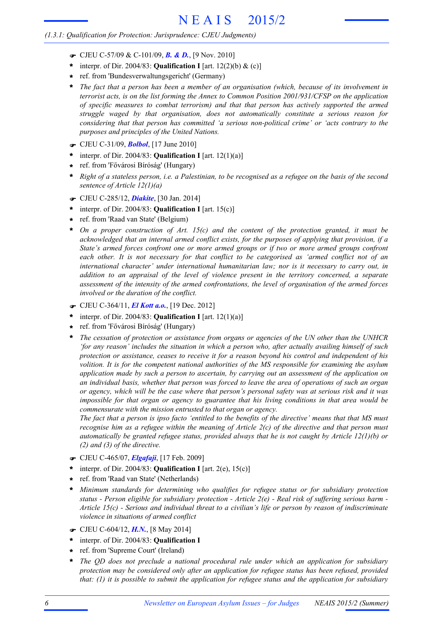- F CJEU C-57/09 & C-101/09, *B. & D.*, [9 Nov. 2010]
- interpr. of Dir. 2004/83: **Qualification I** [art. 12(2)(b) & (c)] **\***
- ref. from 'Bundesverwaltungsgericht' (Germany) **\***
- *The fact that a person has been a member of an organisation (which, because of its involvement in terrorist acts, is on the list forming the Annex to Common Position 2001/931/CFSP on the application of specific measures to combat terrorism) and that that person has actively supported the armed struggle waged by that organisation, does not automatically constitute a serious reason for considering that that person has committed 'a serious non-political crime' or 'acts contrary to the purposes and principles of the United Nations.* **\***
- F CJEU C-31/09, *Bolbol*, [17 June 2010]
- interpr. of Dir. 2004/83: **Qualification I** [art. 12(1)(a)] **\***
- ref. from 'Fővárosi Bíróság' (Hungary) **\***
- Right of a stateless person, i.e. a Palestinian, to be recognised as a refugee on the basis of the second *sentence of Article 12(1)(a)* **\***
- F CJEU C-285/12, *Diakite*, [30 Jan. 2014]
- interpr. of Dir. 2004/83: **Qualification I** [art. 15(c)] **\***
- ref. from 'Raad van State' (Belgium) **\***
- *On a proper construction of Art. 15(c) and the content of the protection granted, it must be acknowledged that an internal armed conflict exists, for the purposes of applying that provision, if a State's armed forces confront one or more armed groups or if two or more armed groups confront each other. It is not necessary for that conflict to be categorised as 'armed conflict not of an international character' under international humanitarian law; nor is it necessary to carry out, in addition to an appraisal of the level of violence present in the territory concerned, a separate assessment of the intensity of the armed confrontations, the level of organisation of the armed forces involved or the duration of the conflict.* **\***
- F CJEU C-364/11, *El Kott a.o.*, [19 Dec. 2012]
- interpr. of Dir. 2004/83: **Qualification I** [art. 12(1)(a)] **\***
- ref. from 'Fővárosi Bíróság' (Hungary) **\***
- *The cessation of protection or assistance from organs or agencies of the UN other than the UNHCR 'for any reason' includes the situation in which a person who, after actually availing himself of such protection or assistance, ceases to receive it for a reason beyond his control and independent of his volition. It is for the competent national authorities of the MS responsible for examining the asylum application made by such a person to ascertain, by carrying out an assessment of the application on* an individual basis, whether that person was forced to leave the area of operations of such an organ or agency, which will be the case where that person's personal safety was at serious risk and it was *impossible for that organ or agency to guarantee that his living conditions in that area would be commensurate with the mission entrusted to that organ or agency.* **\***

The fact that a person is ipso facto 'entitled to the benefits of the directive' means that that MS must recognise him as a refugee within the meaning of Article  $2(c)$  of the directive and that person must *automatically be granted refugee status, provided always that he is not caught by Article 12(1)(b) or (2) and (3) of the directive.*

- F CJEU C-465/07, *Elgafaji*, [17 Feb. 2009]
- interpr. of Dir. 2004/83: **Qualification I** [art. 2(e), 15(c)] **\***
- ref. from 'Raad van State' (Netherlands) **\***
- *Minimum standards for determining who qualifies for refugee status or for subsidiary protection* status - Person eligible for subsidiary protection - Article  $2(e)$  - Real risk of suffering serious harm -*Article 15(c) - Serious and individual threat to a civilian's life or person by reason of indiscriminate violence in situations of armed conflict* **\***
- F CJEU C-604/12, *H.N.*, [8 May 2014]
- interpr. of Dir. 2004/83: **Qualification I \***
- ref. from 'Supreme Court' (Ireland) **\***
- *The QD does not preclude a national procedural rule under which an application for subsidiary protection may be considered only after an application for refugee status has been refused, provided that: (1) it is possible to submit the application for refugee status and the application for subsidiary* **\***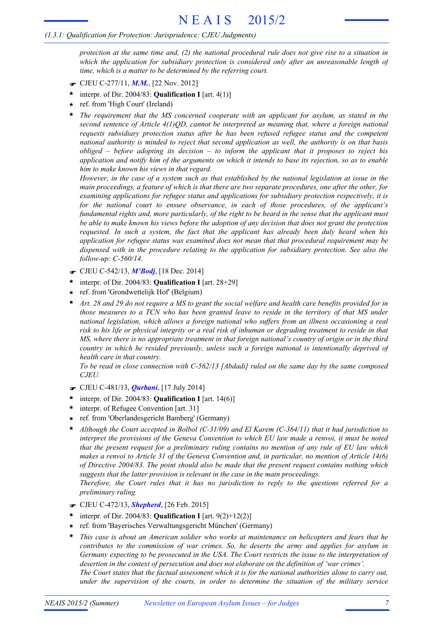# *(1.3.1: Qualification for Protection: Jurisprudence: CJEU Judgments)*

protection at the same time and,  $(2)$  the national procedural rule does not give rise to a situation in *which the application for subsidiary protection is considered only after an unreasonable length of time, which is a matter to be determined by the referring court.*

- F CJEU C-277/11, *M.M.*, [22 Nov. 2012]
- interpr. of Dir. 2004/83: **Qualification I** [art. 4(1)] **\***
- ref. from 'High Court' (Ireland) **\***
- *The requirement that the MS concerned cooperate with an applicant for asylum, as stated in the second sentence of Article 4(1)QD, cannot be interpreted as meaning that, where a foreign national requests subsidiary protection status after he has been refused refugee status and the competent national authority is minded to reject that second application as well, the authority is on that basis obliged – before adopting its decision – to inform the applicant that it proposes to reject his* application and notify him of the arguments on which it intends to base its rejection, so as to enable *him to make known his views in that regard.* **\***

However, in the case of a system such as that established by the national legislation at issue in the main proceedings, a feature of which is that there are two separate procedures, one after the other, for *examining applications for refugee status and applications for subsidiary protection respectively, it is for the national court to ensure observance, in each of those procedures, of the applicant's* fundamental rights and, more particularly, of the right to be heard in the sense that the applicant must be able to make known his views before the adoption of any decision that does not grant the protection *requested. In such a system, the fact that the applicant has already been duly heard when his application for refugee status was examined does not mean that that procedural requirement may be dispensed with in the procedure relating to the application for subsidiary protection. See also the follow-up: C-560/14.*

- F CJEU C-542/13, *M'Bodj*, [18 Dec. 2014]
- interpr. of Dir. 2004/83: **Qualification I** [art. 28+29] **\***
- ref. from 'Grondwettelijk Hof' (Belgium) **\***
- Art. 28 and 29 do not require a MS to grant the social welfare and health care benefits provided for in those measures to a TCN who has been granted leave to reside in the territory of that MS under *national legislation, which allows a foreign national who suffers from an illness occasioning a real* risk to his life or physical integrity or a real risk of inhuman or degrading treatment to reside in that MS, where there is no appropriate treatment in that foreign national's country of origin or in the third *country in which he resided previously, unless such a foreign national is intentionally deprived of health care in that country.* **\***

*To be read in close connection with C-562/13 [Abdadi] ruled on the same day by the same composed CJEU.*

- F CJEU C-481/13, *Qurbani*, [17 July 2014]
- interpr. of Dir. 2004/83: **Qualification I** [art. 14(6)] **\***
- interpr. of Refugee Convention [art. 31] **\***
- ref. from 'Oberlandesgericht Bamberg' (Germany) **\***

*Although the Court accepted in Bolbol (C-31/09) and El Karem (C-364/11) that it had jurisdiction to interpret the provisions of the Geneva Convention to which EU law made a renvoi, it must be noted that the present request for a preliminary ruling contains no mention of any rule of EU law which* makes a renvoi to Article 31 of the Geneva Convention and, in particular, no mention of Article 14(6) *of Directive 2004/83. The point should also be made that the present request contains nothing which suggests that the latter provision is relevant in the case in the main proceedings.* **\***

*Therefore, the Court rules that it has no jurisdiction to reply to the questions referred for a preliminary ruling.*

- F CJEU C-472/13, *Shepherd*, [26 Feb. 2015]
- interpr. of Dir. 2004/83: **Qualification I** [art. 9(2)+12(2)] **\***
- ref. from 'Bayerisches Verwaltungsgericht München' (Germany) **\***
- *This case is about an American soldier who works at maintenance on helicopters and fears that he contributes to the commission of war crimes. So, he deserts the army and applies for asylum in Germany expecting to be prosecuted in the USA. The Court restricts the issue to the interpretation of desertion in the context of persecution and does not elaborate on the definition of 'war crimes'.* The Court states that the factual assessment which it is for the national authorities alone to carry out, *under the supervision of the courts, in order to determine the situation of the military service* **\***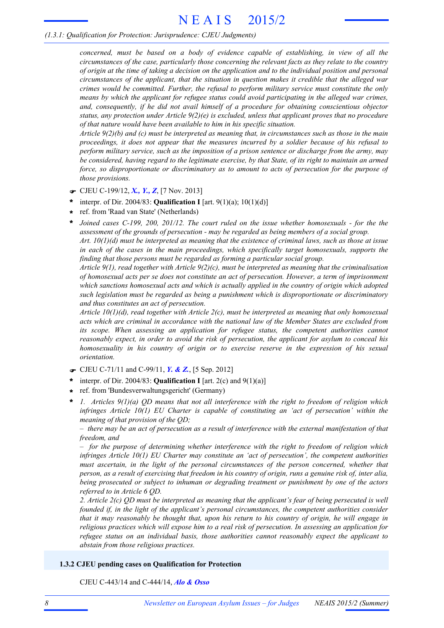*concerned, must be based on a body of evidence capable of establishing, in view of all the circumstances of the case, particularly those concerning the relevant facts as they relate to the country* of origin at the time of taking a decision on the application and to the individual position and personal *circumstances of the applicant, that the situation in question makes it credible that the alleged war crimes would be committed. Further, the refusal to perform military service must constitute the only means by which the applicant for refugee status could avoid participating in the alleged war crimes, and, consequently, if he did not avail himself of a procedure for obtaining conscientious objector status, any protection under Article 9(2)(e) is excluded, unless that applicant proves that no procedure of that nature would have been available to him in his specific situation.*

Article  $9(2)(b)$  and (c) must be interpreted as meaning that, in circumstances such as those in the main *proceedings, it does not appear that the measures incurred by a soldier because of his refusal to perform military service, such as the imposition of a prison sentence or discharge from the army, may* be considered, having regard to the legitimate exercise, by that State, of its right to maintain an armed *force, so disproportionate or discriminatory as to amount to acts of persecution for the purpose of those provisions.*

- F CJEU C-199/12, *X., Y., Z*, [7 Nov. 2013]
- interpr. of Dir. 2004/83: **Qualification I** [art. 9(1)(a); 10(1)(d)] **\***
- ref. from 'Raad van State' (Netherlands) **\***

*Joined cases C-199, 200, 201/12. The court ruled on the issue whether homosexuals - for the the assessment of the grounds of persecution - may be regarded as being members of a social group.* Art.  $10(1)(d)$  must be interpreted as meaning that the existence of criminal laws, such as those at issue *in each of the cases in the main proceedings, which specifically target homosexuals, supports the finding that those persons must be regarded as forming a particular social group.* **\***

*Article 9(1), read together with Article 9(2)(c), must be interpreted as meaning that the criminalisation of homosexual acts per se does not constitute an act of persecution. However, a term of imprisonment which sanctions homosexual acts and which is actually applied in the country of origin which adopted such legislation must be regarded as being a punishment which is disproportionate or discriminatory and thus constitutes an act of persecution.*

*Article 10(1)(d), read together with Article 2(c), must be interpreted as meaning that only homosexual acts which are criminal in accordance with the national law of the Member States are excluded from its scope. When assessing an application for refugee status, the competent authorities cannot reasonably expect, in order to avoid the risk of persecution, the applicant for asylum to conceal his homosexuality in his country of origin or to exercise reserve in the expression of his sexual orientation.*

- F CJEU C-71/11 and C-99/11, *Y. & Z.*, [5 Sep. 2012]
- interpr. of Dir. 2004/83: **Qualification I** [art. 2(c) and 9(1)(a)] **\***
- ref. from 'Bundesverwaltungsgericht' (Germany) **\***
- *1. Articles 9(1)(a) QD means that not all interference with the right to freedom of religion which infringes Article 10(1) EU Charter is capable of constituting an 'act of persecution' within the meaning of that provision of the QD;* **\***

 $-$  there may be an act of persecution as a result of interference with the external manifestation of that *freedom, and*

*– for the purpose of determining whether interference with the right to freedom of religion which infringes Article 10(1) EU Charter may constitute an 'act of persecution', the competent authorities must ascertain, in the light of the personal circumstances of the person concerned, whether that* person, as a result of exercising that freedom in his country of origin, runs a genuine risk of, inter alia, *being prosecuted or subject to inhuman or degrading treatment or punishment by one of the actors referred to in Article 6 QD.*

2. Article  $2(c)$  QD must be interpreted as meaning that the applicant's fear of being persecuted is well *founded if, in the light of the applicant's personal circumstances, the competent authorities consider* that it may reasonably be thought that, upon his return to his country of origin, he will engage in *religious practices which will expose him to a real risk of persecution. In assessing an application for refugee status on an individual basis, those authorities cannot reasonably expect the applicant to abstain from those religious practices.*

# **1.3.2 CJEU pending cases on Qualification for Protection**

CJEU C-443/14 and C-444/14, *Alo & Osso*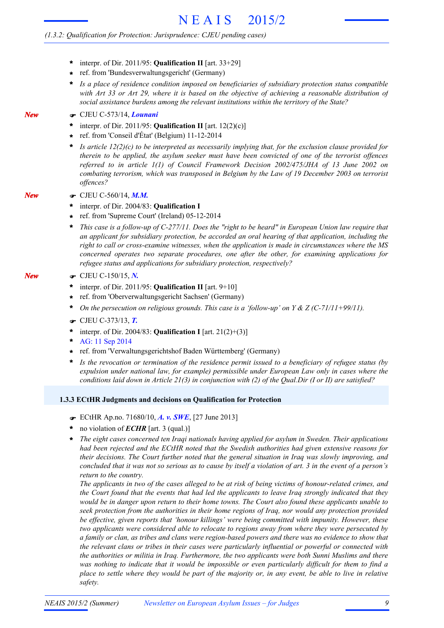# *(1.3.2: Qualification for Protection: Jurisprudence: CJEU pending cases)*

- interpr. of Dir. 2011/95: **Qualification II** [art. 33+29] **\***
- ref. from 'Bundesverwaltungsgericht' (Germany) **\***
- *Is a place of residence condition imposed on beneficiaries of subsidiary protection status compatible* with Art 33 or Art 29, where it is based on the objective of achieving a reasonable distribution of *social assistance burdens among the relevant institutions within the territory of the State?* **\***
- F CJEU C-573/14, *Lounani*

*New*

*New*

*New*

- interpr. of Dir. 2011/95: **Qualification II** [art. 12(2)(c)] **\***
- ref. from 'Conseil d'État' (Belgium) 11-12-2014 **\***
- *Is article 12(2)(c) to be interpreted as necessarily implying that, for the exclusion clause provided for therein to be applied, the asylum seeker must have been convicted of one of the terrorist offences referred to in article 1(1) of Council Framework Decision 2002/475/JHA of 13 June 2002 on combating terrorism, which was transposed in Belgium by the Law of 19 December 2003 on terrorist offences?* **\***
- F CJEU C-560/14, *M.M.*
- interpr. of Dir. 2004/83: **Qualification I \***
- ref. from 'Supreme Court' (Ireland) 05-12-2014 **\***
- This case is a follow-up of  $C-277/11$ . Does the "right to be heard" in European Union law require that *an applicant for subsidiary protection, be accorded an oral hearing of that application, including the right to call or cross-examine witnesses, when the application is made in circumstances where the MS concerned operates two separate procedures, one after the other, for examining applications for refugee status and applications for subsidiary protection, respectively?* **\***
- F CJEU C-150/15, *N.*
	- interpr. of Dir. 2011/95: **Qualification II** [art. 9+10] **\***
	- ref. from 'Oberverwaltungsgericht Sachsen' (Germany) **\***
	- **\*** *On the persecution on religious grounds. This case is a 'follow-up' on Y & Z (C-71/11+99/11).*
	- F CJEU C-373/13, *T.*
	- interpr. of Dir. 2004/83: **Qualification I** [art. 21(2)+(3)] **\***
	- AG: 11 Sep 2014 **\***
	- ref. from 'Verwaltungsgerichtshof Baden Württemberg' (Germany) **\***
	- *Is the revocation or termination of the residence permit issued to a beneficiary of refugee status (by expulsion under national law, for example) permissible under European Law only in cases where the conditions laid down in Article 21(3) in conjunction with (2) of the Qual.Dir (I or II) are satisfied?* **\***

### **1.3.3 ECtHR Judgments and decisions on Qualification for Protection**

- F ECtHR Ap.no. 71680/10, *A. v. SWE*, [27 June 2013]
- no violation of *ECHR* [art. 3 (qual.)] **\***
- *The eight cases concerned ten Iraqi nationals having applied for asylum in Sweden. Their applications had been rejected and the ECtHR noted that the Swedish authorities had given extensive reasons for their decisions. The Court further noted that the general situation in Iraq was slowly improving, and* concluded that it was not so serious as to cause by itself a violation of art. 3 in the event of a person's *return to the country.* **\***

The applicants in two of the cases alleged to be at risk of being victims of honour-related crimes, and the Court found that the events that had led the applicants to leave Iraq strongly indicated that they would be in danger upon return to their home towns. The Court also found these applicants unable to *seek protection from the authorities in their home regions of Iraq, nor would any protection provided be effective, given reports that 'honour killings' were being committed with impunity. However, these two applicants were considered able to relocate to regions away from where they were persecuted by* a family or clan, as tribes and clans were region-based powers and there was no evidence to show that *the relevant clans or tribes in their cases were particularly influential or powerful or connected with the authorities or militia in Iraq. Furthermore, the two applicants were both Sunni Muslims and there* was nothing to indicate that it would be impossible or even particularly difficult for them to find a place to settle where they would be part of the majority or, in any event, be able to live in relative *safety.*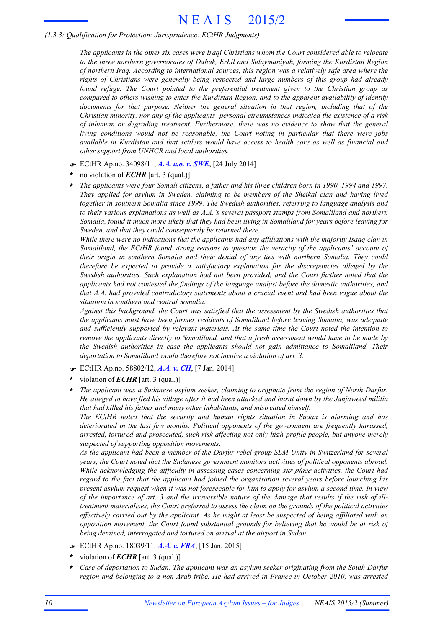*The applicants in the other six cases were Iraqi Christians whom the Court considered able to relocate to the three northern governorates of Dahuk, Erbil and Sulaymaniyah, forming the Kurdistan Region of northern Iraq. According to international sources, this region was a relatively safe area where the rights of Christians were generally being respected and large numbers of this group had already found refuge. The Court pointed to the preferential treatment given to the Christian group as compared to others wishing to enter the Kurdistan Region, and to the apparent availability of identity documents for that purpose. Neither the general situation in that region, including that of the Christian minority, nor any of the applicants' personal circumstances indicated the existence of a risk of inhuman or degrading treatment. Furthermore, there was no evidence to show that the general living conditions would not be reasonable, the Court noting in particular that there were jobs available in Kurdistan and that settlers would have access to health care as well as financial and other support from UNHCR and local authorities.*

- F ECtHR Ap.no. 34098/11, *A.A. a.o. v. SWE*, [24 July 2014]
- no violation of *ECHR* [art. 3 (qual.)] **\***
- The applicants were four Somali citizens, a father and his three children born in 1990, 1994 and 1997. *They applied for asylum in Sweden, claiming to be members of the Sheikal clan and having lived together in southern Somalia since 1999. The Swedish authorities, referring to language analysis and to their various explanations as well as A.A.'s several passport stamps from Somaliland and northern* Somalia, found it much more likely that they had been living in Somaliland for years before leaving for *Sweden, and that they could consequently be returned there.* **\***

*While there were no indications that the applicants had any affiliations with the majority Isaaq clan in Somaliland, the ECtHR found strong reasons to question the veracity of the applicants' account of their origin in southern Somalia and their denial of any ties with northern Somalia. They could therefore be expected to provide a satisfactory explanation for the discrepancies alleged by the Swedish authorities. Such explanation had not been provided, and the Court further noted that the applicants had not contested the findings of the language analyst before the domestic authorities, and that A.A. had provided contradictory statements about a crucial event and had been vague about the situation in southern and central Somalia.*

*Against this background, the Court was satisfied that the assessment by the Swedish authorities that the applicants must have been former residents of Somaliland before leaving Somalia, was adequate and sufficiently supported by relevant materials. At the same time the Court noted the intention to remove the applicants directly to Somaliland, and that a fresh assessment would have to be made by the Swedish authorities in case the applicants should not gain admittance to Somaliland. Their deportation to Somaliland would therefore not involve a violation of art. 3.*

- F ECtHR Ap.no. 58802/12, *A.A. v. CH*, [7 Jan. 2014]
- violation of *ECHR* [art. 3 (qual.)] **\***
- *The applicant was a Sudanese asylum seeker, claiming to originate from the region of North Darfur.* He alleged to have fled his village after it had been attacked and burnt down by the Janjaweed militia *that had killed his father and many other inhabitants, and mistreated himself.* **\***

*The ECtHR noted that the security and human rights situation in Sudan is alarming and has deteriorated in the last few months. Political opponents of the government are frequently harassed, arrested, tortured and prosecuted, such risk affecting not only high-profile people, but anyone merely suspected of supporting opposition movements.*

*As the applicant had been a member of the Darfur rebel group SLM-Unity in Switzerland for several years, the Court noted that the Sudanese government monitors activities of political opponents abroad. While acknowledging the difficulty in assessing cases concerning sur place activities, the Court had regard to the fact that the applicant had joined the organisation several years before launching his* present asylum request when it was not foreseeable for him to apply for asylum a second time. In view of the importance of art. 3 and the irreversible nature of the damage that results if the risk of ill*treatment materialises, the Court preferred to assess the claim on the grounds of the political activities* effectively carried out by the applicant. As he might at least be suspected of being affiliated with an *opposition movement, the Court found substantial grounds for believing that he would be at risk of being detained, interrogated and tortured on arrival at the airport in Sudan.*

- F ECtHR Ap.no. 18039/11, *A.A. v. FRA*, [15 Jan. 2015]
- violation of *ECHR* [art. 3 (qual.)] **\***
- *Case of deportation to Sudan. The applicant was an asylum seeker originating from the South Darfur region and belonging to a non-Arab tribe. He had arrived in France in October 2010, was arrested* **\***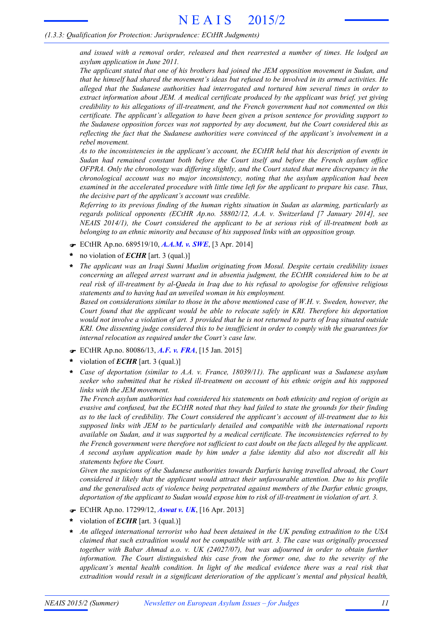*and issued with a removal order, released and then rearrested a number of times. He lodged an asylum application in June 2011.*

*The applicant stated that one of his brothers had joined the JEM opposition movement in Sudan, and* that he himself had shared the movement's ideas but refused to be involved in its armed activities. He *alleged that the Sudanese authorities had interrogated and tortured him several times in order to extract information about JEM. A medical certificate produced by the applicant was brief, yet giving credibility to his allegations of ill-treatment, and the French government had not commented on this certificate. The applicant's allegation to have been given a prison sentence for providing support to the Sudanese opposition forces was not supported by any document, but the Court considered this as reflecting the fact that the Sudanese authorities were convinced of the applicant's involvement in a rebel movement.*

*As to the inconsistencies in the applicant's account, the ECtHR held that his description of events in Sudan had remained constant both before the Court itself and before the French asylum office OFPRA. Only the chronology was differing slightly, and the Court stated that mere discrepancy in the chronological account was no major inconsistency, noting that the asylum application had been examined in the accelerated procedure with little time left for the applicant to prepare his case. Thus, the decisive part of the applicant's account was credible.*

*Referring to its previous finding of the human rights situation in Sudan as alarming, particularly as regards political opponents (ECtHR Ap.no. 58802/12, A.A. v. Switzerland [7 January 2014], see NEAIS 2014/1), the Court considered the applicant to be at serious risk of ill-treatment both as belonging to an ethnic minority and because of his supposed links with an opposition group.*

- F ECtHR Ap.no. 689519/10, *A.A.M. v. SWE*, [3 Apr. 2014]
- no violation of *ECHR* [art. 3 (qual.)] **\***
- *The applicant was an Iraqi Sunni Muslim originating from Mosul. Despite certain credibility issues concerning an alleged arrest warrant and in absentia judgment, the ECtHR considered him to be at real risk of ill-treatment by al-Qaeda in Iraq due to his refusal to apologise for offensive religious statements and to having had an unveiled woman in his employment.* **\***

*Based on considerations similar to those in the above mentioned case of W.H. v. Sweden, however, the Court found that the applicant would be able to relocate safely in KRI. Therefore his deportation* would not involve a violation of art. 3 provided that he is not returned to parts of Iraq situated outside *KRI. One dissenting judge considered this to be insufficient in order to comply with the guarantees for internal relocation as required under the Court's case law.*

- F ECtHR Ap.no. 80086/13, *A.F. v. FRA*, [15 Jan. 2015]
- violation of *ECHR* [art. 3 (qual.)] **\***
- *Case of deportation (similar to A.A. v. France, 18039/11). The applicant was a Sudanese asylum seeker who submitted that he risked ill-treatment on account of his ethnic origin and his supposed links with the JEM movement.* **\***

*The French asylum authorities had considered his statements on both ethnicity and region of origin as* evasive and confused, but the ECtHR noted that they had failed to state the grounds for their finding *as to the lack of credibility. The Court considered the applicant's account of ill-treatment due to his supposed links with JEM to be particularly detailed and compatible with the international reports available on Sudan, and it was supported by a medical certificate. The inconsistencies referred to by the French government were therefore not sufficient to cast doubt on the facts alleged by the applicant. A second asylum application made by him under a false identity did also not discredit all his statements before the Court.*

*Given the suspicions of the Sudanese authorities towards Darfuris having travelled abroad, the Court considered it likely that the applicant would attract their unfavourable attention. Due to his profile and the generalised acts of violence being perpetrated against members of the Darfur ethnic groups, deportation of the applicant to Sudan would expose him to risk of ill-treatment in violation of art. 3.*

- F ECtHR Ap.no. 17299/12, *Aswat v. UK*, [16 Apr. 2013]
- violation of *ECHR* [art. 3 (qual.)] **\***
- *An alleged international terrorist who had been detained in the UK pending extradition to the USA claimed that such extradition would not be compatible with art. 3. The case was originally processed together with Babar Ahmad a.o. v. UK (24027/07), but was adjourned in order to obtain further information. The Court distinguished this case from the former one, due to the severity of the applicant's mental health condition. In light of the medical evidence there was a real risk that extradition would result in a significant deterioration of the applicant's mental and physical health,* **\***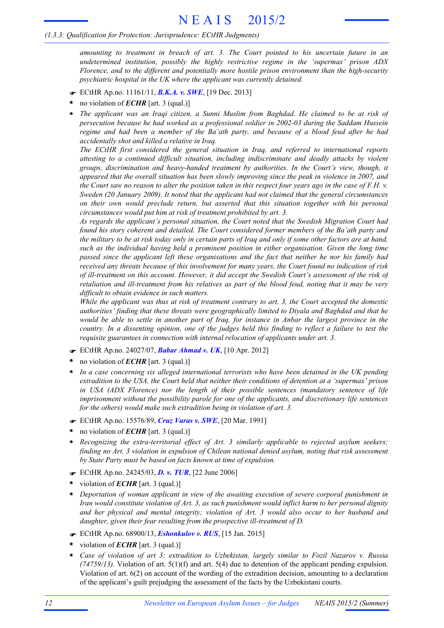*amounting to treatment in breach of art. 3. The Court pointed to his uncertain future in an undetermined institution, possibly the highly restrictive regime in the 'supermax' prison ADX Florence, and to the different and potentially more hostile prison environment than the high-security psychiatric hospital in the UK where the applicant was currently detained.*

- F ECtHR Ap.no. 11161/11, *B.K.A. v. SWE*, [19 Dec. 2013]
- no violation of *ECHR* [art. 3 (qual.)] **\***
- *The applicant was an Iraqi citizen, a Sunni Muslim from Baghdad. He claimed to be at risk of persecution because he had worked as a professional soldier in 2002-03 during the Saddam Hussein regime and had been a member of the Ba'ath party, and because of a blood feud after he had accidentally shot and killed a relative in Iraq.* **\***

*The ECtHR first considered the general situation in Iraq, and referred to international reports attesting to a continued difficult situation, including indiscriminate and deadly attacks by violent groups, discrimination and heavy-handed treatment by authorities. In the Court's view, though, it appeared that the overall situation has been slowly improving since the peak in violence in 2007, and* the Court saw no reason to alter the position taken in this respect four years ago in the case of  $F.H.$   $v.$ *Sweden (20 January 2009). It noted that the applicant had not claimed that the general circumstances on their own would preclude return, but asserted that this situation together with his personal circumstances would put him at risk of treatment prohibited by art. 3.*

*As regards the applicant's personal situation, the Court noted that the Swedish Migration Court had found his story coherent and detailed. The Court considered former members of the Ba'ath party and* the military to be at risk today only in certain parts of Iraq and only if some other factors are at hand, *such as the individual having held a prominent position in either organisation. Given the long time passed since the applicant left these organisations and the fact that neither he nor his family had received any threats because of this involvement for many years, the Court found no indication of risk of ill-treatment on this account. However, it did accept the Swedish Court's assessment of the risk of* retaliation and ill-treatment from his relatives as part of the blood feud, noting that it may be very *difficult to obtain evidence in such matters.*

While the applicant was thus at risk of treatment contrary to art. 3, the Court accepted the domestic *authorities' finding that these threats were geographically limited to Diyala and Baghdad and that he* would be able to settle in another part of Iraq, for instance in Anbar the largest province in the country. In a dissenting opinion, one of the judges held this finding to reflect a failure to test the *requisite guarantees in connection with internal relocation of applicants under art. 3.*

- F ECtHR Ap.no. 24027/07, *Babar Ahmad v. UK*, [10 Apr. 2012]
- no violation of *ECHR* [art. 3 (qual.)] **\***
- *In a case concerning six alleged international terrorists who have been detained in the UK pending extradition to the USA, the Court held that neither their conditions of detention at a 'supermax' prison in USA (ADX Florence) nor the length of their possible sentences (mandatory sentence of life imprisonment without the possibility parole for one of the applicants, and discretionary life sentences for the others) would make such extradition being in violation of art. 3.* **\***
- F ECtHR Ap.no. 15576/89, *Cruz Varas v. SWE*, [20 Mar. 1991]
- no violation of *ECHR* [art. 3 (qual.)] **\***
- *Recognizing the extra-territorial effect of Art. 3 similarly applicable to rejected asylum seekers;* **\*** *finding no Art. 3 violation in expulsion of Chilean national denied asylum, noting that risk assessment by State Party must be based on facts known at time of expulsion.*
- F ECtHR Ap.no. 24245/03, *D. v. TUR*, [22 June 2006]
- violation of *ECHR* [art. 3 (qual.)] **\***
- *Deportation of woman applicant in view of the awaiting execution of severe corporal punishment in* **\*** *Iran would constitute violation of Art. 3, as such punishment would inflict harm to her personal dignity and her physical and mental integrity; violation of Art. 3 would also occur to her husband and daughter, given their fear resulting from the prospective ill-treatment of D.*
- F ECtHR Ap.no. 68900/13, *Eshonkulov v. RUS*, [15 Jan. 2015]
- violation of *ECHR* [art. 3 (qual.)] **\***
- *Case of violation of art 3: extradition to Uzbekistan, largely similar to Fozil Nazarov v. Russia (74759/13).* Violation of art. 5(1)(f) and art. 5(4) due to detention of the applicant pending expulsion. Violation of art. 6(2) on account of the wording of the extradition decision, amounting to a declaration of the applicant's guilt prejudging the assessment of the facts by the Uzbekistani courts. **\***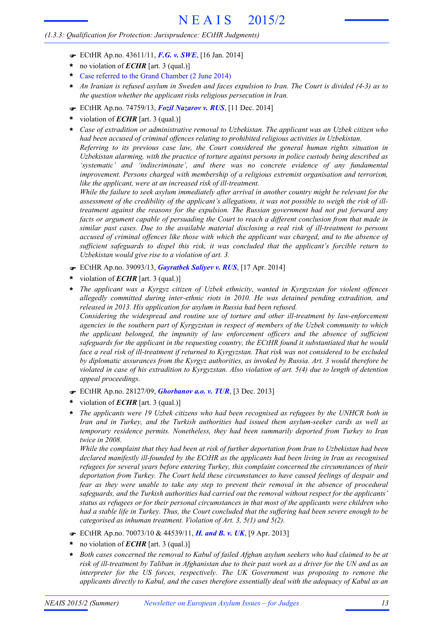- F ECtHR Ap.no. 43611/11, *F.G. v. SWE*, [16 Jan. 2014]
- no violation of *ECHR* [art. 3 (qual.)] **\***
- Case referred to the Grand Chamber (2 June 2014) **\***
- An Iranian is refused asylum in Sweden and faces expulsion to Iran. The Court is divided (4-3) as to *the question whether the applicant risks religious persecution in Iran.* **\***
- F ECtHR Ap.no. 74759/13, *Fozil Nazarov v. RUS*, [11 Dec. 2014]
- violation of *ECHR* [art. 3 (qual.)] **\***
- *Case of extradition or administrative removal to Uzbekistan. The applicant was an Uzbek citizen who had been accused of criminal offences relating to prohibited religious activities in Uzbekistan. Referring to its previous case law, the Court considered the general human rights situation in Uzbekistan alarming, with the practice of torture against persons in police custody being described as 'systematic' and 'indiscriminate', and there was no concrete evidence of any fundamental improvement. Persons charged with membership of a religious extremist organisation and terrorism,* **\***

*like the applicant, were at an increased risk of ill-treatment.*

*While the failure to seek asylum immediately after arrival in another country might be relevant for the* assessment of the credibility of the applicant's allegations, it was not possible to weigh the risk of ill*treatment against the reasons for the expulsion. The Russian government had not put forward any facts or argument capable of persuading the Court to reach a different conclusion from that made in similar past cases. Due to the available material disclosing a real risk of ill-treatment to persons accused of criminal offences like those with which the applicant was charged, and to the absence of sufficient safeguards to dispel this risk, it was concluded that the applicant's forcible return to Uzbekistan would give rise to a violation of art. 3.*

- F ECtHR Ap.no. 39093/13, *Gayratbek Saliyev v. RUS*, [17 Apr. 2014]
- violation of *ECHR* [art. 3 (qual.)] **\***
- *The applicant was a Kyrgyz citizen of Uzbek ethnicity, wanted in Kyrgyzstan for violent offences allegedly committed during inter-ethnic riots in 2010. He was detained pending extradition, and released in 2013. His application for asylum in Russia had been refused.* **\***

*Considering the widespread and routine use of torture and other ill-treatment by law-enforcement agencies in the southern part of Kyrgyzstan in respect of members of the Uzbek community to which the applicant belonged, the impunity of law enforcement officers and the absence of sufficient safeguards for the applicant in the requesting country, the ECtHR found it substantiated that he would* face a real risk of ill-treatment if returned to Kyrgyzstan. That risk was not considered to be excluded *by diplomatic assurances from the Kyrgyz authorities, as invoked by Russia. Art. 3 would therefore be* violated in case of his extradition to Kyrgyzstan. Also violation of art. 5(4) due to length of detention *appeal proceedings.*

- F ECtHR Ap.no. 28127/09, *Ghorbanov a.o. v. TUR*, [3 Dec. 2013]
- violation of *ECHR* [art. 3 (qual.)] **\***
- *The applicants were 19 Uzbek citizens who had been recognised as refugees by the UNHCR both in Iran and in Turkey, and the Turkish authorities had issued them asylum-seeker cards as well as temporary residence permits. Nonetheless, they had been summarily deported from Turkey to Iran twice in 2008.* **\***

While the complaint that they had been at risk of further deportation from Iran to Uzbekistan had been *declared manifestly ill-founded by the ECtHR as the applicants had been living in Iran as recognised refugees for several years before entering Turkey, this complaint concerned the circumstances of their deportation from Turkey. The Court held these circumstances to have caused feelings of despair and fear as they were unable to take any step to prevent their removal in the absence of procedural safeguards, and the Turkish authorities had carried out the removal without respect for the applicants' status as refugees or for their personal circumstances in that most of the applicants were children who* had a stable life in Turkey. Thus, the Court concluded that the suffering had been severe enough to be *categorised as inhuman treatment. Violation of Art. 3, 5(1) and 5(2).*

- F ECtHR Ap.no. 70073/10 & 44539/11, *H. and B. v. UK*, [9 Apr. 2013]
- no violation of *ECHR* [art. 3 (qual.)] **\***
- *Both cases concerned the removal to Kabul of failed Afghan asylum seekers who had claimed to be at* risk of ill-treatment by Taliban in Afghanistan due to their past work as a driver for the UN and as an *interpreter for the US forces, respectively. The UK Government was proposing to remove the applicants directly to Kabul, and the cases therefore essentially deal with the adequacy of Kabul as an* **\***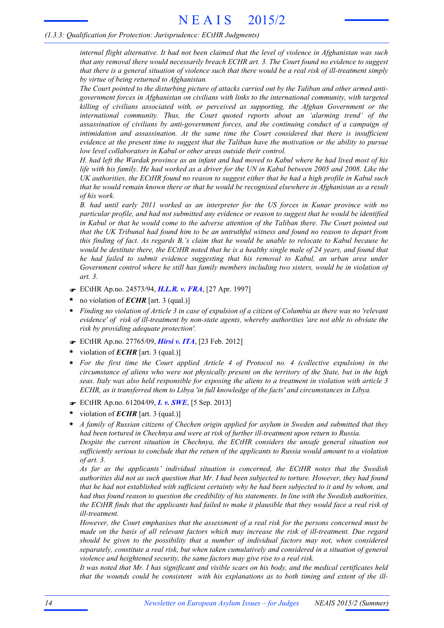*internal flight alternative. It had not been claimed that the level of violence in Afghanistan was such that any removal there would necessarily breach ECHR art. 3. The Court found no evidence to suggest* that there is a general situation of violence such that there would be a real risk of ill-treatment simply *by virtue of being returned to Afghanistan.*

The Court pointed to the disturbing picture of attacks carried out by the Taliban and other armed anti*government forces in Afghanistan on civilians with links to the international community, with targeted killing of civilians associated with, or perceived as supporting, the Afghan Government or the international community. Thus, the Court quoted reports about an 'alarming trend' of the assassination of civilians by anti-government forces, and the continuing conduct of a campaign of intimidation and assassination. At the same time the Court considered that there is insufficient* evidence at the present time to suggest that the Taliban have the motivation or the ability to pursue *low level collaborators in Kabul or other areas outside their control.*

H, had left the Wardak province as an infant and had moved to Kabul where he had lived most of his life with his family. He had worked as a driver for the UN in Kabul between 2005 and 2008. Like the UK authorities, the ECtHR found no reason to suggest either that he had a high profile in Kabul such that he would remain known there or that he would be recognised elsewhere in Afghanistan as a result *of his work.*

*B. had until early 2011 worked as an interpreter for the US forces in Kunar province with no particular profile, and had not submitted any evidence or reason to suggest that he would be identified* in Kabul or that he would come to the adverse attention of the Taliban there. The Court pointed out that the UK Tribunal had found him to be an untruthful witness and found no reason to depart from this finding of fact. As regards B.'s claim that he would be unable to relocate to Kabul because he would be destitute there, the ECtHR noted that he is a healthy single male of 24 years, and found that *he had failed to submit evidence suggesting that his removal to Kabul, an urban area under Government control where he still has family members including two sisters, would be in violation of art. 3.*

- F ECtHR Ap.no. 24573/94, *H.L.R. v. FRA*, [27 Apr. 1997]
- no violation of *ECHR* [art. 3 (qual.)] **\***
- Finding no violation of Article 3 in case of expulsion of a citizen of Columbia as there was no 'relevant' *evidence' of risk of ill-treatment by non-state agents, whereby authorities 'are not able to obviate the risk by providing adequate protection'.*
- F ECtHR Ap.no. 27765/09, *Hirsi v. ITA*, [23 Feb. 2012]
- violation of *ECHR* [art. 3 (qual.)] **\***
- *For the first time the Court applied Article 4 of Protocol no. 4 (collective expulsion) in the* circumstance of aliens who were not physically present on the territory of the State, but in the high seas. Italy was also held responsible for exposing the aliens to a treatment in violation with article 3 *ECHR, as it transferred them to Libya 'in full knowledge of the facts' and circumstances in Libya.* **\***
- F ECtHR Ap.no. 61204/09, *I. v. SWE*, [5 Sep. 2013]
- violation of *ECHR* [art. 3 (qual.)] **\***
- *A family of Russian citizens of Chechen origin applied for asylum in Sweden and submitted that they had been tortured in Chechnya and were at risk of further ill-treatment upon return to Russia. Despite the current situation in Chechnya, the ECtHR considers the unsafe general situation not sufficiently serious to conclude that the return of the applicants to Russia would amount to a violation of art. 3.* **\***

*As far as the applicants' individual situation is concerned, the ECtHR notes that the Swedish* authorities did not as such question that Mr. I had been subjected to torture. However, they had found that he had not established with sufficient certainty why he had been subjected to it and by whom, and had thus found reason to question the credibility of his statements. In line with the Swedish authorities, the ECtHR finds that the applicants had failed to make it plausible that they would face a real risk of *ill-treatment.*

*However, the Court emphasises that the assessment of a real risk for the persons concerned must be made on the basis of all relevant factors which may increase the risk of ill-treatment. Due regard should be given to the possibility that a number of individual factors may not, when considered separately, constitute a real risk, but when taken cumulatively and considered in a situation of general violence and heightened security, the same factors may give rise to a real risk.*

It was noted that Mr. I has significant and visible scars on his body, and the medical certificates held *that the wounds could be consistent with his explanations as to both timing and extent of the ill-*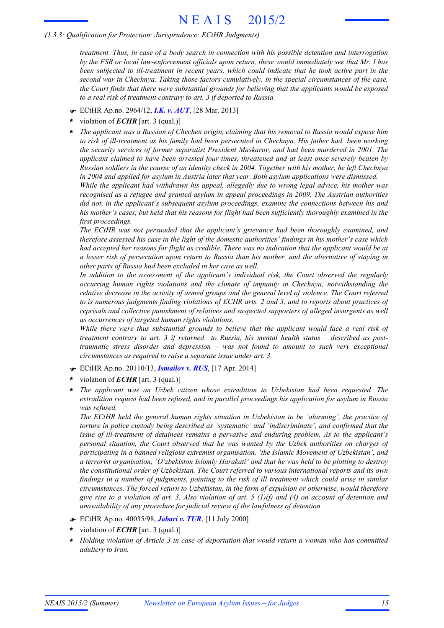# *(1.3.3: Qualification for Protection: Jurisprudence: ECtHR Judgments)*

*treatment. Thus, in case of a body search in connection with his possible detention and interrogation by the FSB or local law-enforcement officials upon return, these would immediately see that Mr. I has been subjected to ill-treatment in recent years, which could indicate that he took active part in the second war in Chechnya. Taking those factors cumulatively, in the special circumstances of the case, the Court finds that there were substantial grounds for believing that the applicants would be exposed to a real risk of treatment contrary to art. 3 if deported to Russia.*

- F ECtHR Ap.no. 2964/12, *I.K. v. AUT*, [28 Mar. 2013]
- violation of *ECHR* [art. 3 (qual.)] **\***
- *The applicant was a Russian of Chechen origin, claiming that his removal to Russia would expose him to risk of ill-treatment as his family had been persecuted in Chechnya. His father had been working the security services of former separatist President Maskarov, and had been murdered in 2001. The applicant claimed to have been arrested four times, threatened and at least once severely beaten by* Russian soldiers in the course of an identity check in 2004. Together with his mother, he left Chechnya *in 2004 and applied for asylum in Austria later that year. Both asylum applications were dismissed.* **\***

*While the applicant had withdrawn his appeal, allegedly due to wrong legal advice, his mother was recognised as a refugee and granted asylum in appeal proceedings in 2009. The Austrian authorities did not, in the applicant's subsequent asylum proceedings, examine the connections between his and his mother's cases, but held that his reasons for flight had been sufficiently thoroughly examined in the first proceedings.*

*The ECtHR was not persuaded that the applicant's grievance had been thoroughly examined, and therefore assessed his case in the light of the domestic authorities' findings in his mother's case which* had accepted her reasons for flight as credible. There was no indication that the applicant would be at a lesser risk of persecution upon return to Russia than his mother, and the alternative of staying in *other parts of Russia had been excluded in her case as well.*

*In addition to the assessment of the applicant's individual risk, the Court observed the regularly occurring human rights violations and the climate of impunity in Chechnya, notwithstanding the relative decrease in the activity of armed groups and the general level of violence. The Court referred* to is numerous judgments finding violations of ECHR arts. 2 and 3, and to reports about practices of *reprisals and collective punishment of relatives and suspected supporters of alleged insurgents as well as occurrences of targeted human rights violations.*

*While there were thus substantial grounds to believe that the applicant would face a real risk of treatment contrary to art. 3 if returned to Russia, his mental health status – described as posttraumatic stress disorder and depression – was not found to amount to such very exceptional circumstances as required to raise a separate issue under art. 3.*

- F ECtHR Ap.no. 20110/13, *Ismailov v. RUS*, [17 Apr. 2014]
- violation of *ECHR* [art. 3 (qual.)] **\***
- *The applicant was an Uzbek citizen whose extradition to Uzbekistan had been requested. The extradition request had been refused, and in parallel proceedings his application for asylum in Russia was refused.* **\***

*The ECtHR held the general human rights situation in Uzbekistan to be 'alarming', the practice of torture in police custody being described as 'systematic' and 'indiscriminate', and confirmed that the issue of ill-treatment of detainees remains a pervasive and enduring problem. As to the applicant's personal situation, the Court observed that he was wanted by the Uzbek authorities on charges of participating in a banned religious extremist organisation, 'the Islamic Movement of Uzbekistan', and a terrorist organisation, 'O'zbekiston Islomiy Harakati' and that he was held to be plotting to destroy the constitutional order of Uzbekistan. The Court referred to various international reports and its own* findings in a number of judgments, pointing to the risk of ill treatment which could arise in similar *circumstances. The forced return to Uzbekistan, in the form of expulsion or otherwise, would therefore* give rise to a violation of art. 3. Also violation of art. 5 (1)(f) and (4) on account of detention and *unavailability of any procedure for judicial review of the lawfulness of detention.*

- F ECtHR Ap.no. 40035/98, *Jabari v. TUR*, [11 July 2000]
- violation of *ECHR* [art. 3 (qual.)] **\***
- *Holding violation of Article 3 in case of deportation that would return a woman who has committed adultery to Iran.* **\***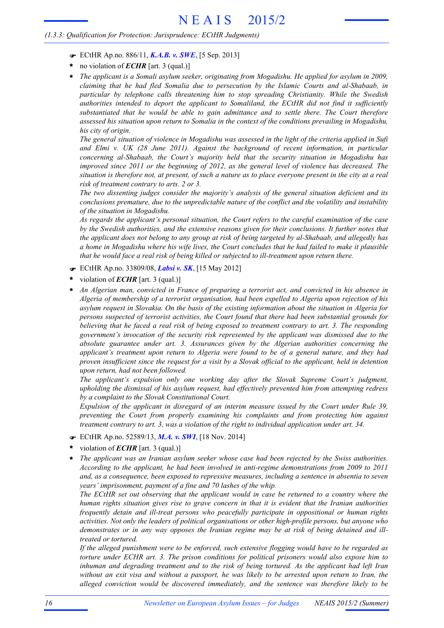- F ECtHR Ap.no. 886/11, *K.A.B. v. SWE*, [5 Sep. 2013]
- no violation of *ECHR* [art. 3 (qual.)] **\***
- *The applicant is a Somali asylum seeker, originating from Mogadishu. He applied for asylum in 2009, claiming that he had fled Somalia due to persecution by the Islamic Courts and al-Shabaab, in particular by telephone calls threatening him to stop spreading Christianity. While the Swedish authorities intended to deport the applicant to Somaliland, the ECtHR did not find it sufficiently substantiated that he would be able to gain admittance and to settle there. The Court therefore assessed his situation upon return to Somalia in the context of the conditions prevailing in Mogadishu, his city of origin.* **\***

The general situation of violence in Mogadishu was assessed in the light of the criteria applied in Sufi *and Elmi v. UK (28 June 2011). Against the background of recent information, in particular concerning al-Shabaab, the Court's majority held that the security situation in Mogadishu has improved since 2011 or the beginning of 2012, as the general level of violence has decreased. The* situation is therefore not, at present, of such a nature as to place everyone present in the city at a real *risk of treatment contrary to arts. 2 or 3.*

*The two dissenting judges consider the majority's analysis of the general situation deficient and its conclusions premature, due to the unpredictable nature of the conflict and the volatility and instability of the situation in Mogadishu.*

*As regards the applicant's personal situation, the Court refers to the careful examination of the case by the Swedish authorities, and the extensive reasons given for their conclusions. It further notes that* the applicant does not belong to any group at risk of being targeted by al-Shabaab, and allegedly has a home in Mogadishu where his wife lives, the Court concludes that he had failed to make it plausible *that he would face a real risk of being killed or subjected to ill-treatment upon return there.*

- F ECtHR Ap.no. 33809/08, *Labsi v. SK*, [15 May 2012]
- violation of *ECHR* [art. 3 (qual.)] **\***
- *An Algerian man, convicted in France of preparing a terrorist act, and convicted in his absence in Algeria of membership of a terrorist organisation, had been expelled to Algeria upon rejection of his asylum request in Slovakia. On the basis of the existing information about the situation in Algeria for persons suspected of terrorist activities, the Court found that there had been substantial grounds for* believing that he faced a real risk of being exposed to treatment contrary to art. 3. The responding *government's invocation of the security risk represented by the applicant was dismissed due to the absolute guarantee under art. 3. Assurances given by the Algerian authorities concerning the applicant's treatment upon return to Algeria were found to be of a general nature, and they had* proven insufficient since the request for a visit by a Slovak official to the applicant, held in detention *upon return, had not been followed.* **\***

*The applicant's expulsion only one working day after the Slovak Supreme Court's judgment, upholding the dismissal of his asylum request, had effectively prevented him from attempting redress by a complaint to the Slovak Constitutional Court.*

*Expulsion of the applicant in disregard of an interim measure issued by the Court under Rule 39, preventing the Court from properly examining his complaints and from protecting him against treatment contrary to art. 3, was a violation of the right to individual application under art. 34.*

- F ECtHR Ap.no. 52589/13, *M.A. v. SWI*, [18 Nov. 2014]
- violation of *ECHR* [art. 3 (qual.)] **\***
- *The applicant was an Iranian asylum seeker whose case had been rejected by the Swiss authorities. According to the applicant, he had been involved in anti-regime demonstrations from 2009 to 2011 and, as a consequence, been exposed to repressive measures, including a sentence in absentia to seven years' imprisonment, payment of a fine and 70 lashes of the whip.* **\***

*The ECtHR set out observing that the applicant would in case be returned to a country where the human rights situation gives rise to grave concern in that it is evident that the Iranian authorities frequently detain and ill-treat persons who peacefully participate in oppositional or human rights activities. Not only the leaders of political organisations or other high-profile persons, but anyone who demonstrates or in any way opposes the Iranian regime may be at risk of being detained and illtreated or tortured.*

*If the alleged punishment were to be enforced, such extensive flogging would have to be regarded as torture under ECHR art. 3. The prison conditions for political prisoners would also expose him to inhuman and degrading treatment and to the risk of being tortured. As the applicant had left Iran* without an exit visa and without a passport, he was likely to be arrested upon return to Iran, the *alleged conviction would be discovered immediately, and the sentence was therefore likely to be*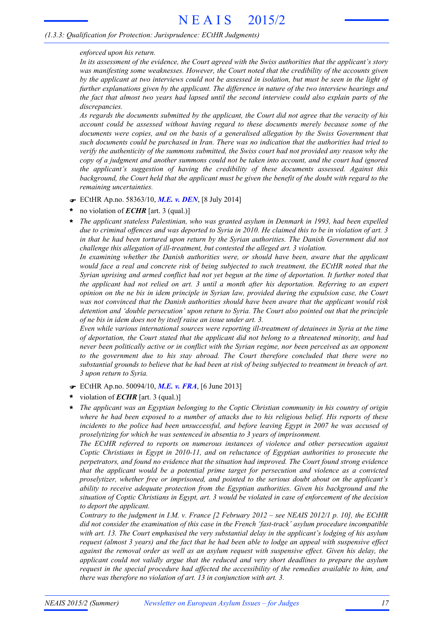### *enforced upon his return.*

*In its assessment of the evidence, the Court agreed with the Swiss authorities that the applicant's story was manifesting some weaknesses. However, the Court noted that the credibility of the accounts given* by the applicant at two interviews could not be assessed in isolation, but must be seen in the light of *further explanations given by the applicant. The difference in nature of the two interview hearings and* the fact that almost two years had lapsed until the second interview could also explain parts of the *discrepancies.*

As regards the documents submitted by the applicant, the Court did not agree that the veracity of his *account could be assessed without having regard to these documents merely because some of the documents were copies, and on the basis of a generalised allegation by the Swiss Government that such documents could be purchased in Iran. There was no indication that the authorities had tried to verify the authenticity of the summons submitted, the Swiss court had not provided any reason why the copy of a judgment and another summons could not be taken into account, and the court had ignored the applicant's suggestion of having the credibility of these documents assessed. Against this* background, the Court held that the applicant must be given the benefit of the doubt with regard to the *remaining uncertainties.*

- F ECtHR Ap.no. 58363/10, *M.E. v. DEN*, [8 July 2014]
- no violation of *ECHR* [art. 3 (qual.)] **\***
- *The applicant stateless Palestinian, who was granted asylum in Denmark in 1993, had been expelled* due to criminal offences and was deported to Syria in 2010. He claimed this to be in violation of art. 3 *in that he had been tortured upon return by the Syrian authorities. The Danish Government did not challenge this allegation of ill-treatment, but contested the alleged art. 3 violation.* **\***

*In examining whether the Danish authorities were, or should have been, aware that the applicant would face a real and concrete risk of being subjected to such treatment, the ECtHR noted that the* Syrian uprising and armed conflict had not yet begun at the time of deportation. It further noted that *the applicant had not relied on art. 3 until a month after his deportation. Referring to an expert* opinion on the ne bis in idem principle in Syrian law, provided during the expulsion case, the Court *was not convinced that the Danish authorities should have been aware that the applicant would risk detention and 'double persecution' upon return to Syria. The Court also pointed out that the principle of ne bis in idem does not by itself raise an issue under art. 3.*

*Even while various international sources were reporting ill-treatment of detainees in Syria at the time of deportation, the Court stated that the applicant did not belong to a threatened minority, and had never been politically active or in conflict with the Syrian regime, nor been perceived as an opponent to the government due to his stay abroad. The Court therefore concluded that there were no* substantial grounds to believe that he had been at risk of being subjected to treatment in breach of art. *3 upon return to Syria.*

- F ECtHR Ap.no. 50094/10, *M.E. v. FRA*, [6 June 2013]
- violation of *ECHR* [art. 3 (qual.)] **\***
- *The applicant was an Egyptian belonging to the Coptic Christian community in his country of origin* where he had been exposed to a number of attacks due to his religious belief. His reports of these *incidents to the police had been unsuccessful, and before leaving Egypt in 2007 he was accused of proselytizing for which he was sentenced in absentia to 3 years of imprisonment.* **\***

*The ECtHR referred to reports on numerous instances of violence and other persecution against Coptic Christians in Egypt in 2010-11, and on reluctance of Egyptian authorities to prosecute the perpetrators, and found no evidence that the situation had improved. The Court found strong evidence that the applicant would be a potential prime target for persecution and violence as a convicted proselytizer, whether free or imprisoned, and pointed to the serious doubt about on the applicant's ability to receive adequate protection from the Egyptian authorities. Given his background and the* situation of Coptic Christians in Egypt, art. 3 would be violated in case of enforcement of the decision *to deport the applicant.*

Contrary to the judgment in I.M. v. France [2 February 2012 – see NEAIS 2012/1 p. 10], the ECtHR *did not consider the examination of this case in the French 'fast-track' asylum procedure incompatible with art. 13. The Court emphasised the very substantial delay in the applicant's lodging of his asylum* request (almost 3 years) and the fact that he had been able to lodge an appeal with suspensive effect *against the removal order as well as an asylum request with suspensive effect. Given his delay, the applicant could not validly argue that the reduced and very short deadlines to prepare the asylum request in the special procedure had affected the accessibility of the remedies available to him, and there was therefore no violation of art. 13 in conjunction with art. 3.*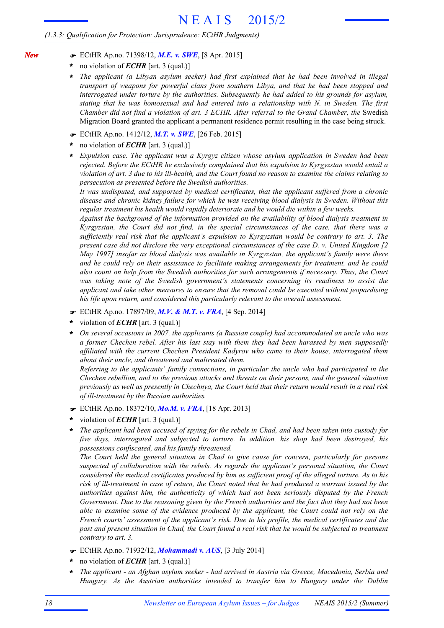- F ECtHR Ap.no. 71398/12, *M.E. v. SWE*, [8 Apr. 2015]
- no violation of *ECHR* [art. 3 (qual.)] **\***

*New*

- *The applicant (a Libyan asylum seeker) had first explained that he had been involved in illegal transport of weapons for powerful clans from southern Libya, and that he had been stopped and interrogated under torture by the authorities. Subsequently he had added to his grounds for asylum, stating that he was homosexual and had entered into a relationship with N. in Sweden. The first Chamber did not find a violation of art. 3 ECHR. After referral to the Grand Chamber, the* Swedish Migration Board granted the applicant a permanent residence permit resulting in the case being struck. **\***
- F ECtHR Ap.no. 1412/12, *M.T. v. SWE*, [26 Feb. 2015]
- no violation of *ECHR* [art. 3 (qual.)] **\***
- *Expulsion case. The applicant was a Kyrgyz citizen whose asylum application in Sweden had been rejected. Before the ECtHR he exclusively complained that his expulsion to Kyrgyzstan would entail a* violation of art. 3 due to his ill-health, and the Court found no reason to examine the claims relating to *persecution as presented before the Swedish authorities.* **\***

*It was undisputed, and supported by medical certificates, that the applicant suffered from a chronic disease and chronic kidney failure for which he was receiving blood dialysis in Sweden. Without this regular treatment his health would rapidly deteriorate and he would die within a few weeks.*

*Against the background of the information provided on the availability of blood dialysis treatment in Kyrgyzstan, the Court did not find, in the special circumstances of the case, that there was a sufficiently real risk that the applicant's expulsion to Kyrgyzstan would be contrary to art. 3. The present case did not disclose the very exceptional circumstances of the case D. v. United Kingdom [2 May 1997] insofar as blood dialysis was available in Kyrgyzstan, the applicant's family were there and he could rely on their assistance to facilitate making arrangements for treatment, and he could also count on help from the Swedish authorities for such arrangements if necessary. Thus, the Court was taking note of the Swedish government's statements concerning its readiness to assist the applicant and take other measures to ensure that the removal could be executed without jeopardising his life upon return, and considered this particularly relevant to the overall assessment.*

- F ECtHR Ap.no. 17897/09, *M.V. & M.T. v. FRA*, [4 Sep. 2014]
- violation of *ECHR* [art. 3 (qual.)] **\***
- *On several occasions in 2007, the applicants (a Russian couple) had accommodated an uncle who was a former Chechen rebel. After his last stay with them they had been harassed by men supposedly affiliated with the current Chechen President Kadyrov who came to their house, interrogated them about their uncle, and threatened and maltreated them.* **\***

*Referring to the applicants' family connections, in particular the uncle who had participated in the Chechen rebellion, and to the previous attacks and threats on their persons, and the general situation* previously as well as presently in Chechnya, the Court held that their return would result in a real risk *of ill-treatment by the Russian authorities.*

- F ECtHR Ap.no. 18372/10, *Mo.M. v. FRA*, [18 Apr. 2013]
- violation of *ECHR* [art. 3 (qual.)] **\***
- The applicant had been accused of spying for the rebels in Chad, and had been taken into custody for *five days, interrogated and subjected to torture. In addition, his shop had been destroyed, his possessions confiscated, and his family threatened.* **\***

*The Court held the general situation in Chad to give cause for concern, particularly for persons suspected of collaboration with the rebels. As regards the applicant's personal situation, the Court considered the medical certificates produced by him as sufficient proof of the alleged torture. As to his* risk of ill-treatment in case of return, the Court noted that he had produced a warrant issued by the *authorities against him, the authenticity of which had not been seriously disputed by the French* Government. Due to the reasoning given by the French authorities and the fact that they had not been *able to examine some of the evidence produced by the applicant, the Court could not rely on the French courts' assessment of the applicant's risk. Due to his profile, the medical certificates and the* past and present situation in Chad, the Court found a real risk that he would be subjected to treatment *contrary to art. 3.*

- F ECtHR Ap.no. 71932/12, *Mohammadi v. AUS*, [3 July 2014]
- no violation of *ECHR* [art. 3 (qual.)] **\***
- *The applicant - an Afghan asylum seeker - had arrived in Austria via Greece, Macedonia, Serbia and Hungary. As the Austrian authorities intended to transfer him to Hungary under the Dublin* **\***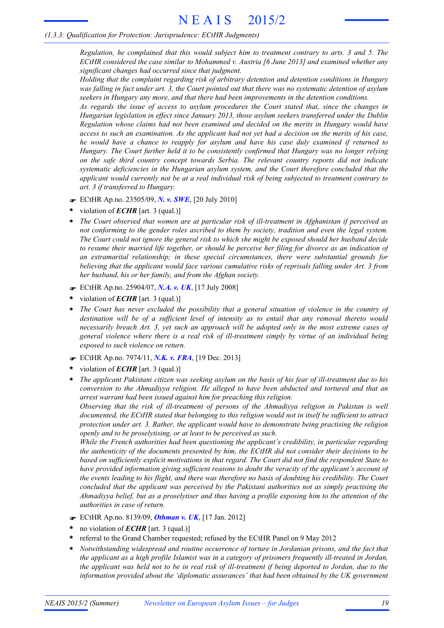*Regulation, he complained that this would subject him to treatment contrary to arts. 3 and 5. The ECtHR considered the case similar to Mohammed v. Austria [6 June 2013] and examined whether any significant changes had occurred since that judgment.*

*Holding that the complaint regarding risk of arbitrary detention and detention conditions in Hungary* was falling in fact under art. 3, the Court pointed out that there was no systematic detention of asylum *seekers in Hungary any more, and that there had been improvements in the detention conditions.*

*As regards the issue of access to asylum procedures the Court stated that, since the changes in Hungarian legislation in effect since January 2013, those asylum seekers transferred under the Dublin Regulation whose claims had not been examined and decided on the merits in Hungary would have* access to such an examination. As the applicant had not yet had a decision on the merits of his case, *he would have a chance to reapply for asylum and have his case duly examined if returned to Hungary. The Court further held it to be consistently confirmed that Hungary was no longer relying on the safe third country concept towards Serbia. The relevant country reports did not indicate systematic deficiencies in the Hungarian asylum system, and the Court therefore concluded that the applicant would currently not be at a real individual risk of being subjected to treatment contrary to art. 3 if transferred to Hungary.*

- F ECtHR Ap.no. 23505/09, *N. v. SWE*, [20 July 2010]
- violation of *ECHR* [art. 3 (qual.)] **\***
- *The Court observed that women are at particular risk of ill-treatment in Afghanistan if perceived as not conforming to the gender roles ascribed to them by society, tradition and even the legal system.* The Court could not ignore the general risk to which she might be exposed should her husband decide to resume their married life together, or should he perceive her filing for divorce as an indication of *an extramarital relationship; in these special circumstances, there were substantial grounds for believing that the applicant would face various cumulative risks of reprisals falling under Art. 3 from her husband, his or her family, and from the Afghan society.* **\***
- F ECtHR Ap.no. 25904/07, *N.A. v. UK*, [17 July 2008]
- violation of *ECHR* [art. 3 (qual.)] **\***
- \* The Court has never excluded the possibility that a general situation of violence in the country of *destination will be of a sufficient level of intensity as to entail that any removal thereto would necessarily breach Art. 3, yet such an approach will be adopted only in the most extreme cases of general violence where there is a real risk of ill-treatment simply by virtue of an individual being exposed to such violence on return.*
- F ECtHR Ap.no. 7974/11, *N.K. v. FRA*, [19 Dec. 2013]
- violation of *ECHR* [art. 3 (qual.)] **\***
- The applicant Pakistani citizen was seeking asylum on the basis of his fear of ill-treatment due to his *conversion to the Ahmadiyya religion. He alleged to have been abducted and tortured and that an arrest warrant had been issued against him for preaching this religion.* **\***

*Observing that the risk of ill-treatment of persons of the Ahmadiyya religion in Pakistan is well documented, the ECtHR stated that belonging to this religion would not in itself be sufficient to attract protection under art. 3. Rather, the applicant would have to demonstrate being practising the religion openly and to be proselytising, or at least to be perceived as such.*

*While the French authorities had been questioning the applicant's credibility, in particular regarding the authenticity of the documents presented by him, the ECtHR did not consider their decisions to be based on sufficiently explicit motivations in that regard. The Court did not find the respondent State to have provided information giving sufficient reasons to doubt the veracity of the applicant's account of* the events leading to his flight, and there was therefore no basis of doubting his credibility. The Court *concluded that the applicant was perceived by the Pakistani authorities not as simply practising the* Ahmadiyya belief, but as a proselytiser and thus having a profile exposing him to the attention of the *authorities in case of return.*

- F ECtHR Ap.no. 8139/09, *Othman v. UK*, [17 Jan. 2012]
- no violation of *ECHR* [art. 3 (qual.)] **\***
- referral to the Grand Chamber requested; refused by the ECtHR Panel on 9 May 2012 **\***
- *Notwithstanding widespread and routine occurrence of torture in Jordanian prisons, and the fact that the applicant as a high profile Islamist was in a category of prisoners frequently ill-treated in Jordan,* the applicant was held not to be in real risk of ill-treatment if being deported to Jordan, due to the *information provided about the 'diplomatic assurances' that had been obtained by the UK government* **\***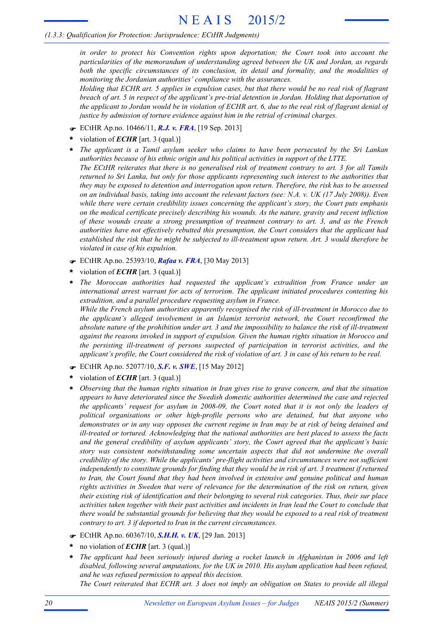*in order to protect his Convention rights upon deportation; the Court took into account the particularities of the memorandum of understanding agreed between the UK and Jordan, as regards both the specific circumstances of its conclusion, its detail and formality, and the modalities of monitoring the Jordanian authorities' compliance with the assurances.*

Holding that ECHR art. 5 applies in expulsion cases, but that there would be no real risk of flagrant *breach of art. 5 in respect of the applicant's pre-trial detention in Jordan. Holding that deportation of* the applicant to Jordan would be in violation of ECHR art. 6, due to the real risk of flagrant denial of *justice by admission of torture evidence against him in the retrial of criminal charges.*

- F ECtHR Ap.no. 10466/11, *R.J. v. FRA*, [19 Sep. 2013]
- violation of *ECHR* [art. 3 (qual.)] **\***
- *The applicant is a Tamil asylum seeker who claims to have been persecuted by the Sri Lankan authorities because of his ethnic origin and his political activities in support of the LTTE.* The ECtHR reiterates that there is no generalised risk of treatment contrary to art. 3 for all Tamils *returned to Sri Lanka, but only for those applicants representing such interest to the authorities that they may be exposed to detention and interrogation upon return. Therefore, the risk has to be assessed* on an individual basis, taking into account the relevant factors (see: N.A. v. UK (17 July 2008)). Even *while there were certain credibility issues concerning the applicant's story, the Court puts emphasis on the medical certificate precisely describing his wounds. As the nature, gravity and recent infliction of these wounds create a strong presumption of treatment contrary to art. 3, and as the French authorities have not effectively rebutted this presumption, the Court considers that the applicant had established the risk that he might be subjected to ill-treatment upon return. Art. 3 would therefore be violated in case of his expulsion.* **\***
- F ECtHR Ap.no. 25393/10, *Rafaa v. FRA*, [30 May 2013]
- violation of *ECHR* [art. 3 (qual.)] **\***
- *The Moroccan authorities had requested the applicant's extradition from France under an international arrest warrant for acts of terrorism. The applicant initiated procedures contesting his extradition, and a parallel procedure requesting asylum in France.* **\***

*While the French asylum authorities apparently recognised the risk of ill-treatment in Morocco due to the applicant's alleged involvement in an Islamist terrorist network, the Court reconfirmed the* absolute nature of the prohibition under art. 3 and the impossibility to balance the risk of ill-treatment *against the reasons invoked in support of expulsion. Given the human rights situation in Morocco and the persisting ill-treatment of persons suspected of participation in terrorist activities, and the applicant's profile, the Court considered the risk of violation of art. 3 in case of his return to be real.*

- F ECtHR Ap.no. 52077/10, *S.F. v. SWE*, [15 May 2012]
- violation of *ECHR* [art. 3 (qual.)] **\***
- *Observing that the human rights situation in Iran gives rise to grave concern, and that the situation appears to have deteriorated since the Swedish domestic authorities determined the case and rejected the applicants' request for asylum in 2008-09, the Court noted that it is not only the leaders of political organisations or other high-profile persons who are detained, but that anyone who* demonstrates or in any way opposes the current regime in Iran may be at risk of being detained and *ill-treated or tortured. Acknowledging that the national authorities are best placed to assess the facts and the general credibility of asylum applicants' story, the Court agreed that the applicant's basic story was consistent notwithstanding some uncertain aspects that did not undermine the overall credibility of the story. While the applicants' pre-flight activities and circumstances were not sufficient* independently to constitute grounds for finding that they would be in risk of art. 3 treatment if returned *to Iran, the Court found that they had been involved in extensive and genuine political and human rights activities in Sweden that were of relevance for the determination of the risk on return, given their existing risk of identification and their belonging to several risk categories. Thus, their sur place* activities taken together with their past activities and incidents in Iran lead the Court to conclude that there would be substantial grounds for believing that they would be exposed to a real risk of treatment *contrary to art. 3 if deported to Iran in the current circumstances.* **\***
- F ECtHR Ap.no. 60367/10, *S.H.H. v. UK*, [29 Jan. 2013]
- no violation of *ECHR* [art. 3 (qual.)] **\***
- *The applicant had been seriously injured during a rocket launch in Afghanistan in 2006 and left disabled, following several amputations, for the UK in 2010. His asylum application had been refused, and he was refused permission to appeal this decision.* **\***

The Court reiterated that ECHR art. 3 does not imply an obligation on States to provide all illegal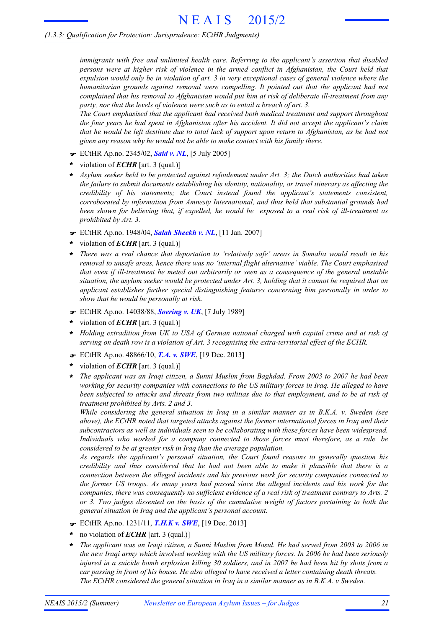*immigrants with free and unlimited health care. Referring to the applicant's assertion that disabled persons were at higher risk of violence in the armed conflict in Afghanistan, the Court held that* expulsion would only be in violation of art. 3 in very exceptional cases of general violence where the *humanitarian grounds against removal were compelling. It pointed out that the applicant had not complained that his removal to Afghanistan would put him at risk of deliberate ill-treatment from any party, nor that the levels of violence were such as to entail a breach of art. 3.*

*The Court emphasised that the applicant had received both medical treatment and support throughout* the four years he had spent in Afghanistan after his accident. It did not accept the applicant's claim that he would be left destitute due to total lack of support upon return to Afghanistan, as he had not *given any reason why he would not be able to make contact with his family there.*

- F ECtHR Ap.no. 2345/02, *Said v. NL*, [5 July 2005]
- violation of *ECHR* [art. 3 (qual.)] **\***
- *Asylum seeker held to be protected against refoulement under Art. 3; the Dutch authorities had taken* **\*** *the failure to submit documents establishing his identity, nationality, or travel itinerary as affecting the credibility of his statements; the Court instead found the applicant's statements consistent, corroborated by information from Amnesty International, and thus held that substantial grounds had been shown for believing that, if expelled, he would be exposed to a real risk of ill-treatment as prohibited by Art. 3.*
- F ECtHR Ap.no. 1948/04, *Salah Sheekh v. NL*, [11 Jan. 2007]
- violation of *ECHR* [art. 3 (qual.)] **\***
- *There was a real chance that deportation to 'relatively safe' areas in Somalia would result in his removal to unsafe areas, hence there was no 'internal flight alternative' viable. The Court emphasised that even if ill-treatment be meted out arbitrarily or seen as a consequence of the general unstable* situation, the asylum seeker would be protected under Art. 3, holding that it cannot be required that an *applicant establishes further special distinguishing features concerning him personally in order to show that he would be personally at risk.* **\***
- F ECtHR Ap.no. 14038/88, *Soering v. UK*, [7 July 1989]
- violation of *ECHR* [art. 3 (qual.)] **\***
- *Holding extradition from UK to USA of German national charged with capital crime and at risk of serving on death row is a violation of Art. 3 recognising the extra-territorial effect of the ECHR.* **\***
- F ECtHR Ap.no. 48866/10, *T.A. v. SWE*, [19 Dec. 2013]
- violation of *ECHR* [art. 3 (qual.)] **\***
- *The applicant was an Iraqi citizen, a Sunni Muslim from Baghdad. From 2003 to 2007 he had been working for security companies with connections to the US military forces in Iraq. He alleged to have* been subjected to attacks and threats from two militias due to that employment, and to be at risk of *treatment prohibited by Arts. 2 and 3.* **\***

*While considering the general situation in Iraq in a similar manner as in B.K.A. v. Sweden (see above), the ECtHR noted that targeted attacks against the former international forces in Iraq and their subcontractors as well as individuals seen to be collaborating with these forces have been widespread. Individuals who worked for a company connected to those forces must therefore, as a rule, be considered to be at greater risk in Iraq than the average population.*

*As regards the applicant's personal situation, the Court found reasons to generally question his credibility and thus considered that he had not been able to make it plausible that there is a connection between the alleged incidents and his previous work for security companies connected to the former US troops. As many years had passed since the alleged incidents and his work for the companies, there was consequently no sufficient evidence of a real risk of treatment contrary to Arts. 2 or 3. Two judges dissented on the basis of the cumulative weight of factors pertaining to both the general situation in Iraq and the applicant's personal account.*

- F ECtHR Ap.no. 1231/11, *T.H.K v. SWE*, [19 Dec. 2013]
- no violation of *ECHR* [art. 3 (qual.)] **\***
- The applicant was an Iraqi citizen, a Sunni Muslim from Mosul. He had served from 2003 to 2006 in the new Iraqi army which involved working with the US military forces. In 2006 he had been seriously injured in a suicide bomb explosion killing 30 soldiers, and in 2007 he had been hit by shots from a *car passing in front of his house. He also alleged to have received a letter containing death threats. The ECtHR considered the general situation in Iraq in a similar manner as in B.K.A. v Sweden.* **\***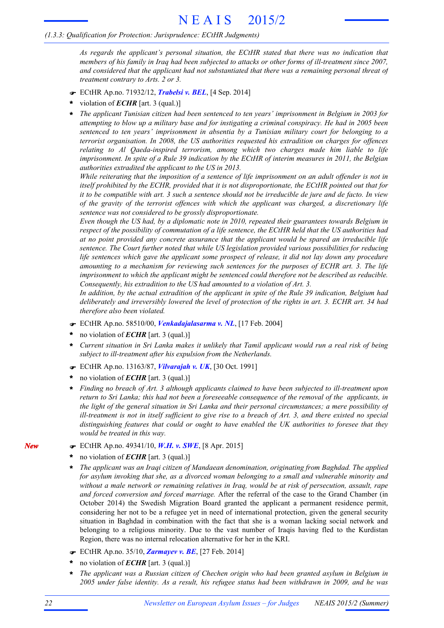*As regards the applicant's personal situation, the ECtHR stated that there was no indication that* members of his family in Iraq had been subjected to attacks or other forms of ill-treatment since 2007, *and considered that the applicant had not substantiated that there was a remaining personal threat of treatment contrary to Arts. 2 or 3.*

- F ECtHR Ap.no. 71932/12, *Trabelsi v. BEL*, [4 Sep. 2014]
- violation of *ECHR* [art. 3 (qual.)] **\***
- *The applicant Tunisian citizen had been sentenced to ten years' imprisonment in Belgium in 2003 for* attempting to blow up a military base and for instigating a criminal conspiracy. He had in 2005 been *sentenced to ten years' imprisonment in absentia by a Tunisian military court for belonging to a terrorist organisation. In 2008, the US authorities requested his extradition on charges for offences relating to Al Qaeda-inspired terrorism, among which two charges made him liable to life* imprisonment. In spite of a Rule 39 indication by the ECtHR of interim measures in 2011, the Belgian *authorities extradited the applicant to the US in 2013.* **\***

While reiterating that the imposition of a sentence of life imprisonment on an adult offender is not in *itself prohibited by the ECHR, provided that it is not disproportionate, the ECtHR pointed out that for* it to be compatible with art. 3 such a sentence should not be irreducible de jure and de facto. In view *of the gravity of the terrorist offences with which the applicant was charged, a discretionary life sentence was not considered to be grossly disproportionate.*

*Even though the US had, by a diplomatic note in 2010, repeated their guarantees towards Belgium in* respect of the possibility of commutation of a life sentence, the ECtHR held that the US authorities had *at no point provided any concrete assurance that the applicant would be spared an irreducible life sentence. The Court further noted that while US legislation provided various possibilities for reducing life sentences which gave the applicant some prospect of release, it did not lay down any procedure amounting to a mechanism for reviewing such sentences for the purposes of ECHR art. 3. The life imprisonment to which the applicant might be sentenced could therefore not be described as reducible. Consequently, his extradition to the US had amounted to a violation of Art. 3.*

In addition, by the actual extradition of the applicant in spite of the Rule 39 indication, Belgium had deliberately and irreversibly lowered the level of protection of the rights in art. 3. ECHR art. 34 had *therefore also been violated.*

- F ECtHR Ap.no. 58510/00, *Venkadajalasarma v. NL*, [17 Feb. 2004]
- no violation of *ECHR* [art. 3 (qual.)] **\***
- Current situation in Sri Lanka makes it unlikely that Tamil applicant would run a real risk of being *subject to ill-treatment after his expulsion from the Netherlands.* **\***
- F ECtHR Ap.no. 13163/87, *Vilvarajah v. UK*, [30 Oct. 1991]
- no violation of *ECHR* [art. 3 (qual.)] **\***
- *Finding no breach of Art. 3 although applicants claimed to have been subjected to ill-treatment upon* return to Sri Lanka; this had not been a foreseeable consequence of the removal of the applicants, in *the light of the general situation in Sri Lanka and their personal circumstances; a mere possibility of* ill-treatment is not in itself sufficient to give rise to a breach of Art. 3, and there existed no special *distinguishing features that could or ought to have enabled the UK authorities to foresee that they would be treated in this way.* **\***
- F ECtHR Ap.no. 49341/10, *W.H. v. SWE*, [8 Apr. 2015]
- no violation of *ECHR* [art. 3 (qual.)] **\***
- *The applicant was an Iraqi citizen of Mandaean denomination, originating from Baghdad. The applied for asylum invoking that she, as a divorced woman belonging to a small and vulnerable minority and without a male network or remaining relatives in Iraq, would be at risk of persecution, assault, rape and forced conversion and forced marriage.* After the referral of the case to the Grand Chamber (in October 2014) the Swedish Migration Board granted the applicant a permanent residence permit, considering her not to be a refugee yet in need of international protection, given the general security situation in Baghdad in combination with the fact that she is a woman lacking social network and belonging to a religious minority. Due to the vast number of Iraqis having fled to the Kurdistan Region, there was no internal relocation alternative for her in the KRI. **\***
- F ECtHR Ap.no. 35/10, *Zarmayev v. BE*, [27 Feb. 2014]
- no violation of *ECHR* [art. 3 (qual.)] **\***
- *The applicant was a Russian citizen of Chechen origin who had been granted asylum in Belgium in 2005 under false identity. As a result, his refugee status had been withdrawn in 2009, and he was* **\***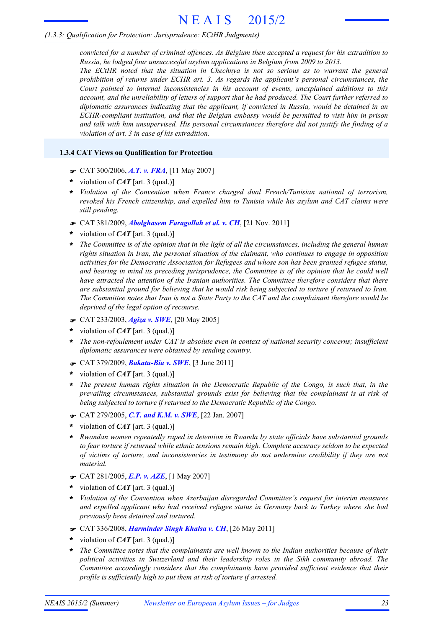# *(1.3.3: Qualification for Protection: Jurisprudence: ECtHR Judgments)*

*convicted for a number of criminal offences. As Belgium then accepted a request for his extradition to Russia, he lodged four unsuccessful asylum applications in Belgium from 2009 to 2013. The ECtHR noted that the situation in Chechnya is not so serious as to warrant the general prohibition of returns under ECHR art. 3. As regards the applicant's personal circumstances, the Court pointed to internal inconsistencies in his account of events, unexplained additions to this account, and the unreliability of letters of support that he had produced. The Court further referred to diplomatic assurances indicating that the applicant, if convicted in Russia, would be detained in an ECHR-compliant institution, and that the Belgian embassy would be permitted to visit him in prison and talk with him unsupervised. His personal circumstances therefore did not justify the finding of a*

# **1.3.4 CAT Views on Qualification for Protection**

F CAT 300/2006, *A.T. v. FRA*, [11 May 2007]

*violation of art. 3 in case of his extradition.*

- violation of *CAT* [art. 3 (qual.)] **\***
- *Violation of the Convention when France charged dual French/Tunisian national of terrorism,* **\*** *revoked his French citizenship, and expelled him to Tunisia while his asylum and CAT claims were still pending.*
- F CAT 381/2009, *Abolghasem Faragollah et al. v. CH*, [21 Nov. 2011]
- violation of *CAT* [art. 3 (qual.)] **\***
- The Committee is of the opinion that in the light of all the circumstances, including the general human *rights situation in Iran, the personal situation of the claimant, who continues to engage in opposition activities for the Democratic Association for Refugees and whose son has been granted refugee status, and bearing in mind its preceding jurisprudence, the Committee is of the opinion that he could well have attracted the attention of the Iranian authorities. The Committee therefore considers that there are substantial ground for believing that he would risk being subjected to torture if returned to Iran.* The Committee notes that Iran is not a State Party to the CAT and the complainant therefore would be *deprived of the legal option of recourse.* **\***
- F CAT 233/2003, *Agiza v. SWE*, [20 May 2005]
- violation of *CAT* [art. 3 (qual.)] **\***
- *The non-refoulement under CAT is absolute even in context of national security concerns; insufficient diplomatic assurances were obtained by sending country.* **\***
- F CAT 379/2009, *Bakatu-Bia v. SWE*, [3 June 2011]
- violation of *CAT* [art. 3 (qual.)] **\***
- *The present human rights situation in the Democratic Republic of the Congo, is such that, in the prevailing circumstances, substantial grounds exist for believing that the complainant is at risk of being subjected to torture if returned to the Democratic Republic of the Congo.* **\***
- F CAT 279/2005, *C.T. and K.M. v. SWE*, [22 Jan. 2007]
- violation of *CAT* [art. 3 (qual.)] **\***
- *Rwandan women repeatedly raped in detention in Rwanda by state officials have substantial grounds to fear torture if returned while ethnic tensions remain high. Complete accuracy seldom to be expected of victims of torture, and inconsistencies in testimony do not undermine credibility if they are not material.* **\***
- F CAT 281/2005, *E.P. v. AZE*, [1 May 2007]
- violation of *CAT* [art. 3 (qual.)] **\***
- *Violation of the Convention when Azerbaijan disregarded Committee's request for interim measures and expelled applicant who had received refugee status in Germany back to Turkey where she had previously been detained and tortured.* **\***
- F CAT 336/2008, *Harminder Singh Khalsa v. CH*, [26 May 2011]
- violation of *CAT* [art. 3 (qual.)] **\***
- *The Committee notes that the complainants are well known to the Indian authorities because of their political activities in Switzerland and their leadership roles in the Sikh community abroad. The Committee accordingly considers that the complainants have provided sufficient evidence that their profile is sufficiently high to put them at risk of torture if arrested.* **\***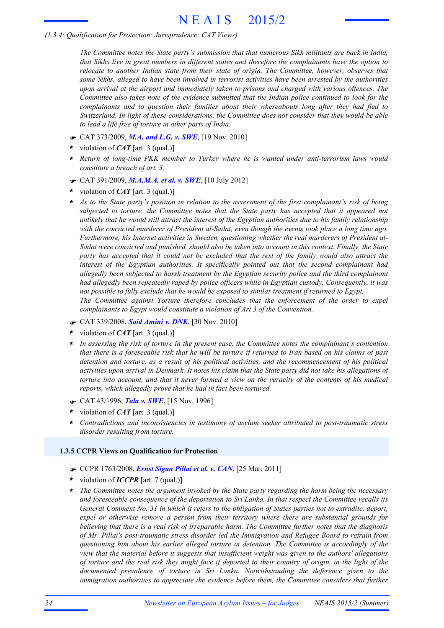# *(1.3.4: Qualification for Protection: Jurisprudence: CAT Views)*

*The Committee notes the State party's submission that that numerous Sikh militants are back in India, that Sikhs live in great numbers in different states and therefore the complainants have the option to relocate to another Indian state from their state of origin. The Committee, however, observes that some Sikhs, alleged to have been involved in terrorist activities have been arrested by the authorities upon arrival at the airport and immediately taken to prisons and charged with various offences. The Committee also takes note of the evidence submitted that the Indian police continued to look for the complainants and to question their families about their whereabouts long after they had fled to Switzerland. In light of these considerations, the Committee does not consider that they would be able to lead a life free of torture in other parts of India.*

- F CAT 373/2009, *M.A. and L.G. v. SWE*, [19 Nov. 2010]
- violation of *CAT* [art. 3 (qual.)] **\***
- *Return of long-time PKK member to Turkey where he is wanted under anti-terrorism laws would constitute a breach of art. 3.* **\***
- F CAT 391/2009, *M.A.M.A. et al. v. SWE*, [10 July 2012]
- violation of *CAT* [art. 3 (qual.)] **\***
- As to the State party's position in relation to the assessment of the first complainant's risk of being *subjected to torture, the Committee notes that the State party has accepted that it appeared not* unlikely that he would still attract the interest of the Egyptian authorities due to his family relationship *with the convicted murderer of President al-Sadat, even though the events took place a long time ago. Furthermore, his Internet activities in Sweden, questioning whether the real murderers of President al-Sadat were convicted and punished, should also be taken into account in this context. Finally, the State* party has accepted that it could not be excluded that the rest of the family would also attract the *interest of the Egyptian authorities. It specifically pointed out that the second complainant had allegedly been subjected to harsh treatment by the Egyptian security police and the third complainant had allegedly been repeatedly raped by police officers while in Egyptian custody. Consequently, it was not possible to fully exclude that he would be exposed to similar treatment if returned to Egypt. The Committee against Torture therefore concludes that the enforcement of the order to expel* **\***
- F CAT 339/2008, *Said Amini v. DNK*, [30 Nov. 2010]
- violation of *CAT* [art. 3 (qual.)] **\***
- *In assessing the risk of torture in the present case, the Committee notes the complainant's contention* that there is a foreseeable risk that he will be torture if returned to Iran based on his claims of past *detention and torture, as a result of his political activities, and the recommencement of his political* activities upon arrival in Denmark. It notes his claim that the State party did not take his allegations of torture into account, and that it never formed a view on the veracity of the contents of his medical *reports, which allegedly prove that he had in fact been tortured.* **\***

*complainants to Egypt would constitute a violation of Art 3 of the Convention.*

- F CAT 43/1996, *Tala v. SWE*, [15 Nov. 1996]
- violation of *CAT* [art. 3 (qual.)] **\***
- *Contradictions and inconsistencies in testimony of asylum seeker attributed to post-traumatic stress disorder resulting from torture.* **\***

### **1.3.5 CCPR Views on Qualification for Protection**

- F CCPR 1763/2008, *Ernst Sigan Pillai et al. v. CAN*, [25 Mar. 2011]
- violation of *ICCPR* [art. 7 (qual.)] **\***
- *The Committee notes the argument invoked by the State party regarding the harm being the necessary* **\*** *and foreseeable consequence of the deportation to Sri Lanka. In that respect the Committee recalls its* General Comment No. 31 in which it refers to the obligation of States parties not to extradite, deport, *expel or otherwise remove a person from their territory where there are substantial grounds for believing that there is a real risk of irreparable harm. The Committee further notes that the diagnosis of Mr. Pillai's post-traumatic stress disorder led the Immigration and Refugee Board to refrain from questioning him about his earlier alleged torture in detention. The Committee is accordingly of the view that the material before it suggests that insufficient weight was given to the authors' allegations* of torture and the real risk they might face if deported to their country of origin, in the light of the *documented prevalence of torture in Sri Lanka. Notwithstanding the deference given to the immigration authorities to appreciate the evidence before them, the Committee considers that further*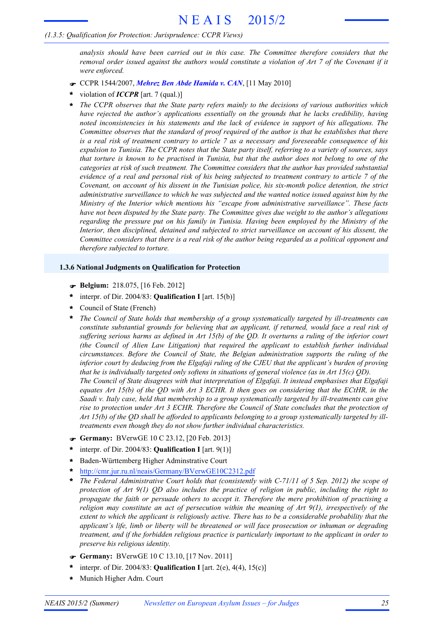# *(1.3.5: Qualification for Protection: Jurisprudence: CCPR Views)*

*analysis should have been carried out in this case. The Committee therefore considers that the* removal order issued against the authors would constitute a violation of Art 7 of the Covenant if it *were enforced.*

- F CCPR 1544/2007, *Mehrez Ben Abde Hamida v. CAN*, [11 May 2010]
- violation of *ICCPR* [art. 7 (qual.)] **\***
- *The CCPR observes that the State party refers mainly to the decisions of various authorities which have rejected the author's applications essentially on the grounds that he lacks credibility, having noted inconsistencies in his statements and the lack of evidence in support of his allegations. The Committee observes that the standard of proof required of the author is that he establishes that there* is a real risk of treatment contrary to article 7 as a necessary and foreseeable consequence of his expulsion to Tunisia. The CCPR notes that the State party itself, referring to a variety of sources, says that torture is known to be practised in Tunisia, but that the author does not belong to one of the *categories at risk of such treatment. The Committee considers that the author has provided substantial* evidence of a real and personal risk of his being subjected to treatment contrary to article 7 of the *Covenant, on account of his dissent in the Tunisian police, his six-month police detention, the strict administrative surveillance to which he was subjected and the wanted notice issued against him by the Ministry of the Interior which mentions his "escape from administrative surveillance". These facts have not been disputed by the State party. The Committee gives due weight to the author's allegations regarding the pressure put on his family in Tunisia. Having been employed by the Ministry of the Interior, then disciplined, detained and subjected to strict surveillance on account of his dissent, the* Committee considers that there is a real risk of the author being regarded as a political opponent and *therefore subjected to torture.* **\***

# **1.3.6 National Judgments on Qualification for Protection**

- F **Belgium:** 218.075, [16 Feb. 2012]
- interpr. of Dir. 2004/83: **Qualification I** [art. 15(b)] **\***
- Council of State (French) **\***
- *The Council of State holds that membership of a group systematically targeted by ill-treatments can constitute substantial grounds for believing that an applicant, if returned, would face a real risk of* suffering serious harms as defined in Art 15(b) of the QD. It overturns a ruling of the inferior court *(the Council of Alien Law Litigation) that required the applicant to establish further individual circumstances. Before the Council of State, the Belgian administration supports the ruling of the inferior court by deducing from the Elgafaji ruling of the CJEU that the applicant's burden of proving that he is individually targeted only softens in situations of general violence (as in Art 15(c) QD). The Council of State disagrees with that interpretation of Elgafaji. It instead emphasises that Elgafaji* equates Art 15(b) of the QD with Art  $3$  ECHR. It then goes on considering that the ECtHR, in the *Saadi v. Italy case, held that membership to a group systematically targeted by ill-treatments can give rise to protection under Art 3 ECHR. Therefore the Council of State concludes that the protection of* Art 15(b) of the QD shall be afforded to applicants belonging to a group systematically targeted by ill*treatments even though they do not show further individual characteristics.* **\***
- F **Germany:** BVerwGE 10 C 23.12, [20 Feb. 2013]
- interpr. of Dir. 2004/83: **Qualification I** [art. 9(1)] **\***
- Baden-Württemberg Higher Adminstrative Court **\***
- http://cmr.jur.ru.nl/neais/Germany/BVerwGE10C2312.pdf **\***
- *The Federal Administrative Court holds that (consistently with C-71/11 of 5 Sep. 2012) the scope of protection of Art 9(1) QD also includes the practice of religion in public, including the right to propagate the faith or persuade others to accept it. Therefore the mere prohibition of practising a religion may constitute an act of persecution within the meaning of Art 9(1), irrespectively of the extent to which the applicant is religiously active. There has to be a considerable probability that the applicant's life, limb or liberty will be threatened or will face prosecution or inhuman or degrading treatment, and if the forbidden religious practice is particularly important to the applicant in order to preserve his religious identity.* **\***
- F **Germany:** BVerwGE 10 C 13.10, [17 Nov. 2011]
- interpr. of Dir. 2004/83: **Qualification I** [art. 2(e), 4(4), 15(c)] **\***
- **\*** Munich Higher Adm. Court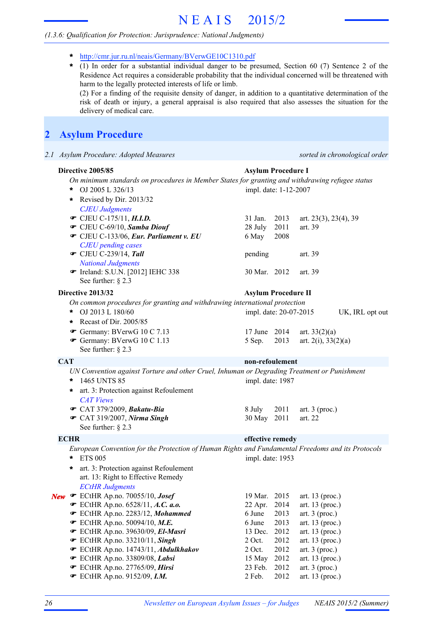- **\*** http://cmr.jur.ru.nl/neais/Germany/BVerwGE10C1310.pdf
- (1) In order for a substantial individual danger to be presumed, Section 60 (7) Sentence 2 of the Residence Act requires a considerable probability that the individual concerned will be threatened with harm to the legally protected interests of life or limb. **\***

(2) For a finding of the requisite density of danger, in addition to a quantitative determination of the risk of death or injury, a general appraisal is also required that also assesses the situation for the delivery of medical care.

# **2 Asylum Procedure**

*2.1 Asylum Procedure: Adopted Measures sorted in chronological order*

|            | Directive 2005/85                                                                                 | <b>Asylum Procedure I</b>  |      |                                       |                 |
|------------|---------------------------------------------------------------------------------------------------|----------------------------|------|---------------------------------------|-----------------|
|            | On minimum standards on procedures in Member States for granting and withdrawing refugee status   |                            |      |                                       |                 |
|            | OJ 2005 L 326/13<br>*                                                                             | impl. date: 1-12-2007      |      |                                       |                 |
|            | Revised by Dir. 2013/32<br>$\star$                                                                |                            |      |                                       |                 |
|            | <b>CJEU Judgments</b>                                                                             |                            |      |                                       |                 |
|            | • CJEU C-175/11, H.I.D.                                                                           | 31 Jan.                    | 2013 | art. $23(3)$ , $23(4)$ , $39$         |                 |
|            | CJEU C-69/10, Samba Diouf                                                                         | 28 July                    | 2011 | art. 39                               |                 |
|            | CJEU C-133/06, Eur. Parliament v. EU                                                              | 6 May                      | 2008 |                                       |                 |
|            | <b>CJEU</b> pending cases                                                                         |                            |      |                                       |                 |
|            | $\bullet$ CJEU C-239/14, Tall                                                                     | pending                    |      | art. 39                               |                 |
|            | <b>National Judgments</b>                                                                         |                            |      |                                       |                 |
|            | Treland: S.U.N. [2012] IEHC 338                                                                   | 30 Mar. 2012               |      | art. 39                               |                 |
|            | See further: $\S$ 2.3                                                                             |                            |      |                                       |                 |
|            | Directive 2013/32                                                                                 | <b>Asylum Procedure II</b> |      |                                       |                 |
|            |                                                                                                   |                            |      |                                       |                 |
|            | On common procedures for granting and withdrawing international protection                        |                            |      |                                       |                 |
|            | OJ 2013 L 180/60<br>÷                                                                             | impl. date: 20-07-2015     |      |                                       | UK, IRL opt out |
|            | Recast of Dir. 2005/85<br>$\ast$                                                                  |                            |      |                                       |                 |
|            | Germany: BVerwG 10 C 7.13                                                                         | 17 June 2014               |      | art. $33(2)(a)$                       |                 |
|            | Germany: BVerwG 10 C 1.13                                                                         | 5 Sep.                     | 2013 | art. $2(i)$ , $33(2)(a)$              |                 |
|            | See further: $\S$ 2.3                                                                             |                            |      |                                       |                 |
| <b>CAT</b> |                                                                                                   | non-refoulement            |      |                                       |                 |
|            | UN Convention against Torture and other Cruel, Inhuman or Degrading Treatment or Punishment       |                            |      |                                       |                 |
|            | 1465 UNTS 85<br>*                                                                                 | impl. date: 1987           |      |                                       |                 |
|            | art. 3: Protection against Refoulement<br>*                                                       |                            |      |                                       |                 |
|            | <b>CAT Views</b>                                                                                  |                            |      |                                       |                 |
|            | ← CAT 379/2009, Bakatu-Bia                                                                        | 8 July                     | 2011 | art. $3$ (proc.)                      |                 |
|            | CAT 319/2007, Nirma Singh                                                                         | 30 May 2011                |      | art. 22                               |                 |
|            | See further: $\S$ 2.3                                                                             |                            |      |                                       |                 |
|            | <b>ECHR</b>                                                                                       | effective remedy           |      |                                       |                 |
|            | European Convention for the Protection of Human Rights and Fundamental Freedoms and its Protocols |                            |      |                                       |                 |
|            | <b>ETS 005</b><br>$\star$                                                                         | impl. date: 1953           |      |                                       |                 |
|            | $\ast$                                                                                            |                            |      |                                       |                 |
|            | art. 3: Protection against Refoulement<br>art. 13: Right to Effective Remedy                      |                            |      |                                       |                 |
|            |                                                                                                   |                            |      |                                       |                 |
|            | <b>ECtHR Judgments</b>                                                                            | 19 Mar. 2015               |      |                                       |                 |
|            | New F ECtHR Ap.no. 70055/10, Josef                                                                |                            | 2014 | art. $13$ (proc.)                     |                 |
|            | ECtHR Ap.no. 6528/11, A.C. a.o.<br>ECtHR Ap.no. 2283/12, Mohammed<br>F                            | 22 Apr.<br>6 June          | 2013 | art. 13 (proc.)                       |                 |
|            | $\bullet$ ECtHR Ap.no. 50094/10, M.E.                                                             | 6 June                     | 2013 | art. $3$ (proc.)<br>art. $13$ (proc.) |                 |
|            | ECtHR Ap.no. 39630/09, El-Masri                                                                   | 13 Dec.                    | 2012 | art. $13$ (proc.)                     |                 |
|            | $\mathcal$ ECtHR Ap.no. 33210/11, Singh                                                           | $2$ Oct.                   | 2012 | art. $13$ (proc.)                     |                 |
|            | ECtHR Ap.no. 14743/11, Abdulkhakov                                                                | $2$ Oct.                   | 2012 | art. $3$ (proc.)                      |                 |
|            | ECtHR Ap.no. 33809/08, Labsi                                                                      | 15 May                     | 2012 | art. 13 (proc.)                       |                 |
|            | ECtHR Ap.no. 27765/09, Hirsi<br>F                                                                 | 23 Feb.                    | 2012 | art. $3$ (proc.)                      |                 |
|            | <b>■</b> ECtHR Ap.no. 9152/09, I.M.                                                               | 2 Feb.                     | 2012 | art. 13 (proc.)                       |                 |
|            |                                                                                                   |                            |      |                                       |                 |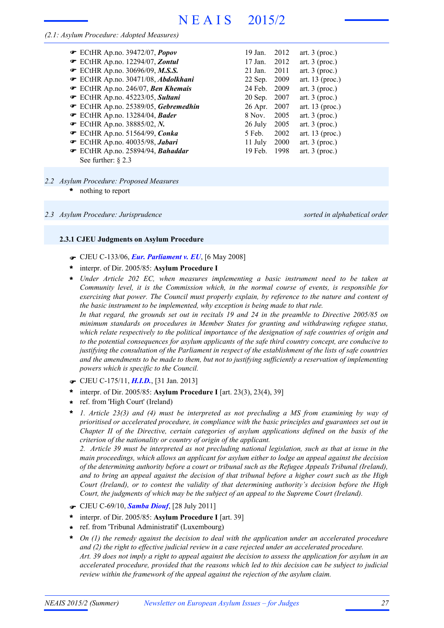### *(2.1: Asylum Procedure: Adopted Measures)*

| $\bullet$ ECtHR Ap.no. 39472/07, Popov | 19 Jan.   | 2012 | art. $3$ (proc.)  |
|----------------------------------------|-----------|------|-------------------|
| ECtHR Ap.no. 12294/07, Zontul          | 17 Jan.   | 2012 | art. $3$ (proc.)  |
| <b>■</b> ECtHR Ap.no. 30696/09, M.S.S. | $21$ Jan. | 2011 | art. $3$ (proc.)  |
| ECtHR Ap.no. 30471/08, Abdolkhani      | 22 Sep.   | 2009 | art. $13$ (proc.) |
| ECtHR Ap.no. 246/07, Ben Khemais       | 24 Feb.   | 2009 | art. $3$ (proc.)  |
| ECtHR Ap.no. 45223/05, Sultani         | $20$ Sep. | 2007 | art. $3$ (proc.)  |
| ECtHR Ap.no. 25389/05, Gebremedhin     | $26$ Apr. | 2007 | art. $13$ (proc.) |
| $\bullet$ ECtHR Ap.no. 13284/04, Bader | 8 Nov.    | 2005 | art. $3$ (proc.)  |
| <b>•</b> ECtHR Ap.no. 38885/02, N.     | 26 July   | 2005 | art. $3$ (proc.)  |
| $\bullet$ ECtHR Ap.no. 51564/99, Conka | 5 Feb.    | 2002 | art. $13$ (proc.) |
| ECtHR Ap.no. 40035/98, Jabari          | 11 July   | 2000 | art. $3$ (proc.)  |
| ECtHR Ap.no. 25894/94, Bahaddar        | $19$ Feb. | 1998 | art. $3$ (proc.)  |
| See further: $\S$ 2.3                  |           |      |                   |

# *2.2 Asylum Procedure: Proposed Measures*

nothing to report **\***

#### *2.3 Asylum Procedure: Jurisprudence sorted in alphabetical order*

### **2.3.1 CJEU Judgments on Asylum Procedure**

- F CJEU C-133/06, *Eur. Parliament v. EU*, [6 May 2008]
- interpr. of Dir. 2005/85: **Asylum Procedure I \***
- *Under Article 202 EC, when measures implementing a basic instrument need to be taken at Community level, it is the Commission which, in the normal course of events, is responsible for exercising that power. The Council must properly explain, by reference to the nature and content of the basic instrument to be implemented, why exception is being made to that rule.* In that regard, the grounds set out in recitals 19 and 24 in the preamble to Directive 2005/85 on *minimum standards on procedures in Member States for granting and withdrawing refugee status, which relate respectively to the political importance of the designation of safe countries of origin and to the potential consequences for asylum applicants of the safe third country concept, are conducive to* justifying the consultation of the Parliament in respect of the establishment of the lists of safe countries *and the amendments to be made to them, but not to justifying sufficiently a reservation of implementing powers which is specific to the Council.* **\***
- F CJEU C-175/11, *H.I.D.*, [31 Jan. 2013]
- interpr. of Dir. 2005/85: **Asylum Procedure I** [art. 23(3), 23(4), 39] **\***
- ref. from 'High Court' (Ireland) **\***
- *1. Article 23(3) and (4) must be interpreted as not precluding a MS from examining by way of prioritised or accelerated procedure, in compliance with the basic principles and guarantees set out in Chapter II of the Directive, certain categories of asylum applications defined on the basis of the criterion of the nationality or country of origin of the applicant.* **\***

2. Article 39 must be interpreted as not precluding national legislation, such as that at issue in the *main proceedings, which allows an applicant for asylum either to lodge an appeal against the decision of the determining authority before a court or tribunal such as the Refugee Appeals Tribunal (Ireland),* and to bring an appeal against the decision of that tribunal before a higher court such as the High *Court (Ireland), or to contest the validity of that determining authority's decision before the High Court, the judgments of which may be the subject of an appeal to the Supreme Court (Ireland).*

- F CJEU C-69/10, *Samba Diouf*, [28 July 2011]
- interpr. of Dir. 2005/85: **Asylum Procedure I** [art. 39] **\***
- ref. from 'Tribunal Administratif' (Luxembourg) **\***
- *On (1) the remedy against the decision to deal with the application under an accelerated procedure and (2) the right to effective judicial review in a case rejected under an accelerated procedure.* Art. 39 does not imply a right to appeal against the decision to assess the application for asylum in an *accelerated procedure, provided that the reasons which led to this decision can be subject to judicial review within the framework of the appeal against the rejection of the asylum claim.* **\***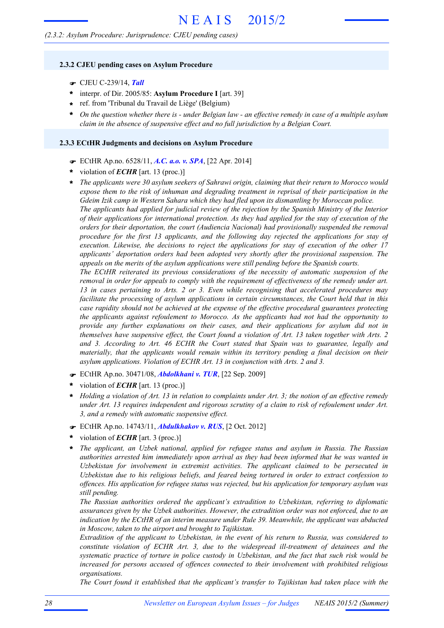#### **2.3.2 CJEU pending cases on Asylum Procedure**

- F CJEU C-239/14, *Tall*
- \* interpr. of Dir. 2005/85: Asylum Procedure I [art. 39]
- ref. from 'Tribunal du Travail de Liège' (Belgium) **\***
- On the question whether there is under Belgian law an effective remedy in case of a multiple asylum *claim in the absence of suspensive effect and no full jurisdiction by a Belgian Court.* **\***

#### **2.3.3 ECtHR Judgments and decisions on Asylum Procedure**

- F ECtHR Ap.no. 6528/11, *A.C. a.o. v. SPA*, [22 Apr. 2014]
- violation of *ECHR* [art. 13 (proc.)] **\***
- *The applicants were 30 asylum seekers of Sahrawi origin, claiming that their return to Morocco would expose them to the risk of inhuman and degrading treatment in reprisal of their participation in the Gdeim Izik camp in Western Sahara which they had fled upon its dismantling by Moroccan police.* **\***

*The applicants had applied for judicial review of the rejection by the Spanish Ministry of the Interior of their applications for international protection. As they had applied for the stay of execution of the orders for their deportation, the court (Audiencia Nacional) had provisionally suspended the removal procedure for the first 13 applicants, and the following day rejected the applications for stay of execution. Likewise, the decisions to reject the applications for stay of execution of the other 17 applicants' deportation orders had been adopted very shortly after the provisional suspension. The appeals on the merits of the asylum applications were still pending before the Spanish courts.*

*The ECtHR reiterated its previous considerations of the necessity of automatic suspension of the removal in order for appeals to comply with the requirement of effectiveness of the remedy under art. 13 in cases pertaining to Arts. 2 or 3. Even while recognising that accelerated procedures may facilitate the processing of asylum applications in certain circumstances, the Court held that in this case rapidity should not be achieved at the expense of the effective procedural guarantees protecting the applicants against refoulement to Morocco. As the applicants had not had the opportunity to provide any further explanations on their cases, and their applications for asylum did not in themselves have suspensive effect, the Court found a violation of Art. 13 taken together with Arts. 2 and 3. According to Art. 46 ECHR the Court stated that Spain was to guarantee, legally and materially, that the applicants would remain within its territory pending a final decision on their asylum applications. Violation of ECHR Art. 13 in conjunction with Arts. 2 and 3.*

- F ECtHR Ap.no. 30471/08, *Abdolkhani v. TUR*, [22 Sep. 2009]
- violation of *ECHR* [art. 13 (proc.)] **\***
- Holding a violation of Art. 13 in relation to complaints under Art. 3; the notion of an effective remedy *under Art. 13 requires independent and rigorous scrutiny of a claim to risk of refoulement under Art. 3, and a remedy with automatic suspensive effect.* **\***
- F ECtHR Ap.no. 14743/11, *Abdulkhakov v. RUS*, [2 Oct. 2012]
- violation of *ECHR* [art. 3 (proc.)] **\***
- *The applicant, an Uzbek national, applied for refugee status and asylum in Russia. The Russian authorities arrested him immediately upon arrival as they had been informed that he was wanted in Uzbekistan for involvement in extremist activities. The applicant claimed to be persecuted in Uzbekistan due to his religious beliefs, and feared being tortured in order to extract confession to offences. His application for refugee status was rejected, but his application for temporary asylum was still pending.* **\***

*The Russian authorities ordered the applicant's extradition to Uzbekistan, referring to diplomatic assurances given by the Uzbek authorities. However, the extradition order was not enforced, due to an indication by the ECtHR of an interim measure under Rule 39. Meanwhile, the applicant was abducted in Moscow, taken to the airport and brought to Tajikistan.*

*Extradition of the applicant to Uzbekistan, in the event of his return to Russia, was considered to constitute violation of ECHR Art. 3, due to the widespread ill-treatment of detainees and the systematic practice of torture in police custody in Uzbekistan, and the fact that such risk would be increased for persons accused of offences connected to their involvement with prohibited religious organisations.*

*The Court found it established that the applicant's transfer to Tajikistan had taken place with the*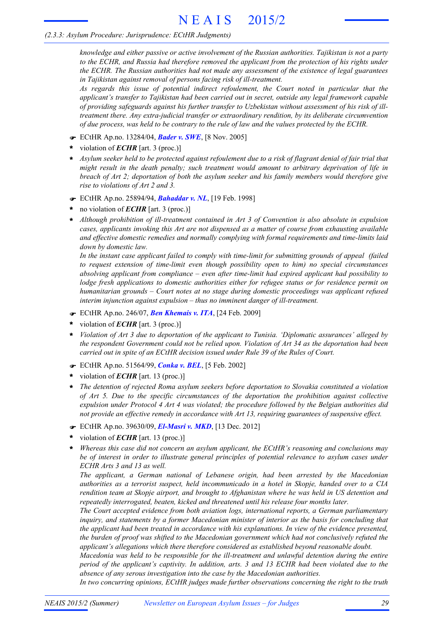*knowledge and either passive or active involvement of the Russian authorities. Tajikistan is not a party to the ECHR, and Russia had therefore removed the applicant from the protection of his rights under the ECHR. The Russian authorities had not made any assessment of the existence of legal guarantees in Tajikistan against removal of persons facing risk of ill-treatment.*

*As regards this issue of potential indirect refoulement, the Court noted in particular that the applicant's transfer to Tajikistan had been carried out in secret, outside any legal framework capable of providing safeguards against his further transfer to Uzbekistan without assessment of his risk of illtreatment there. Any extra-judicial transfer or extraordinary rendition, by its deliberate circumvention of due process, was held to be contrary to the rule of law and the values protected by the ECHR.*

- F ECtHR Ap.no. 13284/04, *Bader v. SWE*, [8 Nov. 2005]
- violation of *ECHR* [art. 3 (proc.)] **\***
- \* Asylum seeker held to be protected against refoulement due to a risk of flagrant denial of fair trial that *might result in the death penalty; such treatment would amount to arbitrary deprivation of life in breach of Art 2; deportation of both the asylum seeker and his family members would therefore give rise to violations of Art 2 and 3.*
- F ECtHR Ap.no. 25894/94, *Bahaddar v. NL*, [19 Feb. 1998]
- no violation of *ECHR* [art. 3 (proc.)] **\***
- *Although prohibition of ill-treatment contained in Art 3 of Convention is also absolute in expulsion cases, applicants invoking this Art are not dispensed as a matter of course from exhausting available and effective domestic remedies and normally complying with formal requirements and time-limits laid down by domestic law.* **\***

*In the instant case applicant failed to comply with time-limit for submitting grounds of appeal (failed to request extension of time-limit even though possibility open to him) no special circumstances absolving applicant from compliance – even after time-limit had expired applicant had possibility to lodge fresh applications to domestic authorities either for refugee status or for residence permit on humanitarian grounds – Court notes at no stage during domestic proceedings was applicant refused interim injunction against expulsion – thus no imminent danger of ill-treatment.*

- F ECtHR Ap.no. 246/07, *Ben Khemais v. ITA*, [24 Feb. 2009]
- violation of *ECHR* [art. 3 (proc.)] **\***
- *Violation of Art 3 due to deportation of the applicant to Tunisia. 'Diplomatic assurances' alleged by the respondent Government could not be relied upon. Violation of Art 34 as the deportation had been carried out in spite of an ECtHR decision issued under Rule 39 of the Rules of Court.* **\***
- F ECtHR Ap.no. 51564/99, *Conka v. BEL*, [5 Feb. 2002]
- violation of *ECHR* [art. 13 (proc.)] **\***
- *The detention of rejected Roma asylum seekers before deportation to Slovakia constituted a violation of Art 5. Due to the specific circumstances of the deportation the prohibition against collective expulsion under Protocol 4 Art 4 was violated; the procedure followed by the Belgian authorities did not provide an effective remedy in accordance with Art 13, requiring guarantees of suspensive effect.* **\***
- F ECtHR Ap.no. 39630/09, *El-Masri v. MKD*, [13 Dec. 2012]
- violation of *ECHR* [art. 13 (proc.)] **\***
- *Whereas this case did not concern an asylum applicant, the ECtHR's reasoning and conclusions may be of interest in order to illustrate general principles of potential relevance to asylum cases under ECHR Arts 3 and 13 as well.* **\***

*The applicant, a German national of Lebanese origin, had been arrested by the Macedonian authorities as a terrorist suspect, held incommunicado in a hotel in Skopje, handed over to a CIA rendition team at Skopje airport, and brought to Afghanistan where he was held in US detention and repeatedly interrogated, beaten, kicked and threatened until his release four months later.*

*The Court accepted evidence from both aviation logs, international reports, a German parliamentary inquiry, and statements by a former Macedonian minister of interior as the basis for concluding that the applicant had been treated in accordance with his explanations. In view of the evidence presented, the burden of proof was shifted to the Macedonian government which had not conclusively refuted the applicant's allegations which there therefore considered as established beyond reasonable doubt.*

*Macedonia was held to be responsible for the ill-treatment and unlawful detention during the entire period of the applicant's captivity. In addition, arts. 3 and 13 ECHR had been violated due to the absence of any serous investigation into the case by the Macedonian authorities.*

*In two concurring opinions, ECtHR judges made further observations concerning the right to the truth*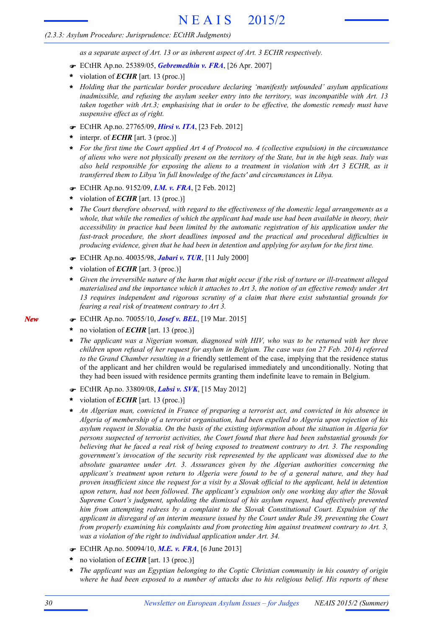*as a separate aspect of Art. 13 or as inherent aspect of Art. 3 ECHR respectively.*

- F ECtHR Ap.no. 25389/05, *Gebremedhin v. FRA*, [26 Apr. 2007]
- violation of *ECHR* [art. 13 (proc.)] **\***
- *Holding that the particular border procedure declaring 'manifestly unfounded' asylum applications* **\*** *inadmissible, and refusing the asylum seeker entry into the territory, was incompatible with Art. 13 taken together with Art.3; emphasising that in order to be effective, the domestic remedy must have suspensive effect as of right.*
- F ECtHR Ap.no. 27765/09, *Hirsi v. ITA*, [23 Feb. 2012]
- interpr. of *ECHR* [art. 3 (proc.)] **\***
- For the first time the Court applied Art 4 of Protocol no. 4 (collective expulsion) in the circumstance of aliens who were not physically present on the territory of the State, but in the high seas. Italy was *also held responsible for exposing the aliens to a treatment in violation with Art 3 ECHR, as it transferred them to Libya 'in full knowledge of the facts' and circumstances in Libya.* **\***
- F ECtHR Ap.no. 9152/09, *I.M. v. FRA*, [2 Feb. 2012]
- violation of *ECHR* [art. 13 (proc.)] **\***
- *The Court therefore observed, with regard to the effectiveness of the domestic legal arrangements as a* whole, that while the remedies of which the applicant had made use had been available in theory, their *accessibility in practice had been limited by the automatic registration of his application under the fast-track procedure, the short deadlines imposed and the practical and procedural difficulties in producing evidence, given that he had been in detention and applying for asylum for the first time.* **\***
- F ECtHR Ap.no. 40035/98, *Jabari v. TUR*, [11 July 2000]
- violation of *ECHR* [art. 3 (proc.)] **\***
- Given the irreversible nature of the harm that might occur if the risk of torture or ill-treatment alleged materialised and the importance which it attaches to Art 3, the notion of an effective remedy under Art *13 requires independent and rigorous scrutiny of a claim that there exist substantial grounds for fearing a real risk of treatment contrary to Art 3.* **\***
- F ECtHR Ap.no. 70055/10, *Josef v. BEL*, [19 Mar. 2015]
- no violation of *ECHR* [art. 13 (proc.)] **\***
- *The applicant was a Nigerian woman, diagnosed with HIV, who was to be returned with her three* children upon refusal of her request for asylum in Belgium. The case was (on 27 Feb. 2014) referred *to the Grand Chamber resulting in a* friendly settlement of the case, implying that the residence status of the applicant and her children would be regularised immediately and unconditionally. Noting that they had been issued with residence permits granting them indefinite leave to remain in Belgium. **\***
- F ECtHR Ap.no. 33809/08, *Labsi v. SVK*, [15 May 2012]
- violation of *ECHR* [art. 13 (proc.)] **\***
- *An Algerian man, convicted in France of preparing a terrorist act, and convicted in his absence in Algeria of membership of a terrorist organisation, had been expelled to Algeria upon rejection of his asylum request in Slovakia. On the basis of the existing information about the situation in Algeria for persons suspected of terrorist activities, the Court found that there had been substantial grounds for* believing that he faced a real risk of being exposed to treatment contrary to Art. 3. The responding *government's invocation of the security risk represented by the applicant was dismissed due to the absolute guarantee under Art. 3. Assurances given by the Algerian authorities concerning the applicant's treatment upon return to Algeria were found to be of a general nature, and they had* proven insufficient since the request for a visit by a Slovak official to the applicant, held in detention *upon return, had not been followed. The applicant's expulsion only one working day after the Slovak Supreme Court's judgment, upholding the dismissal of his asylum request, had effectively prevented him from attempting redress by a complaint to the Slovak Constitutional Court. Expulsion of the applicant in disregard of an interim measure issued by the Court under Rule 39, preventing the Court from properly examining his complaints and from protecting him against treatment contrary to Art. 3, was a violation of the right to individual application under Art. 34.* **\***
- F ECtHR Ap.no. 50094/10, *M.E. v. FRA*, [6 June 2013]
- no violation of *ECHR* [art. 13 (proc.)] **\***
- *The applicant was an Egyptian belonging to the Coptic Christian community in his country of origin* where he had been exposed to a number of attacks due to his religious belief. His reports of these **\***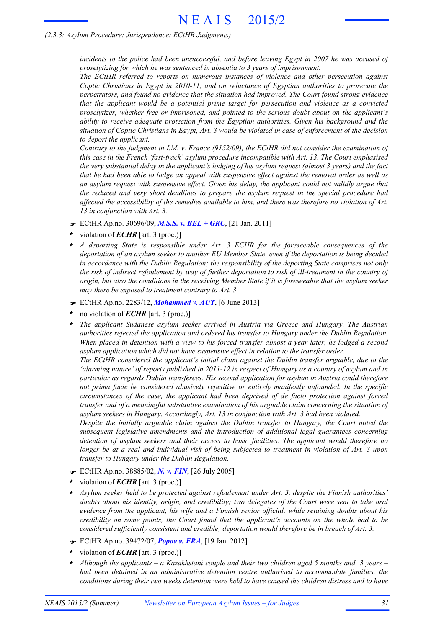*incidents to the police had been unsuccessful, and before leaving Egypt in 2007 he was accused of proselytizing for which he was sentenced in absentia to 3 years of imprisonment.*

*The ECtHR referred to reports on numerous instances of violence and other persecution against Coptic Christians in Egypt in 2010-11, and on reluctance of Egyptian authorities to prosecute the perpetrators, and found no evidence that the situation had improved. The Court found strong evidence that the applicant would be a potential prime target for persecution and violence as a convicted proselytizer, whether free or imprisoned, and pointed to the serious doubt about on the applicant's ability to receive adequate protection from the Egyptian authorities. Given his background and the* situation of Coptic Christians in Egypt, Art. 3 would be violated in case of enforcement of the decision *to deport the applicant.*

*Contrary to the judgment in I.M. v. France (9152/09), the ECtHR did not consider the examination of this case in the French 'fast-track' asylum procedure incompatible with Art. 13. The Court emphasised* the very substantial delay in the applicant's lodging of his asylum request (almost 3 years) and the fact that he had been able to lodge an appeal with suspensive effect against the removal order as well as *an asylum request with suspensive effect. Given his delay, the applicant could not validly argue that the reduced and very short deadlines to prepare the asylum request in the special procedure had affected the accessibility of the remedies available to him, and there was therefore no violation of Art. 13 in conjunction with Art. 3.*

- F ECtHR Ap.no. 30696/09, *M.S.S. v. BEL + GRC*, [21 Jan. 2011]
- violation of *ECHR* [art. 3 (proc.)] **\***
- *A deporting State is responsible under Art. 3 ECHR for the foreseeable consequences of the deportation of an asylum seeker to another EU Member State, even if the deportation is being decided in accordance with the Dublin Regulation; the responsibility of the deporting State comprises not only* the risk of indirect refoulement by way of further deportation to risk of ill-treatment in the country of origin, but also the conditions in the receiving Member State if it is foreseeable that the asylum seeker *may there be exposed to treatment contrary to Art. 3.* **\***
- F ECtHR Ap.no. 2283/12, *Mohammed v. AUT*, [6 June 2013]
- no violation of *ECHR* [art. 3 (proc.)] **\***
- *The applicant Sudanese asylum seeker arrived in Austria via Greece and Hungary. The Austrian authorities rejected the application and ordered his transfer to Hungary under the Dublin Regulation.* When placed in detention with a view to his forced transfer almost a year later, he lodged a second *asylum application which did not have suspensive effect in relation to the transfer order.* **\***

*The ECtHR considered the applicant's initial claim against the Dublin transfer arguable, due to the* 'alarming nature' of reports published in 2011-12 in respect of Hungary as a country of asylum and in *particular as regards Dublin transferees. His second application for asylum in Austria could therefore not prima facie be considered abusively repetitive or entirely manifestly unfounded. In the specific circumstances of the case, the applicant had been deprived of de facto protection against forced transfer and of a meaningful substantive examination of his arguable claim concerning the situation of asylum seekers in Hungary. Accordingly, Art. 13 in conjunction with Art. 3 had been violated.*

*Despite the initially arguable claim against the Dublin transfer to Hungary, the Court noted the subsequent legislative amendments and the introduction of additional legal guarantees concerning detention of asylum seekers and their access to basic facilities. The applicant would therefore no* longer be at a real and individual risk of being subjected to treatment in violation of Art. 3 upon *transfer to Hungary under the Dublin Regulation.*

- F ECtHR Ap.no. 38885/02, *N. v. FIN*, [26 July 2005]
- violation of *ECHR* [art. 3 (proc.)] **\***
- *Asylum seeker held to be protected against refoulement under Art. 3, despite the Finnish authorities' doubts about his identity, origin, and credibility; two delegates of the Court were sent to take oral evidence from the applicant, his wife and a Finnish senior official; while retaining doubts about his credibility on some points, the Court found that the applicant's accounts on the whole had to be considered sufficiently consistent and credible; deportation would therefore be in breach of Art. 3.* **\***
- F ECtHR Ap.no. 39472/07, *Popov v. FRA*, [19 Jan. 2012]
- violation of *ECHR* [art. 3 (proc.)] **\***
- *Although the applicants – a Kazakhstani couple and their two children aged 5 months and 3 years – had been detained in an administrative detention centre authorised to accommodate families, the conditions during their two weeks detention were held to have caused the children distress and to have* **\***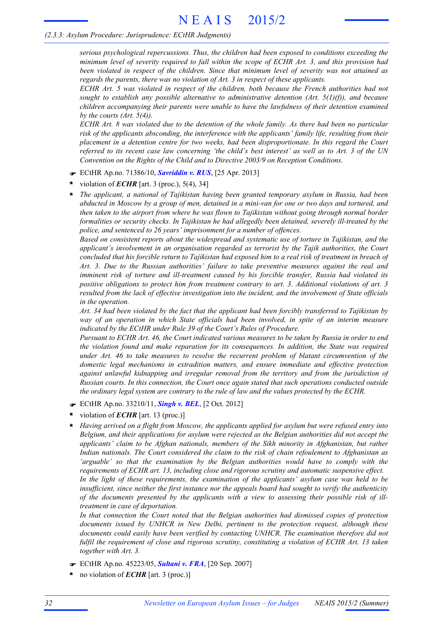*serious psychological repercussions. Thus, the children had been exposed to conditions exceeding the minimum level of severity required to fall within the scope of ECHR Art. 3, and this provision had been violated in respect of the children. Since that minimum level of severity was not attained as regards the parents, there was no violation of Art. 3 in respect of these applicants.*

*ECHR Art. 5 was violated in respect of the children, both because the French authorities had not sought to establish any possible alternative to administrative detention (Art. 5(1)(f)), and because children accompanying their parents were unable to have the lawfulness of their detention examined by the courts (Art. 5(4)).*

ECHR Art. 8 was violated due to the detention of the whole family. As there had been no particular *risk of the applicants absconding, the interference with the applicants' family life, resulting from their placement in a detention centre for two weeks, had been disproportionate. In this regard the Court* referred to its recent case law concerning 'the child's best interest' as well as to Art. 3 of the UN *Convention on the Rights of the Child and to Directive 2003/9 on Reception Conditions.*

- F ECtHR Ap.no. 71386/10, *Savriddin v. RUS*, [25 Apr. 2013]
- violation of *ECHR* [art. 3 (proc.), 5(4), 34] **\***
- *The applicant, a national of Tajikistan having been granted temporary asylum in Russia, had been* abducted in Moscow by a group of men, detained in a mini-van for one or two days and tortured, and *then taken to the airport from where he was flown to Tajikistan without going through normal border formalities or security checks. In Tajikistan he had allegedly been detained, severely ill-treated by the police, and sentenced to 26 years' imprisonment for a number of offences.* **\***

*Based on consistent reports about the widespread and systematic use of torture in Tajikistan, and the applicant's involvement in an organisation regarded as terrorist by the Tajik authorities, the Court* concluded that his forcible return to Tajikistan had exposed him to a real risk of treatment in breach of *Art. 3. Due to the Russian authorities' failure to take preventive measures against the real and imminent risk of torture and ill-treatment caused by his forcible transfer, Russia had violated its positive obligations to protect him from treatment contrary to art. 3. Additional violations of art. 3 resulted from the lack of effective investigation into the incident, and the involvement of State officials in the operation.*

Art. 34 had been violated by the fact that the applicant had been forcibly transferred to Tajikistan by *way of an operation in which State officials had been involved, in spite of an interim measure indicated by the ECtHR under Rule 39 of the Court's Rules of Procedure.*

Pursuant to ECHR Art. 46, the Court indicated various measures to be taken by Russia in order to end *the violation found and make reparation for its consequences. In addition, the State was required under Art. 46 to take measures to resolve the recurrent problem of blatant circumvention of the domestic legal mechanisms in extradition matters, and ensure immediate and effective protection against unlawful kidnapping and irregular removal from the territory and from the jurisdiction of Russian courts. In this connection, the Court once again stated that such operations conducted outside the ordinary legal system are contrary to the rule of law and the values protected by the ECHR.*

- F ECtHR Ap.no. 33210/11, *Singh v. BEL*, [2 Oct. 2012]
- violation of *ECHR* [art. 13 (proc.)] **\***
- *Having arrived on a flight from Moscow, the applicants applied for asylum but were refused entry into Belgium, and their applications for asylum were rejected as the Belgian authorities did not accept the applicants' claim to be Afghan nationals, members of the Sikh minority in Afghanistan, but rather Indian nationals. The Court considered the claim to the risk of chain refoulement to Afghanistan as 'arguable' so that the examination by the Belgian authorities would have to comply with the requirements of ECHR art. 13, including close and rigorous scrutiny and automatic suspensive effect. In the light of these requirements, the examination of the applicants' asylum case was held to be insufficient, since neither the first instance nor the appeals board had sought to verify the authenticity of the documents presented by the applicants with a view to assessing their possible risk of illtreatment in case of deportation.* **\***

*In that connection the Court noted that the Belgian authorities had dismissed copies of protection documents issued by UNHCR in New Delhi, pertinent to the protection request, although these documents could easily have been verified by contacting UNHCR. The examination therefore did not fulfil the requirement of close and rigorous scrutiny, constituting a violation of ECHR Art. 13 taken together with Art. 3.*

- F ECtHR Ap.no. 45223/05, *Sultani v. FRA*, [20 Sep. 2007]
- no violation of *ECHR* [art. 3 (proc.)] **\***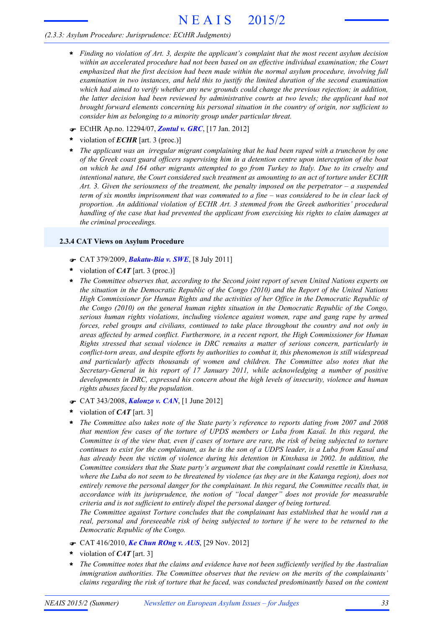- *Finding no violation of Art. 3, despite the applicant's complaint that the most recent asylum decision* **\*** *within an accelerated procedure had not been based on an effective individual examination; the Court emphasized that the first decision had been made within the normal asylum procedure, involving full examination in two instances, and held this to justify the limited duration of the second examination which had aimed to verify whether any new grounds could change the previous rejection; in addition, the latter decision had been reviewed by administrative courts at two levels; the applicant had not brought forward elements concerning his personal situation in the country of origin, nor sufficient to consider him as belonging to a minority group under particular threat.*
- F ECtHR Ap.no. 12294/07, *Zontul v. GRC*, [17 Jan. 2012]
- violation of *ECHR* [art. 3 (proc.)] **\***
- *The applicant was an irregular migrant complaining that he had been raped with a truncheon by one of the Greek coast guard officers supervising him in a detention centre upon interception of the boat* on which he and 164 other migrants attempted to go from Turkey to Italy. Due to its cruelty and *intentional nature, the Court considered such treatment as amounting to an act of torture under ECHR Art. 3. Given the seriousness of the treatment, the penalty imposed on the perpetrator – a suspended* term of six months imprisonment that was commuted to a fine  $-$  was considered to be in clear lack of *proportion. An additional violation of ECHR Art. 3 stemmed from the Greek authorities' procedural handling of the case that had prevented the applicant from exercising his rights to claim damages at the criminal proceedings.* **\***

# **2.3.4 CAT Views on Asylum Procedure**

- F CAT 379/2009, *Bakatu-Bia v. SWE*, [8 July 2011]
- violation of *CAT* [art. 3 (proc.)] **\***
- *The Committee observes that, according to the Second joint report of seven United Nations experts on* **\*** *the situation in the Democratic Republic of the Congo (2010) and the Report of the United Nations High Commissioner for Human Rights and the activities of her Office in the Democratic Republic of the Congo (2010) on the general human rights situation in the Democratic Republic of the Congo, serious human rights violations, including violence against women, rape and gang rape by armed forces, rebel groups and civilians, continued to take place throughout the country and not only in areas affected by armed conflict. Furthermore, in a recent report, the High Commissioner for Human Rights stressed that sexual violence in DRC remains a matter of serious concern, particularly in conflict-torn areas, and despite efforts by authorities to combat it, this phenomenon is still widespread and particularly affects thousands of women and children. The Committee also notes that the Secretary-General in his report of 17 January 2011, while acknowledging a number of positive developments in DRC, expressed his concern about the high levels of insecurity, violence and human rights abuses faced by the population.*
- F CAT 343/2008, *Kalonzo v. CAN*, [1 June 2012]
- violation of *CAT* [art. 3] **\***
- *The Committee also takes note of the State party's reference to reports dating from 2007 and 2008 that mention few cases of the torture of UPDS members or Luba from Kasaï. In this regard, the* Committee is of the view that, even if cases of torture are rare, the risk of being subjected to torture continues to exist for the complainant, as he is the son of a UDPS leader, is a Luba from Kasaï and *has already been the victim of violence during his detention in Kinshasa in 2002. In addition, the Committee considers that the State party's argument that the complainant could resettle in Kinshasa,* where the Luba do not seem to be threatened by violence (as they are in the Katanga region), does not *entirely remove the personal danger for the complainant. In this regard, the Committee recalls that, in accordance with its jurisprudence, the notion of "local danger" does not provide for measurable criteria and is not sufficient to entirely dispel the personal danger of being tortured.* **\***

*The Committee against Torture concludes that the complainant has established that he would run a real, personal and foreseeable risk of being subjected to torture if he were to be returned to the Democratic Republic of the Congo.*

- F CAT 416/2010, *Ke Chun ROng v. AUS*, [29 Nov. 2012]
- violation of *CAT* [art. 3] **\***
- *The Committee notes that the claims and evidence have not been sufficiently verified by the Australian immigration authorities. The Committee observes that the review on the merits of the complainants' claims regarding the risk of torture that he faced, was conducted predominantly based on the content* **\***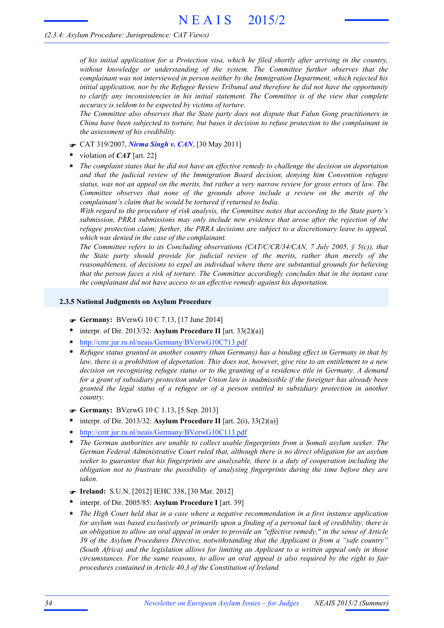### *(2.3.4: Asylum Procedure: Jurisprudence: CAT Views)*

*of his initial application for a Protection visa, which he filed shortly after arriving in the country, without knowledge or understanding of the system. The Committee further observes that the complainant was not interviewed in person neither by the Immigration Department, which rejected his initial application, nor by the Refugee Review Tribunal and therefore he did not have the opportunity to clarify any inconsistencies in his initial statement. The Committee is of the view that complete accuracy is seldom to be expected by victims of torture.*

*The Committee also observes that the State party does not dispute that Falun Gong practitioners in China have been subjected to torture, but bases it decision to refuse protection to the complainant in the assessment of his credibility.*

- F CAT 319/2007, *Nirma Singh v. CAN*, [30 May 2011]
- violation of *CAT* [art. 22] **\***
- *The complaint states that he did not have an effective remedy to challenge the decision on deportation and that the judicial review of the Immigration Board decision, denying him Convention refugee* status, was not an appeal on the merits, but rather a very narrow review for gross errors of law. The *Committee observes that none of the grounds above include a review on the merits of the complainant's claim that he would be tortured if returned to India.* **\***

*With regard to the procedure of risk analysis, the Committee notes that according to the State party's submission, PRRA submissions may only include new evidence that arose after the rejection of the refugee protection claim; further, the PRRA decisions are subject to a discretionary leave to appeal, which was denied in the case of the complainant.*

*The Committee refers to its Concluding observations (CAT/C/CR/34/CAN, 7 July 2005, § 5(c)), that the State party should provide for judicial review of the merits, rather than merely of the reasonableness, of decisions to expel an individual where there are substantial grounds for believing that the person faces a risk of torture. The Committee accordingly concludes that in the instant case the complainant did not have access to an effective remedy against his deportation.*

### **2.3.5 National Judgments on Asylum Procedure**

- F **Germany:** BVerwG 10 C 7.13, [17 June 2014]
- interpr. of Dir. 2013/32: **Asylum Procedure II** [art. 33(2)(a)] **\***
- **\*** http://cmr.jur.ru.nl/neais/Germany/BVerwG10C713.pdf
- \* Refugee status granted in another country (than Germany) has a binding effect in Germany in that by law, there is a prohibition of deportation. This does not, however, give rise to an entitlement to a new *decision on recognising refugee status or to the granting of a residence title in Germany. A demand for a grant of subsidiary protection under Union law is inadmissible if the foreigner has already been granted the legal status of a refugee or of a person entitled to subsidiary protection in another country.*
- F **Germany:** BVerwG 10 C 1.13, [5 Sep. 2013]
- interpr. of Dir. 2013/32: **Asylum Procedure II** [art. 2(i), 33(2)(a)] **\***
- **\*** http://cmr.jur.ru.nl/neais/Germany/BVerwG10C113.pdf
- *The German authorities are unable to collect usable fingerprints from a Somali asylum seeker. The German Federal Administrative Court ruled that, although there is no direct obligation for an asylum seeker to guarantee that his fingerprints are analysable, there is a duty of cooperation including the obligation not to frustrate the possibility of analysing fingerprints during the time before they are taken.* **\***
- F **Ireland:** S.U.N. [2012] IEHC 338, [30 Mar. 2012]
- interpr. of Dir. 2005/85: **Asylum Procedure I** [art. 39] **\***
- *The High Court held that in a case where a negative recommendation in a first instance application* for asylum was based exclusively or primarily upon a finding of a personal lack of credibility, there is an obligation to allow an oral appeal in order to provide an "effective remedy," in the sense of Article *39 of the Asylum Procedures Directive, notwithstanding that the Applicant is from a "safe country" (South Africa) and the legislation allows for limiting an Applicant to a written appeal only in those circumstances. For the same reasons, to allow an oral appeal is also required by the right to fair procedures contained in Article 40.3 of the Constitution of Ireland.* **\***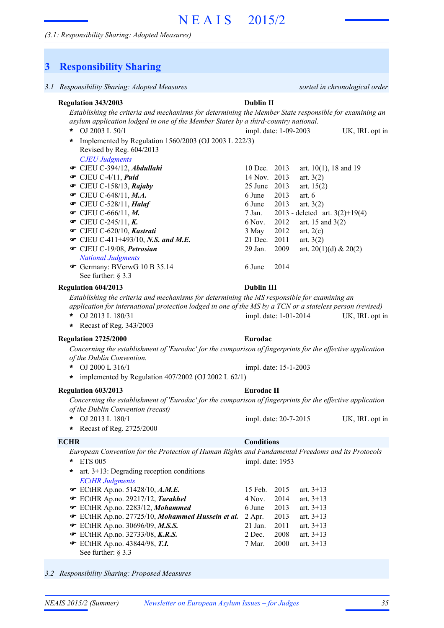## *(3.1: Responsibility Sharing: Adopted Measures)*

# **3 Responsibility Sharing**

| 3.1 Responsibility Sharing: Adopted Measures                                                                                                                                                                                                                                                                                                                                                    | sorted in chronological order                                                                                                                                                                                                                                                                                                                                                                |  |  |  |
|-------------------------------------------------------------------------------------------------------------------------------------------------------------------------------------------------------------------------------------------------------------------------------------------------------------------------------------------------------------------------------------------------|----------------------------------------------------------------------------------------------------------------------------------------------------------------------------------------------------------------------------------------------------------------------------------------------------------------------------------------------------------------------------------------------|--|--|--|
| Regulation 343/2003<br><b>Dublin II</b><br>Establishing the criteria and mechanisms for determining the Member State responsible for examining an<br>asylum application lodged in one of the Member States by a third-country national.                                                                                                                                                         |                                                                                                                                                                                                                                                                                                                                                                                              |  |  |  |
| OJ 2003 L 50/1<br>*<br>Implemented by Regulation 1560/2003 (OJ 2003 L 222/3)<br>$\ast$<br>Revised by Reg. 604/2013                                                                                                                                                                                                                                                                              | impl. date: 1-09-2003<br>UK, IRL opt in                                                                                                                                                                                                                                                                                                                                                      |  |  |  |
| <b>CJEU Judgments</b><br>· CJEU C-394/12, Abdullahi<br>$\bullet$ CJEU C-4/11, Puid<br>$\bullet$ CJEU C-158/13, Rajaby<br>$\bullet$ CJEU C-648/11, M.A.<br>$\bullet$ CJEU C-528/11, Halaf<br>• CJEU C-666/11, M.<br>• CJEU C-245/11, K.<br>· CJEU C-620/10, Kastrati<br>• CJEU C-411+493/10, N.S. and M.E.<br>CJEU C-19/08, Petrosian<br><b>National Judgments</b><br>Germany: BVerwG 10 B 35.14 | 10 Dec. 2013<br>art. $10(1)$ , 18 and 19<br>14 Nov. 2013<br>art. $3(2)$<br>25 June 2013<br>art. $15(2)$<br>2013<br>6 June<br>art. $6$<br>2013<br>6 June<br>art. $3(2)$<br>2013 - deleted art. $3(2)+19(4)$<br>7 Jan.<br>2012<br>6 Nov.<br>art. 15 and $3(2)$<br>2012<br>3 May<br>art. $2(c)$<br>2011<br>21 Dec.<br>art. $3(2)$<br>2009<br>29 Jan.<br>art. 20(1)(d) & 20(2)<br>6 June<br>2014 |  |  |  |
| See further: $\S$ 3.3<br>Regulation 604/2013<br>Establishing the criteria and mechanisms for determining the MS responsible for examining an<br>application for international protection lodged in one of the MS by a TCN or a stateless person (revised)<br>OJ 2013 L 180/31<br>*<br>Recast of Reg. 343/2003<br>*                                                                              | <b>Dublin III</b><br>impl. date: 1-01-2014<br>UK, IRL opt in                                                                                                                                                                                                                                                                                                                                 |  |  |  |
| Regulation 2725/2000<br>Concerning the establishment of 'Eurodac' for the comparison of fingerprints for the effective application<br>of the Dublin Convention.<br>OJ 2000 L 316/1<br>*<br>* implemented by Regulation $407/2002$ (OJ 2002 L 62/1)                                                                                                                                              | Eurodac<br>impl. date: 15-1-2003                                                                                                                                                                                                                                                                                                                                                             |  |  |  |
| Regulation 603/2013<br>Concerning the establishment of 'Eurodac' for the comparison of fingerprints for the effective application                                                                                                                                                                                                                                                               | Eurodac II                                                                                                                                                                                                                                                                                                                                                                                   |  |  |  |
| of the Dublin Convention (recast)<br>OJ 2013 L 180/1<br>÷<br>Recast of Reg. 2725/2000<br>*                                                                                                                                                                                                                                                                                                      | impl. date: 20-7-2015<br>UK, IRL opt in                                                                                                                                                                                                                                                                                                                                                      |  |  |  |
| <b>ECHR</b><br>European Convention for the Protection of Human Rights and Fundamental Freedoms and its Protocols<br><b>ETS 005</b><br>*<br>art. $3+13$ : Degrading reception conditions<br>*<br><b>ECtHR Judgments</b>                                                                                                                                                                          | <b>Conditions</b><br>impl. date: 1953                                                                                                                                                                                                                                                                                                                                                        |  |  |  |
| <b>■</b> ECtHR Ap.no. 51428/10, A.M.E.<br>· ECtHR Ap.no. 29217/12, Tarakhel<br>· ECtHR Ap.no. 2283/12, Mohammed<br>ECtHR Ap.no. 27725/10, Mohammed Hussein et al.<br><b>■</b> ECtHR Ap.no. 30696/09, M.S.S.<br><b>■</b> ECtHR Ap.no. 32733/08, K.R.S.<br><b>■</b> ECtHR Ap.no. 43844/98, T.I.<br>See further: $\S$ 3.3                                                                          | 15 Feb.<br>2015<br>art. $3+13$<br>2014<br>4 Nov.<br>art. $3+13$<br>6 June<br>2013<br>art. $3+13$<br>2013<br>art. $3+13$<br>$2$ Apr.<br>21 Jan.<br>2011<br>art. $3+13$<br>2008<br>2 Dec.<br>art. $3+13$<br>7 Mar.<br>2000<br>art. $3+13$                                                                                                                                                      |  |  |  |

*3.2 Responsibility Sharing: Proposed Measures*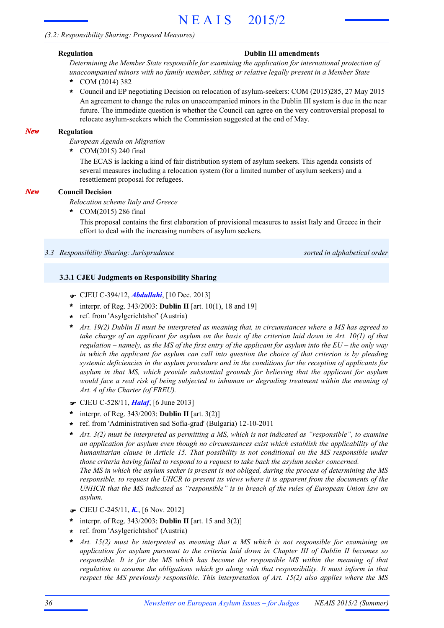# *(3.2: Responsibility Sharing: Proposed Measures)*

#### **Regulation Dublin III amendments**

*Determining the Member State responsible for examining the application for international protection of unaccompanied minors with no family member, sibling or relative legally present in a Member State*

- COM (2014) 382 **\***
- **\*** Council and EP negotiating Decision on relocation of asylum-seekers: COM (2015)285, 27 May 2015 An agreement to change the rules on unaccompanied minors in the Dublin III system is due in the near future. The immediate question is whether the Council can agree on the very controversial proposal to relocate asylum-seekers which the Commission suggested at the end of May.

#### **Regulation** *New*

*European Agenda on Migration*

COM(2015) 240 final **\***

> The ECAS is lacking a kind of fair distribution system of asylum seekers. This agenda consists of several measures including a relocation system (for a limited number of asylum seekers) and a resettlement proposal for refugees.

#### **Council Decision** *New*

*Relocation scheme Italy and Greece*

COM(2015) 286 final **\***

> This proposal contains the first elaboration of provisional measures to assist Italy and Greece in their effort to deal with the increasing numbers of asylum seekers.

*3.3 Responsibility Sharing: Jurisprudence sorted in alphabetical order*

#### **3.3.1 CJEU Judgments on Responsibility Sharing**

- F CJEU C-394/12, *Abdullahi*, [10 Dec. 2013]
- interpr. of Reg. 343/2003: **Dublin II** [art. 10(1), 18 and 19] **\***
- ref. from 'Asylgerichtshof' (Austria) **\***
- \* Art. 19(2) Dublin II must be interpreted as meaning that, in circumstances where a MS has agreed to take charge of an applicant for asylum on the basis of the criterion laid down in Art.  $10(1)$  of that regulation – namely, as the MS of the first entry of the applicant for asylum into the  $EU$  – the only way in which the applicant for asylum can call into question the choice of that criterion is by pleading *systemic deficiencies in the asylum procedure and in the conditions for the reception of applicants for asylum in that MS, which provide substantial grounds for believing that the applicant for asylum would face a real risk of being subjected to inhuman or degrading treatment within the meaning of Art. 4 of the Charter (of FREU).*
- F CJEU C-528/11, *Halaf*, [6 June 2013]
- interpr. of Reg. 343/2003: **Dublin II** [art. 3(2)] **\***
- ref. from 'Administrativen sad Sofia-grad' (Bulgaria) 12-10-2011 **\***
- *Art. 3(2) must be interpreted as permitting a MS, which is not indicated as "responsible", to examine an application for asylum even though no circumstances exist which establish the applicability of the humanitarian clause in Article 15. That possibility is not conditional on the MS responsible under those criteria having failed to respond to a request to take back the asylum seeker concerned.* The MS in which the asylum seeker is present is not obliged, during the process of determining the MS responsible, to request the UHCR to present its views where it is apparent from the documents of the *UNHCR that the MS indicated as "responsible" is in breach of the rules of European Union law on asylum.* **\***
- F CJEU C-245/11, *K.*, [6 Nov. 2012]
- $*$  interpr. of Reg. 343/2003: **Dublin II** [art. 15 and 3(2)]
- ref. from 'Asylgerichtshof' (Austria) **\***
- *Art. 15(2) must be interpreted as meaning that a MS which is not responsible for examining an application for asylum pursuant to the criteria laid down in Chapter III of Dublin II becomes so responsible. It is for the MS which has become the responsible MS within the meaning of that regulation to assume the obligations which go along with that responsibility. It must inform in that respect the MS previously responsible. This interpretation of Art. 15(2) also applies where the MS* **\***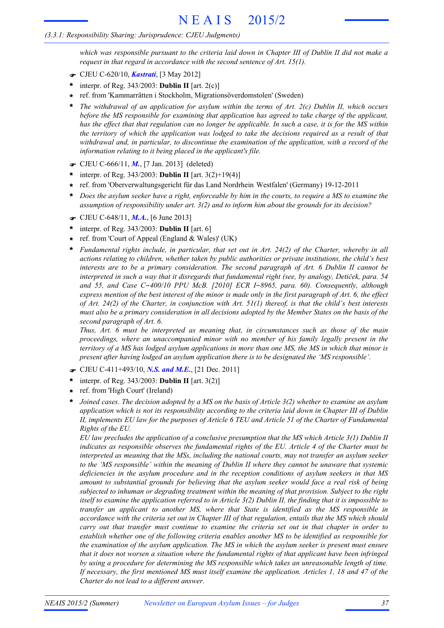# *(3.3.1: Responsibility Sharing: Jurisprudence: CJEU Judgments)*

which was responsible pursuant to the criteria laid down in Chapter III of Dublin II did not make a *request in that regard in accordance with the second sentence of Art. 15(1).*

- F CJEU C-620/10, *Kastrati*, [3 May 2012]
- interpr. of Reg. 343/2003: **Dublin II** [art. 2(c)] **\***
- ref. from 'Kammarrätten i Stockholm, Migrationsöverdomstolen' (Sweden) **\***
- *The withdrawal of an application for asylum within the terms of Art. 2(c) Dublin II, which occurs before the MS responsible for examining that application has agreed to take charge of the applicant,* has the effect that that regulation can no longer be applicable. In such a case, it is for the MS within the territory of which the application was lodged to take the decisions required as a result of that *withdrawal and, in particular, to discontinue the examination of the application, with a record of the information relating to it being placed in the applicant's file.* **\***
- F CJEU C-666/11, *M.*, [7 Jan. 2013] (deleted)
- interpr. of Reg. 343/2003: **Dublin II** [art. 3(2)+19(4)] **\***
- ref. from 'Oberverwaltungsgericht für das Land Nordrhein Westfalen' (Germany) 19-12-2011 **\***
- Does the asylum seeker have a right, enforceable by him in the courts, to require a MS to examine the *assumption of responsibility under art. 3(2) and to inform him about the grounds for its decision?* **\***
- F CJEU C-648/11, *M.A.*, [6 June 2013]
- interpr. of Reg. 343/2003: **Dublin II** [art. 6] **\***
- ref. from 'Court of Appeal (England & Wales)' (UK) **\***
- *Fundamental rights include, in particular, that set out in Art. 24(2) of the Charter, whereby in all actions relating to children, whether taken by public authorities or private institutions, the child's best interests are to be a primary consideration. The second paragraph of Art. 6 Dublin II cannot be* interpreted in such a way that it disregards that fundamental right (see, by analogy, Detiček, para. 54 *and 55, and Case C*-*400/10 PPU McB. [2010] ECR I*-*8965, para. 60). Consequently, although* express mention of the best interest of the minor is made only in the first paragraph of Art. 6, the effect of Art. 24(2) of the Charter, in conjunction with Art.  $51(1)$  thereof, is that the child's best interests must also be a primary consideration in all decisions adopted by the Member States on the basis of the *second paragraph of Art. 6.* **\***

*Thus, Art. 6 must be interpreted as meaning that, in circumstances such as those of the main proceedings, where an unaccompanied minor with no member of his family legally present in the* territory of a MS has lodged asylum applications in more than one MS, the MS in which that minor is *present after having lodged an asylum application there is to be designated the 'MS responsible'.*

- F CJEU C-411+493/10, *N.S. and M.E.*, [21 Dec. 2011]
- interpr. of Reg. 343/2003: **Dublin II** [art. 3(2)] **\***
- ref. from 'High Court' (Ireland) **\***
- Joined cases. The decision adopted by a MS on the basis of Article 3(2) whether to examine an asylum *application which is not its responsibility according to the criteria laid down in Chapter III of Dublin* II, implements EU law for the purposes of Article 6 TEU and Article 51 of the Charter of Fundamental *Rights of the EU.* **\***

*EU law precludes the application of a conclusive presumption that the MS which Article 3(1) Dublin II indicates as responsible observes the fundamental rights of the EU. Article 4 of the Charter must be interpreted as meaning that the MSs, including the national courts, may not transfer an asylum seeker to the 'MS responsible' within the meaning of Dublin II where they cannot be unaware that systemic deficiencies in the asylum procedure and in the reception conditions of asylum seekers in that MS amount to substantial grounds for believing that the asylum seeker would face a real risk of being subjected to inhuman or degrading treatment within the meaning of that provision. Subject to the right* itself to examine the application referred to in Article  $3(2)$  Dublin II, the finding that it is impossible to *transfer an applicant to another MS, where that State is identified as the MS responsible in* accordance with the criteria set out in Chapter III of that regulation, entails that the MS which should *carry out that transfer must continue to examine the criteria set out in that chapter in order to establish whether one of the following criteria enables another MS to be identified as responsible for the examination of the asylum application. The MS in which the asylum seeker is present must ensure that it does not worsen a situation where the fundamental rights of that applicant have been infringed by using a procedure for determining the MS responsible which takes an unreasonable length of time.* If necessary, the first mentioned MS must itself examine the application. Articles 1, 18 and 47 of the *Charter do not lead to a different answer.*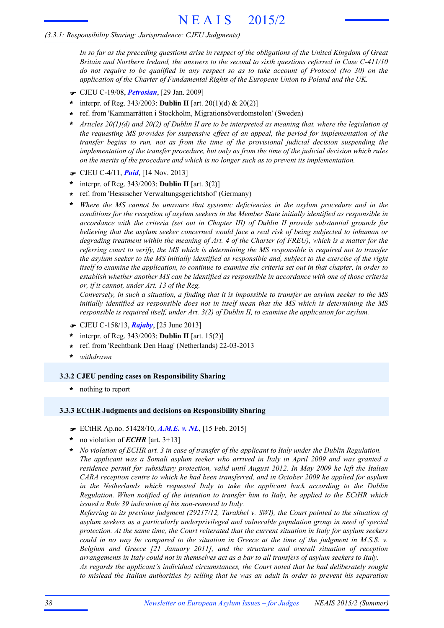# *(3.3.1: Responsibility Sharing: Jurisprudence: CJEU Judgments)*

In so far as the preceding questions arise in respect of the obligations of the United Kingdom of Great *Britain and Northern Ireland, the answers to the second to sixth questions referred in Case C-411/10* do not require to be qualified in any respect so as to take account of Protocol (No  $30$ ) on the *application of the Charter of Fundamental Rights of the European Union to Poland and the UK.*

- F CJEU C-19/08, *Petrosian*, [29 Jan. 2009]
- interpr. of Reg. 343/2003: **Dublin II** [art. 20(1)(d) & 20(2)] **\***
- ref. from 'Kammarrätten i Stockholm, Migrationsöverdomstolen' (Sweden) **\***
- Articles  $20(1)(d)$  and  $20(2)$  of Dublin II are to be interpreted as meaning that, where the legislation of *the requesting MS provides for suspensive effect of an appeal, the period for implementation of the transfer begins to run, not as from the time of the provisional judicial decision suspending the implementation of the transfer procedure, but only as from the time of the judicial decision which rules on the merits of the procedure and which is no longer such as to prevent its implementation.* **\***
- F CJEU C-4/11, *Puid*, [14 Nov. 2013]
- interpr. of Reg. 343/2003: **Dublin II** [art. 3(2)] **\***
- ref. from 'Hessischer Verwaltungsgerichtshof' (Germany) **\***
- *Where the MS cannot be unaware that systemic deficiencies in the asylum procedure and in the conditions for the reception of asylum seekers in the Member State initially identified as responsible in accordance with the criteria (set out in Chapter III) of Dublin II provide substantial grounds for believing that the asylum seeker concerned would face a real risk of being subjected to inhuman or* degrading treatment within the meaning of Art. 4 of the Charter (of FREU), which is a matter for the *referring court to verify, the MS which is determining the MS responsible is required not to transfer* the asylum seeker to the MS initially identified as responsible and, subject to the exercise of the right itself to examine the application, to continue to examine the criteria set out in that chapter, in order to *establish whether another MS can be identified as responsible in accordance with one of those criteria or, if it cannot, under Art. 13 of the Reg.* **\***

Conversely, in such a situation, a finding that it is impossible to transfer an asylum seeker to the MS *initially identified as responsible does not in itself mean that the MS which is determining the MS responsible is required itself, under Art. 3(2) of Dublin II, to examine the application for asylum.*

- F CJEU C-158/13, *Rajaby*, [25 June 2013]
- interpr. of Reg. 343/2003: **Dublin II** [art. 15(2)] **\***
- ref. from 'Rechtbank Den Haag' (Netherlands) 22-03-2013 **\***
- **\*** *withdrawn*

# **3.3.2 CJEU pending cases on Responsibility Sharing**

**\*** nothing to report

### **3.3.3 ECtHR Judgments and decisions on Responsibility Sharing**

- F ECtHR Ap.no. 51428/10, *A.M.E. v. NL*, [15 Feb. 2015]
- no violation of *ECHR* [art. 3+13] **\***
- *No violation of ECHR art. 3 in case of transfer of the applicant to Italy under the Dublin Regulation. The applicant was a Somali asylum seeker who arrived in Italy in April 2009 and was granted a residence permit for subsidiary protection, valid until August 2012. In May 2009 he left the Italian CARA reception centre to which he had been transferred, and in October 2009 he applied for asylum in the Netherlands which requested Italy to take the applicant back according to the Dublin Regulation. When notified of the intention to transfer him to Italy, he applied to the ECtHR which issued a Rule 39 indication of his non-removal to Italy.* **\***

*Referring to its previous judgment (29217/12, Tarakhel v. SWI), the Court pointed to the situation of asylum seekers as a particularly underprivileged and vulnerable population group in need of special protection. At the same time, the Court reiterated that the current situation in Italy for asylum seekers* could in no way be compared to the situation in Greece at the time of the judgment in  $M.S.S.$  v. *Belgium and Greece [21 January 2011], and the structure and overall situation of reception arrangements in Italy could not in themselves act as a bar to all transfers of asylum seekers to Italy. As regards the applicant's individual circumstances, the Court noted that he had deliberately sought* to mislead the Italian authorities by telling that he was an adult in order to prevent his separation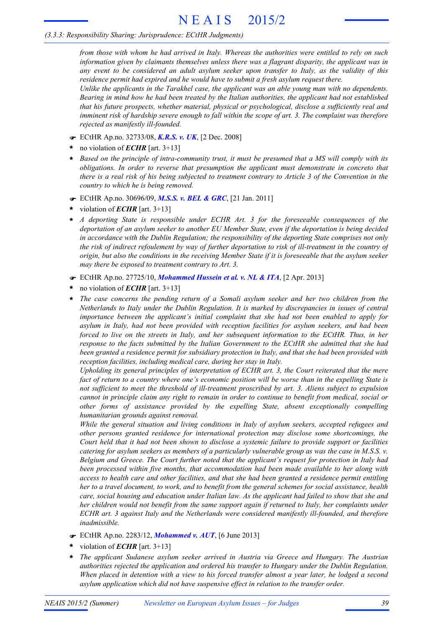# *(3.3.3: Responsibility Sharing: Jurisprudence: ECtHR Judgments)*

from those with whom he had arrived in Italy. Whereas the authorities were entitled to rely on such *information given by claimants themselves unless there was a flagrant disparity, the applicant was in any event to be considered an adult asylum seeker upon transfer to Italy, as the validity of this residence permit had expired and he would have to submit a fresh asylum request there.*

*Unlike the applicants in the Tarakhel case, the applicant was an able young man with no dependents. Bearing in mind how he had been treated by the Italian authorities, the applicant had not established that his future prospects, whether material, physical or psychological, disclose a sufficiently real and* imminent risk of hardship severe enough to fall within the scope of art. 3. The complaint was therefore *rejected as manifestly ill-founded.*

- F ECtHR Ap.no. 32733/08, *K.R.S. v. UK*, [2 Dec. 2008]
- no violation of *ECHR* [art. 3+13] **\***
- \* Based on the principle of intra-community trust, it must be presumed that a MS will comply with its *obligations. In order to reverse that presumption the applicant must demonstrate in concreto that* there is a real risk of his being subjected to treatment contrary to Article 3 of the Convention in the *country to which he is being removed.*
- F ECtHR Ap.no. 30696/09, *M.S.S. v. BEL & GRC*, [21 Jan. 2011]
- violation of *ECHR* [art. 3+13] **\***
- *A deporting State is responsible under ECHR Art. 3 for the foreseeable consequences of the deportation of an asylum seeker to another EU Member State, even if the deportation is being decided in accordance with the Dublin Regulation; the responsibility of the deporting State comprises not only* the risk of indirect refoulement by way of further deportation to risk of ill-treatment in the country of origin, but also the conditions in the receiving Member State if it is foreseeable that the asylum seeker *may there be exposed to treatment contrary to Art. 3.* **\***
- F ECtHR Ap.no. 27725/10, *Mohammed Hussein et al. v. NL & ITA*, [2 Apr. 2013]
- no violation of *ECHR* [art. 3+13] **\***
- *The case concerns the pending return of a Somali asylum seeker and her two children from the Netherlands to Italy under the Dublin Regulation. It is marked by discrepancies in issues of central importance between the applicant's initial complaint that she had not been enabled to apply for asylum in Italy, had not been provided with reception facilities for asylum seekers, and had been forced to live on the streets in Italy, and her subsequent information to the ECtHR. Thus, in her response to the facts submitted by the Italian Government to the ECtHR she admitted that she had been granted a residence permit for subsidiary protection in Italy, and that she had been provided with reception facilities, including medical care, during her stay in Italy.* **\***

*Upholding its general principles of interpretation of ECHR art. 3, the Court reiterated that the mere* fact of return to a country where one's economic position will be worse than in the expelling State is *not sufficient to meet the threshold of ill-treatment proscribed by art. 3. Aliens subject to expulsion* cannot in principle claim any right to remain in order to continue to benefit from medical, social or *other forms of assistance provided by the expelling State, absent exceptionally compelling humanitarian grounds against removal.*

*While the general situation and living conditions in Italy of asylum seekers, accepted refugees and other persons granted residence for international protection may disclose some shortcomings, the* Court held that it had not been shown to disclose a systemic failure to provide support or facilities catering for asylum seekers as members of a particularly vulnerable group as was the case in  $M.S.S.$  v. *Belgium and Greece. The Court further noted that the applicant's request for protection in Italy had been processed within five months, that accommodation had been made available to her along with access to health care and other facilities, and that she had been granted a residence permit entitling* her to a travel document, to work, and to benefit from the general schemes for social assistance, health care, social housing and education under Italian law. As the applicant had failed to show that she and *her children would not benefit from the same support again if returned to Italy, her complaints under ECHR art. 3 against Italy and the Netherlands were considered manifestly ill-founded, and therefore inadmissible.*

- F ECtHR Ap.no. 2283/12, *Mohammed v. AUT*, [6 June 2013]
- violation of *ECHR* [art. 3+13] **\***
- *The applicant Sudanese asylum seeker arrived in Austria via Greece and Hungary. The Austrian authorities rejected the application and ordered his transfer to Hungary under the Dublin Regulation.* When placed in detention with a view to his forced transfer almost a year later, he lodged a second *asylum application which did not have suspensive effect in relation to the transfer order.* **\***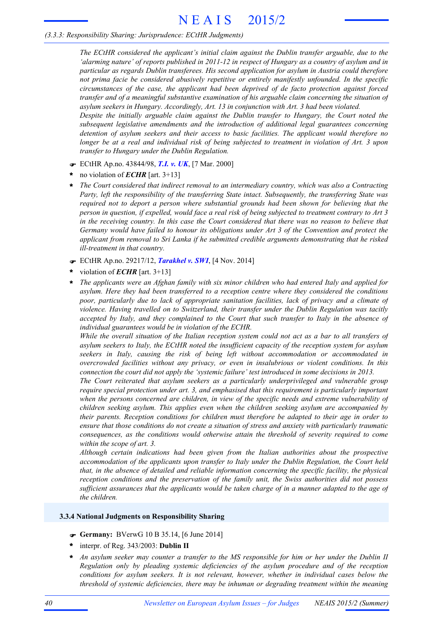# *(3.3.3: Responsibility Sharing: Jurisprudence: ECtHR Judgments)*

*The ECtHR considered the applicant's initial claim against the Dublin transfer arguable, due to the* 'alarming nature' of reports published in 2011-12 in respect of Hungary as a country of asylum and in *particular as regards Dublin transferees. His second application for asylum in Austria could therefore not prima facie be considered abusively repetitive or entirely manifestly unfounded. In the specific circumstances of the case, the applicant had been deprived of de facto protection against forced transfer and of a meaningful substantive examination of his arguable claim concerning the situation of asylum seekers in Hungary. Accordingly, Art. 13 in conjunction with Art. 3 had been violated.*

*Despite the initially arguable claim against the Dublin transfer to Hungary, the Court noted the subsequent legislative amendments and the introduction of additional legal guarantees concerning detention of asylum seekers and their access to basic facilities. The applicant would therefore no* longer be at a real and individual risk of being subjected to treatment in violation of Art. 3 upon *transfer to Hungary under the Dublin Regulation.*

- F ECtHR Ap.no. 43844/98, *T.I. v. UK*, [7 Mar. 2000]
- no violation of *ECHR* [art. 3+13] **\***
- *The Court considered that indirect removal to an intermediary country, which was also a Contracting Party, left the responsibility of the transferring State intact. Subsequently, the transferring State was required not to deport a person where substantial grounds had been shown for believing that the* person in question, if expelled, would face a real risk of being subjected to treatment contrary to Art 3 in the receiving country. In this case the Court considered that there was no reason to believe that *Germany would have failed to honour its obligations under Art 3 of the Convention and protect the applicant from removal to Sri Lanka if he submitted credible arguments demonstrating that he risked ill-treatment in that country.* **\***
- F ECtHR Ap.no. 29217/12, *Tarakhel v. SWI*, [4 Nov. 2014]
- violation of *ECHR* [art. 3+13] **\***
- *The applicants were an Afghan family with six minor children who had entered Italy and applied for asylum. Here they had been transferred to a reception centre where they considered the conditions poor, particularly due to lack of appropriate sanitation facilities, lack of privacy and a climate of violence. Having travelled on to Switzerland, their transfer under the Dublin Regulation was tacitly accepted by Italy, and they complained to the Court that such transfer to Italy in the absence of individual guarantees would be in violation of the ECHR.* **\***

While the overall situation of the Italian reception system could not act as a bar to all transfers of *asylum seekers to Italy, the ECtHR noted the insufficient capacity of the reception system for asylum seekers in Italy, causing the risk of being left without accommodation or accommodated in overcrowded facilities without any privacy, or even in insalubrious or violent conditions. In this connection the court did not apply the 'systemic failure' test introduced in some decisions in 2013.*

*The Court reiterated that asylum seekers as a particularly underprivileged and vulnerable group require special protection under art. 3, and emphasised that this requirement is particularly important when the persons concerned are children, in view of the specific needs and extreme vulnerability of children seeking asylum. This applies even when the children seeking asylum are accompanied by their parents. Reception conditions for children must therefore be adapted to their age in order to ensure that those conditions do not create a situation of stress and anxiety with particularly traumatic consequences, as the conditions would otherwise attain the threshold of severity required to come within the scope of art. 3.*

*Although certain indications had been given from the Italian authorities about the prospective accommodation of the applicants upon transfer to Italy under the Dublin Regulation, the Court held that, in the absence of detailed and reliable information concerning the specific facility, the physical reception conditions and the preservation of the family unit, the Swiss authorities did not possess* sufficient assurances that the applicants would be taken charge of in a manner adapted to the age of *the children.*

### **3.3.4 National Judgments on Responsibility Sharing**

- F **Germany:** BVerwG 10 B 35.14, [6 June 2014]
- interpr. of Reg. 343/2003: **Dublin II \***
- An asylum seeker may counter a transfer to the MS responsible for him or her under the Dublin II *Regulation only by pleading systemic deficiencies of the asylum procedure and of the reception conditions for asylum seekers. It is not relevant, however, whether in individual cases below the threshold of systemic deficiencies, there may be inhuman or degrading treatment within the meaning* **\***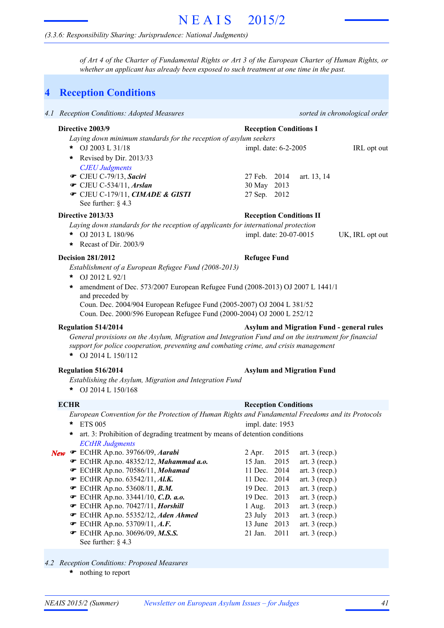# *(3.3.6: Responsibility Sharing: Jurisprudence: National Judgments)*

of Art 4 of the Charter of Fundamental Rights or Art 3 of the European Charter of Human Rights, or *whether an applicant has already been exposed to such treatment at one time in the past.*

# **4 Reception Conditions**

| 4.1 Reception Conditions: Adopted Measures                                                                                                                                                    |                                |                        |                                      | sorted in chronological order                    |
|-----------------------------------------------------------------------------------------------------------------------------------------------------------------------------------------------|--------------------------------|------------------------|--------------------------------------|--------------------------------------------------|
| Directive 2003/9<br>Laying down minimum standards for the reception of asylum seekers<br>* OJ 2003 L 31/18                                                                                    | <b>Reception Conditions I</b>  | impl. date: 6-2-2005   |                                      | IRL opt out                                      |
| Revised by Dir. 2013/33<br>$\star$<br><b>CJEU Judgments</b>                                                                                                                                   |                                |                        |                                      |                                                  |
| CJEU C-79/13, Saciri<br>$\bullet$ CJEU C-534/11, Arslan                                                                                                                                       | 27 Feb. 2014<br>30 May 2013    |                        | art. 13, 14                          |                                                  |
| CJEU C-179/11, CIMADE & GISTI<br>See further: $\S$ 4.3                                                                                                                                        | 27 Sep. 2012                   |                        |                                      |                                                  |
| Directive 2013/33                                                                                                                                                                             | <b>Reception Conditions II</b> |                        |                                      |                                                  |
| Laying down standards for the reception of applicants for international protection                                                                                                            |                                |                        |                                      |                                                  |
| OJ 2013 L 180/96<br>*<br>* Recast of Dir. 2003/9                                                                                                                                              |                                | impl. date: 20-07-0015 |                                      | UK, IRL opt out                                  |
| <b>Decision 281/2012</b>                                                                                                                                                                      | <b>Refugee Fund</b>            |                        |                                      |                                                  |
| Establishment of a European Refugee Fund (2008-2013)<br>OJ 2012 L 92/1<br>*                                                                                                                   |                                |                        |                                      |                                                  |
| amendment of Dec. 573/2007 European Refugee Fund (2008-2013) OJ 2007 L 1441/1<br>$\ast$<br>and preceded by                                                                                    |                                |                        |                                      |                                                  |
| Coun. Dec. 2004/904 European Refugee Fund (2005-2007) OJ 2004 L 381/52<br>Coun. Dec. 2000/596 European Refugee Fund (2000-2004) OJ 2000 L 252/12                                              |                                |                        |                                      |                                                  |
| <b>Regulation 514/2014</b>                                                                                                                                                                    |                                |                        |                                      | <b>Asylum and Migration Fund - general rules</b> |
| General provisions on the Asylum, Migration and Integration Fund and on the instrument for financial<br>support for police cooperation, preventing and combating crime, and crisis management |                                |                        |                                      |                                                  |
| * OJ 2014 L $150/112$                                                                                                                                                                         |                                |                        |                                      |                                                  |
| <b>Regulation 516/2014</b>                                                                                                                                                                    |                                |                        | <b>Asylum and Migration Fund</b>     |                                                  |
| Establishing the Asylum, Migration and Integration Fund<br>* OJ 2014 L 150/168                                                                                                                |                                |                        |                                      |                                                  |
| <b>ECHR</b>                                                                                                                                                                                   | <b>Reception Conditions</b>    |                        |                                      |                                                  |
| European Convention for the Protection of Human Rights and Fundamental Freedoms and its Protocols                                                                                             |                                |                        |                                      |                                                  |
| <b>ETS 005</b><br>*                                                                                                                                                                           | impl. date: 1953               |                        |                                      |                                                  |
| art. 3: Prohibition of degrading treatment by means of detention conditions                                                                                                                   |                                |                        |                                      |                                                  |
| <b>ECtHR</b> Judgments                                                                                                                                                                        |                                |                        |                                      |                                                  |
| New <sup>T</sup> ECtHR Ap.no. 39766/09, Aarabi                                                                                                                                                | 2 Apr.                         | 2015                   | art. $3$ (recp.)                     |                                                  |
| ECtHR Ap.no. 48352/12, Mahammad a.o.                                                                                                                                                          | 15 Jan.                        | 2015                   | art. $3$ (recp.)                     |                                                  |
| ECtHR Ap.no. 70586/11, Mohamad                                                                                                                                                                | 11 Dec.                        | 2014                   | art. $3$ (recp.)                     |                                                  |
| ECtHR Ap.no. $63542/11$ , Al.K.                                                                                                                                                               | 11 Dec.                        | 2014                   | art. $3$ (recp.)                     |                                                  |
| ECtHR Ap.no. 53608/11, <b>B.M.</b>                                                                                                                                                            | 19 Dec.                        | 2013                   | art. $3$ (recp.)                     |                                                  |
| ECtHR Ap.no. 33441/10, C.D. a.o.                                                                                                                                                              | 19 Dec.<br>$1$ Aug.            | 2013                   | art. $3$ (recp.)<br>art. $3$ (recp.) |                                                  |
| ECtHR Ap.no. 70427/11, Horshill<br>ECtHR Ap.no. 55352/12, Aden Ahmed                                                                                                                          |                                | 2013                   | art. $3$ (recp.)                     |                                                  |
| $\bullet$ ECtHR Ap.no. 53709/11, A.F.                                                                                                                                                         | 23 July<br>13 June             | 2013<br>2013           | art. $3$ (recp.)                     |                                                  |
| <b>■</b> ECtHR Ap.no. 30696/09, M.S.S.                                                                                                                                                        | 21 Jan.                        | 2011                   | art. $3$ (recp.)                     |                                                  |
| See further: $\S$ 4.3                                                                                                                                                                         |                                |                        |                                      |                                                  |

*4.2 Reception Conditions: Proposed Measures*

nothing to report **\***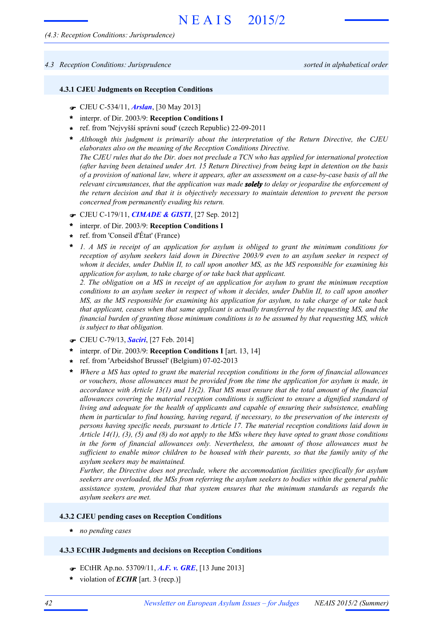#### *4.3 Reception Conditions: Jurisprudence sorted in alphabetical order*

#### **4.3.1 CJEU Judgments on Reception Conditions**

- F CJEU C-534/11, *Arslan*, [30 May 2013]
- interpr. of Dir. 2003/9: **Reception Conditions I \***
- ref. from 'Nejvyšší správní soud' (czech Republic) 22-09-2011 **\***
- *Although this judgment is primarily about the interpretation of the Return Directive, the CJEU* **\*** *elaborates also on the meaning of the Reception Conditions Directive.* The CJEU rules that do the Dir. does not preclude a TCN who has applied for international protection *(after having been detained under Art. 15 Return Directive) from being kept in detention on the basis* of a provision of national law, where it appears, after an assessment on a case-by-case basis of all the *relevant circumstances, that the application was made solely to delay or jeopardise the enforcement of the return decision and that it is objectively necessary to maintain detention to prevent the person concerned from permanently evading his return.*
- F CJEU C-179/11, *CIMADE & GISTI*, [27 Sep. 2012]
- interpr. of Dir. 2003/9: **Reception Conditions I \***
- ref. from 'Conseil d'État' (France) **\***
- *1. A MS in receipt of an application for asylum is obliged to grant the minimum conditions for reception of asylum seekers laid down in Directive 2003/9 even to an asylum seeker in respect of whom it decides, under Dublin II, to call upon another MS, as the MS responsible for examining his application for asylum, to take charge of or take back that applicant.* **\***

*2. The obligation on a MS in receipt of an application for asylum to grant the minimum reception* conditions to an asylum seeker in respect of whom it decides, under Dublin II, to call upon another *MS, as the MS responsible for examining his application for asylum, to take charge of or take back that applicant, ceases when that same applicant is actually transferred by the requesting MS, and the financial burden of granting those minimum conditions is to be assumed by that requesting MS, which is subject to that obligation.*

- F CJEU C-79/13, *Saciri*, [27 Feb. 2014]
- interpr. of Dir. 2003/9: **Reception Conditions I** [art. 13, 14] **\***
- ref. from 'Arbeidshof Brussel' (Belgium) 07-02-2013 **\***
- *Where a MS has opted to grant the material reception conditions in the form of financial allowances or vouchers, those allowances must be provided from the time the application for asylum is made, in accordance with Article 13(1) and 13(2). That MS must ensure that the total amount of the financial allowances covering the material reception conditions is sufficient to ensure a dignified standard of living and adequate for the health of applicants and capable of ensuring their subsistence, enabling them in particular to find housing, having regard, if necessary, to the preservation of the interests of persons having specific needs, pursuant to Article 17. The material reception conditions laid down in* Article  $14(1)$ , (3), (5) and (8) do not apply to the MSs where they have opted to grant those conditions *in the form of financial allowances only. Nevertheless, the amount of those allowances must be* sufficient to enable minor children to be housed with their parents, so that the family unity of the *asylum seekers may be maintained.* **\***

*Further, the Directive does not preclude, where the accommodation facilities specifically for asylum seekers are overloaded, the MSs from referring the asylum seekers to bodies within the general public assistance system, provided that that system ensures that the minimum standards as regards the asylum seekers are met.*

#### **4.3.2 CJEU pending cases on Reception Conditions**

**\*** *no pending cases*

## **4.3.3 ECtHR Judgments and decisions on Reception Conditions**

- F ECtHR Ap.no. 53709/11, *A.F. v. GRE*, [13 June 2013]
- \* violation of *ECHR* [art. 3 (recp.)]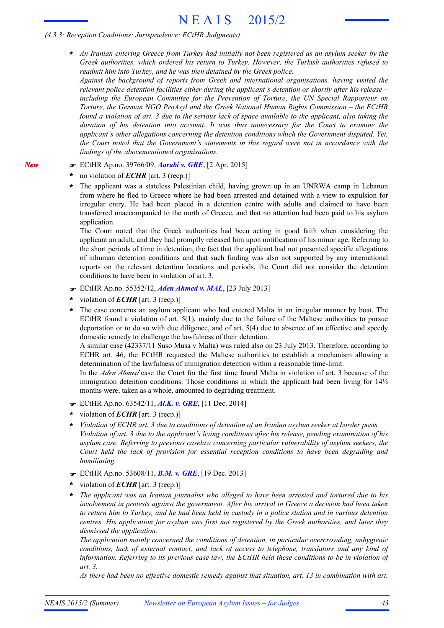# *(4.3.3: Reception Conditions: Jurisprudence: ECtHR Judgments)*

- *An Iranian entering Greece from Turkey had initially not been registered as an asylum seeker by the Greek authorities, which ordered his return to Turkey. However, the Turkish authorities refused to readmit him into Turkey, and he was then detained by the Greek police.* **\***
	- *Against the background of reports from Greek and international organisations, having visited the relevant police detention facilities either during the applicant's detention or shortly after his release – including the European Committee for the Prevention of Torture, the UN Special Rapporteur on Torture, the German NGO ProAsyl and the Greek National Human Rights Commission – the ECtHR* found a violation of art. 3 due to the serious lack of space available to the applicant, also taking the *duration of his detention into account. It was thus unnecessary for the Court to examine the applicant's other allegations concerning the detention conditions which the Government disputed. Yet, the Court noted that the Government's statements in this regard were not in accordance with the findings of the abovementioned organisations.*
- F ECtHR Ap.no. 39766/09, *Aarabi v. GRE*, [2 Apr. 2015]
- no violation of *ECHR* [art. 3 (recp.)] **\***

*New*

The applicant was a stateless Palestinian child, having grown up in an UNRWA camp in Lebanon from where he fled to Greece where he had been arrested and detained with a view to expulsion for irregular entry. He had been placed in a detention centre with adults and claimed to have been transferred unaccompanied to the north of Greece, and that no attention had been paid to his asylum application. **\***

The Court noted that the Greek authorities had been acting in good faith when considering the applicant an adult, and they had promptly released him upon notification of his minor age. Referring to the short periods of time in detention, the fact that the applicant had not presented specific allegations of inhuman detention conditions and that such finding was also not supported by any international reports on the relevant detention locations and periods, the Court did not consider the detention conditions to have been in violation of art. 3.

- F ECtHR Ap.no. 55352/12, *Aden Ahmed v. MAL*, [23 July 2013]
- violation of *ECHR* [art. 3 (recp.)] **\***
- The case concerns an asylum applicant who had entered Malta in an irregular manner by boat. The ECtHR found a violation of art. 5(1), mainly due to the failure of the Maltese authorities to pursue deportation or to do so with due diligence, and of art. 5(4) due to absence of an effective and speedy domestic remedy to challenge the lawfulness of their detention. **\***

A similar case (42337/11 Suso Musa v Malta) was ruled also on 23 July 2013. Therefore, according to ECHR art. 46, the ECtHR requested the Maltese authorities to establish a mechanism allowing a determination of the lawfulness of immigration detention within a reasonable time-limit.

In the *Aden Ahmed* case the Court for the first time found Malta in violation of art. 3 because of the immigration detention conditions. Those conditions in which the applicant had been living for 14½ months were, taken as a whole, amounted to degrading treatment.

- F ECtHR Ap.no. 63542/11, *Al.K. v. GRE*, [11 Dec. 2014]
- violation of *ECHR* [art. 3 (recp.)] **\***
- *Violation of ECHR art. 3 due to conditions of detention of an Iranian asylum seeker at border posts.* Violation of art. 3 due to the applicant's living conditions after his release, pending examination of his *asylum case. Referring to previous caselaw concerning particular vulnerability of asylum seekers, the Court held the lack of provision for essential reception conditions to have been degrading and humiliating.* **\***
- F ECtHR Ap.no. 53608/11, *B.M. v. GRE*, [19 Dec. 2013]
- violation of *ECHR* [art. 3 (recp.)] **\***
- *The applicant was an Iranian journalist who alleged to have been arrested and tortured due to his involvement in protests against the government. After his arrival in Greece a decision had been taken* to return him to Turkey, and he had been held in custody in a police station and in various detention *centres. His application for asylum was first not registered by the Greek authorities, and later they dismissed the application.* **\***

*The application mainly concerned the conditions of detention, in particular overcrowding, unhygienic conditions, lack of external contact, and lack of access to telephone, translators and any kind of information. Referring to its previous case law, the ECtHR held these conditions to be in violation of art. 3.*

*As there had been no effective domestic remedy against that situation, art. 13 in combination with art.*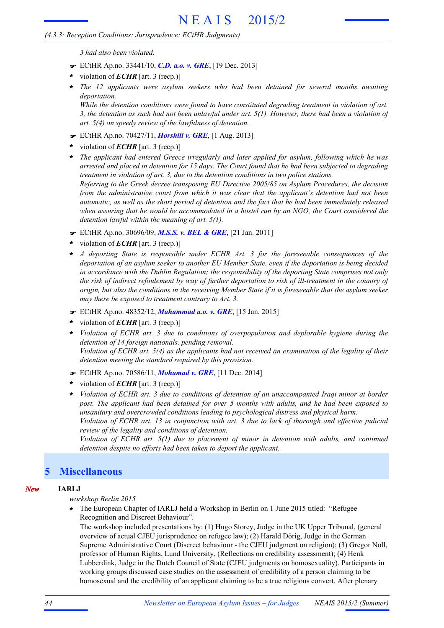# *(4.3.3: Reception Conditions: Jurisprudence: ECtHR Judgments)*

*3 had also been violated.*

- F ECtHR Ap.no. 33441/10, *C.D. a.o. v. GRE*, [19 Dec. 2013]
- violation of *ECHR* [art. 3 (recp.)] **\***
- *The 12 applicants were asylum seekers who had been detained for several months awaiting deportation.* **\***

*While the detention conditions were found to have constituted degrading treatment in violation of art.* 3, the detention as such had not been unlawful under art.  $5(1)$ . However, there had been a violation of *art. 5(4) on speedy review of the lawfulness of detention.*

- F ECtHR Ap.no. 70427/11, *Horshill v. GRE*, [1 Aug. 2013]
- violation of *ECHR* [art. 3 (recp.)] **\***
- *The applicant had entered Greece irregularly and later applied for asylum, following which he was* **\*** arrested and placed in detention for 15 days. The Court found that he had been subjected to degrading *treatment in violation of art. 3, due to the detention conditions in two police stations. Referring to the Greek decree transposing EU Directive 2005/85 on Asylum Procedures, the decision from the administrative court from which it was clear that the applicant's detention had not been* automatic, as well as the short period of detention and the fact that he had been immediately released *when assuring that he would be accommodated in a hostel run by an NGO, the Court considered the detention lawful within the meaning of art. 5(1).*
- F ECtHR Ap.no. 30696/09, *M.S.S. v. BEL & GRE*, [21 Jan. 2011]
- violation of *ECHR* [art. 3 (recp.)] **\***
- *A deporting State is responsible under ECHR Art. 3 for the foreseeable consequences of the deportation of an asylum seeker to another EU Member State, even if the deportation is being decided in accordance with the Dublin Regulation; the responsibility of the deporting State comprises not only* the risk of indirect refoulement by way of further deportation to risk of ill-treatment in the country of origin, but also the conditions in the receiving Member State if it is foreseeable that the asylum seeker *may there be exposed to treatment contrary to Art. 3.* **\***
- F ECtHR Ap.no. 48352/12, *Mahammad a.o. v. GRE*, [15 Jan. 2015]
- violation of *ECHR* [art. 3 (recp.)] **\***
- *Violation of ECHR art. 3 due to conditions of overpopulation and deplorable hygiene during the detention of 14 foreign nationals, pending removal.* Violation of ECHR art. 5(4) as the applicants had not received an examination of the legality of their *detention meeting the standard required by this provision.* **\***
- F ECtHR Ap.no. 70586/11, *Mohamad v. GRE*, [11 Dec. 2014]
- violation of *ECHR* [art. 3 (recp.)] **\***
- Violation of ECHR art. 3 due to conditions of detention of an unaccompanied Iraqi minor at border *post. The applicant had been detained for over 5 months with adults, and he had been exposed to unsanitary and overcrowded conditions leading to psychological distress and physical harm.* Violation of ECHR art. 13 in conjunction with art. 3 due to lack of thorough and effective judicial *review of the legality and conditions of detention.*

*Violation of ECHR art. 5(1) due to placement of minor in detention with adults, and continued detention despite no efforts had been taken to deport the applicant.*

# **5 Miscellaneous**

### *New* **IARLJ**

*workshop Berlin 2015*

The European Chapter of IARLJ held a Workshop in Berlin on 1 June 2015 titled: "Refugee **\*** Recognition and Discreet Behaviour".

The workshop included presentations by: (1) Hugo Storey, Judge in the UK Upper Tribunal, (general overview of actual CJEU jurisprudence on refugee law); (2) Harald Dörig, Judge in the German Supreme Administrative Court (Discreet behaviour - the CJEU judgment on religion); (3) Gregor Noll, professor of Human Rights, Lund University, (Reflections on credibility assessment); (4) Henk Lubberdink, Judge in the Dutch Council of State (CJEU judgments on homosexuality). Participants in working groups discussed case studies on the assessment of credibility of a person claiming to be homosexual and the credibility of an applicant claiming to be a true religious convert. After plenary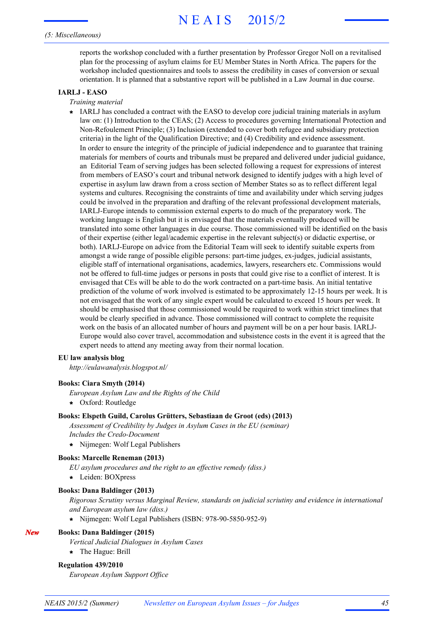### *(5: Miscellaneous)*

reports the workshop concluded with a further presentation by Professor Gregor Noll on a revitalised plan for the processing of asylum claims for EU Member States in North Africa. The papers for the workshop included questionnaires and tools to assess the credibility in cases of conversion or sexual orientation. It is planned that a substantive report will be published in a Law Journal in due course.

### **IARLJ - EASO**

- *Training material*
- IARLJ has concluded a contract with the EASO to develop core judicial training materials in asylum **\*** law on: (1) Introduction to the CEAS; (2) Access to procedures governing International Protection and Non-Refoulement Principle; (3) Inclusion (extended to cover both refugee and subsidiary protection criteria) in the light of the Qualification Directive; and (4) Credibility and evidence assessment. In order to ensure the integrity of the principle of judicial independence and to guarantee that training materials for members of courts and tribunals must be prepared and delivered under judicial guidance, an Editorial Team of serving judges has been selected following a request for expressions of interest from members of EASO's court and tribunal network designed to identify judges with a high level of expertise in asylum law drawn from a cross section of Member States so as to reflect different legal systems and cultures. Recognising the constraints of time and availability under which serving judges could be involved in the preparation and drafting of the relevant professional development materials, IARLJ-Europe intends to commission external experts to do much of the preparatory work. The working language is English but it is envisaged that the materials eventually produced will be translated into some other languages in due course. Those commissioned will be identified on the basis of their expertise (either legal/academic expertise in the relevant subject(s) or didactic expertise, or both). IARLJ-Europe on advice from the Editorial Team will seek to identify suitable experts from amongst a wide range of possible eligible persons: part-time judges, ex-judges, judicial assistants, eligible staff of international organisations, academics, lawyers, researchers etc. Commissions would not be offered to full-time judges or persons in posts that could give rise to a conflict of interest. It is envisaged that CEs will be able to do the work contracted on a part-time basis. An initial tentative prediction of the volume of work involved is estimated to be approximately 12-15 hours per week. It is not envisaged that the work of any single expert would be calculated to exceed 15 hours per week. It should be emphasised that those commissioned would be required to work within strict timelines that would be clearly specified in advance. Those commissioned will contract to complete the requisite work on the basis of an allocated number of hours and payment will be on a per hour basis. IARLJ-Europe would also cover travel, accommodation and subsistence costs in the event it is agreed that the expert needs to attend any meeting away from their normal location.

#### **EU law analysis blog**

*http://eulawanalysis.blogspot.nl/*

#### **Books: Ciara Smyth (2014)**

- *European Asylum Law and the Rights of the Child*
- **\*** Oxford: Routledge

#### **Books: Elspeth Guild, Carolus Grütters, Sebastiaan de Groot (eds) (2013)**

*Assessment of Credibility by Judges in Asylum Cases in the EU (seminar) Includes the Credo-Document*

**\*** Nijmegen: Wolf Legal Publishers

#### **Books: Marcelle Reneman (2013)**

*EU asylum procedures and the right to an effective remedy (diss.)*

**\*** Leiden: BOXpress

#### **Books: Dana Baldinger (2013)**

*Rigorous Scrutiny versus Marginal Review, standards on judicial scriutiny and evidence in international and European asylum law (diss.)*

**\*** Nijmegen: Wolf Legal Publishers (ISBN: 978-90-5850-952-9)

#### *New* **Books: Dana Baldinger (2015)**

*Vertical Judicial Dialogues in Asylum Cases*

**\*** The Hague: Brill

#### **Regulation 439/2010**

*European Asylum Support Office*